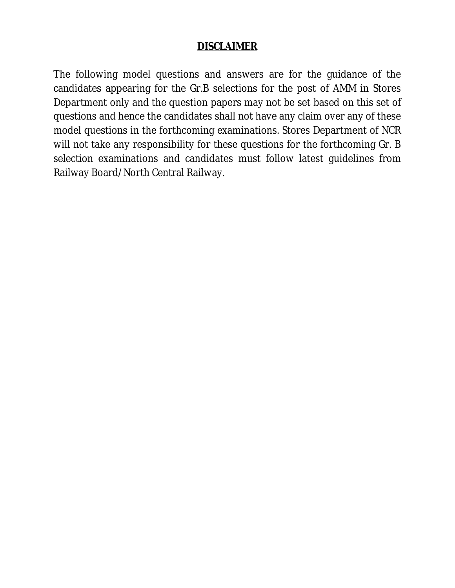#### **DISCLAIMER**

The following model questions and answers are for the guidance of the candidates appearing for the Gr.B selections for the post of AMM in Stores Department only and the question papers may not be set based on this set of questions and hence the candidates shall not have any claim over any of these model questions in the forthcoming examinations. Stores Department of NCR will not take any responsibility for these questions for the forthcoming Gr. B selection examinations and candidates must follow latest guidelines from Railway Board/North Central Railway.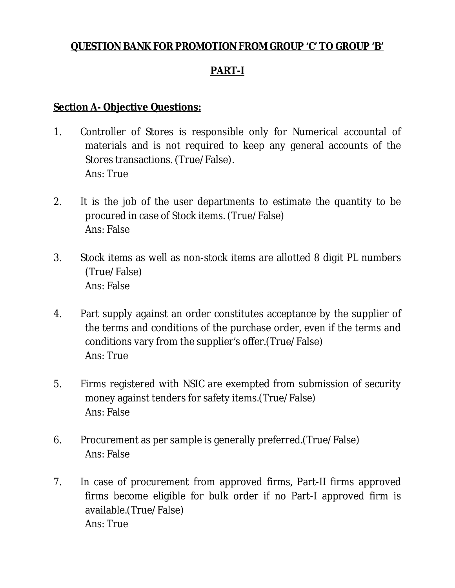## **QUESTION BANK FOR PROMOTION FROM GROUP 'C' TO GROUP 'B'**

# **PART-I**

#### **Section A- Objective Questions:**

- 1. Controller of Stores is responsible only for Numerical accountal of materials and is not required to keep any general accounts of the Stores transactions. (True/False). Ans: True
- 2. It is the job of the user departments to estimate the quantity to be procured in case of Stock items. (True/False) Ans: False
- 3. Stock items as well as non-stock items are allotted 8 digit PL numbers (True/False) Ans: False
- 4. Part supply against an order constitutes acceptance by the supplier of the terms and conditions of the purchase order, even if the terms and conditions vary from the supplier's offer.(True/False) Ans: True
- 5. Firms registered with NSIC are exempted from submission of security money against tenders for safety items.(True/False) Ans: False
- 6. Procurement as per sample is generally preferred.(True/False) Ans: False
- 7. In case of procurement from approved firms, Part-II firms approved firms become eligible for bulk order if no Part-I approved firm is available.(True/False) Ans: True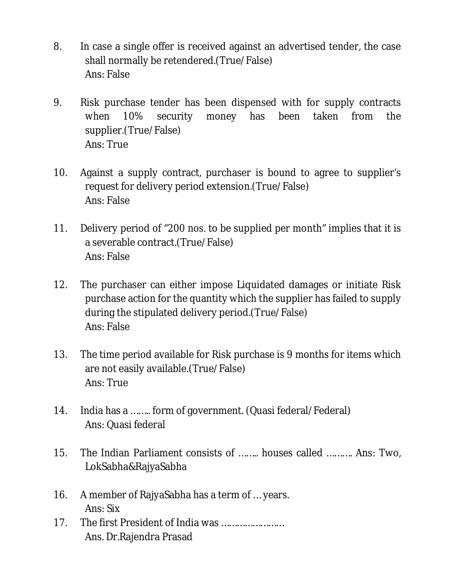- 8. In case a single offer is received against an advertised tender, the case shall normally be retendered.(True/False) Ans: False
- 9. Risk purchase tender has been dispensed with for supply contracts when 10% security money has been taken from the supplier.(True/False) Ans: True
- 10. Against a supply contract, purchaser is bound to agree to supplier's request for delivery period extension.(True/False) Ans: False
- 11. Delivery period of "200 nos. to be supplied per month" implies that it is a severable contract.(True/False) Ans: False
- 12. The purchaser can either impose Liquidated damages or initiate Risk purchase action for the quantity which the supplier has failed to supply during the stipulated delivery period.(True/False) Ans: False
- 13. The time period available for Risk purchase is 9 months for items which are not easily available.(True/False) Ans: True
- 14. India has a …….. form of government. (Quasi federal/Federal) Ans: Quasi federal
- 15. The Indian Parliament consists of …….. houses called ………. Ans: Two, LokSabha&RajyaSabha
- 16. A member of RajyaSabha has a term of … years. Ans: Six
- 17. The first President of India was …………………… Ans. Dr.Rajendra Prasad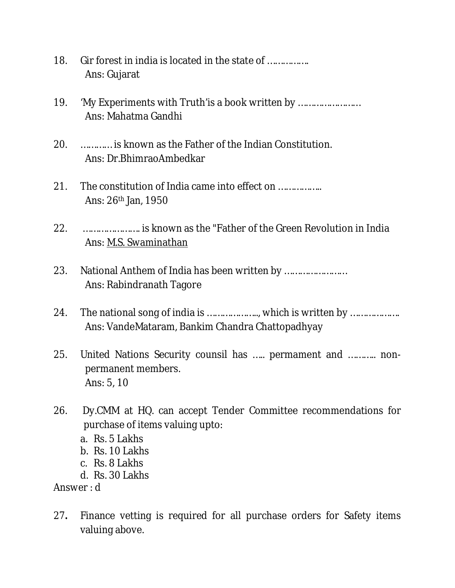- 18. Gir forest in india is located in the state of ……………. Ans: Gujarat
- 19. 'My Experiments with Truth'is a book written by …………………… Ans: Mahatma Gandhi
- 20. ………… is known as the Father of the Indian Constitution. Ans: Dr.BhimraoAmbedkar
- 21. The constitution of India came into effect on …………….. Ans: 26th Jan, 1950
- 22. …………………. is known as the "Father of the Green Revolution in India Ans: M.S. Swaminathan
- 23. National Anthem of India has been written by …………………… Ans: Rabindranath Tagore
- 24. The national song of india is ……………….., which is written by ………………. Ans: VandeMataram, Bankim Chandra Chattopadhyay
- 25. United Nations Security counsil has ….. permament and ……….. nonpermanent members. Ans: 5, 10
- 26. Dy.CMM at HQ. can accept Tender Committee recommendations for purchase of items valuing upto:
	- a. Rs. 5 Lakhs
	- b. Rs. 10 Lakhs
	- c. Rs. 8 Lakhs
	- d. Rs. 30 Lakhs

Answer : d

27**.** Finance vetting is required for all purchase orders for Safety items valuing above.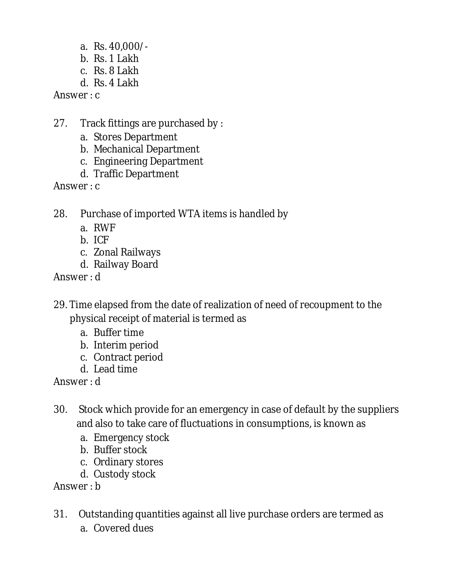- a. Rs. 40,000/-
- $h$ . Rs. 1 Lakh
- c. Rs. 8 Lakh
- d. Rs. 4 Lakh

Answer : c

- 27. Track fittings are purchased by :
	- a. Stores Department
	- b. Mechanical Department
	- c. Engineering Department
	- d. Traffic Department

Answer : c

- 28. Purchase of imported WTA items is handled by
	- a. RWF
	- b. ICF
	- c. Zonal Railways
	- d. Railway Board

Answer : d

- 29. Time elapsed from the date of realization of need of recoupment to the physical receipt of material is termed as
	- a. Buffer time
	- b. Interim period
	- c. Contract period
	- d. Lead time

Answer : d

- 30. Stock which provide for an emergency in case of default by the suppliers and also to take care of fluctuations in consumptions, is known as
	- a. Emergency stock
	- b. Buffer stock
	- c. Ordinary stores
	- d. Custody stock

Answer : b

- 31.Outstanding quantities against all live purchase orders are termed as
	- a. Covered dues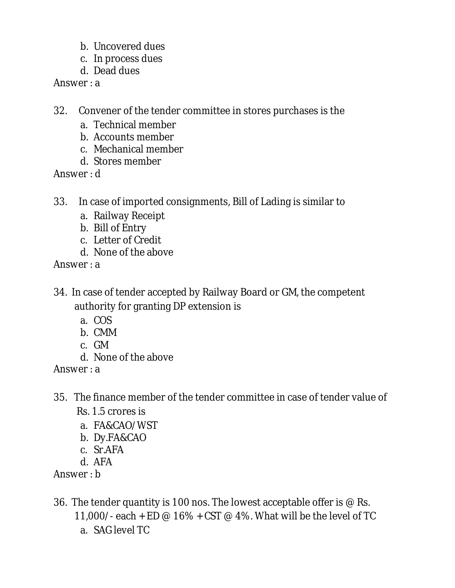- b. Uncovered dues
- c. In process dues
- d. Dead dues

Answer : a

- 32.Convener of the tender committee in stores purchases is the
	- a. Technical member
	- b. Accounts member
	- c. Mechanical member
	- d. Stores member

Answer : d

- 33.In case of imported consignments, Bill of Lading is similar to
	- a. Railway Receipt
	- b. Bill of Entry
	- c. Letter of Credit
	- d. None of the above

Answer : a

- 34. In case of tender accepted by Railway Board or GM, the competent authority for granting DP extension is
	- a. COS
	- b. CMM
	- c. GM
	- d. None of the above

Answer : a

- 35.The finance member of the tender committee in case of tender value of Rs. 1.5 crores is
	- a. FA&CAO/WST
	- b. Dy.FA&CAO
	- c. Sr.AFA
	- d. AFA

Answer : b

- 36. The tender quantity is 100 nos. The lowest acceptable offer is @ Rs. 11,000/- each + ED @ 16% + CST @ 4%. What will be the level of TC
	- a. SAG level TC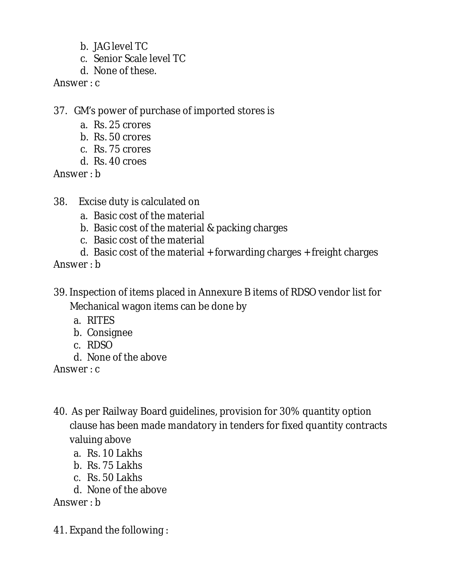- b. JAG level TC
- c. Senior Scale level TC
- d. None of these.

Answer : c

- 37.GM's power of purchase of imported stores is
	- a. Rs. 25 crores
	- b. Rs. 50 crores
	- c. Rs. 75 crores
	- d. Rs. 40 croes

Answer : b

- 38.Excise duty is calculated on
	- a. Basic cost of the material
	- b. Basic cost of the material & packing charges
	- c. Basic cost of the material
	- d. Basic cost of the material + forwarding charges + freight charges

Answer : b

- 39. Inspection of items placed in Annexure B items of RDSO vendor list for Mechanical wagon items can be done by
	- a. RITES
	- b. Consignee
	- c. RDSO
	- d. None of the above

Answer : c

- 40. As per Railway Board guidelines, provision for 30% quantity option clause has been made mandatory in tenders for fixed quantity contracts valuing above
	- a. Rs. 10 Lakhs
	- b. Rs. 75 Lakhs
	- c. Rs. 50 Lakhs
	- d. None of the above

Answer : b

41. Expand the following :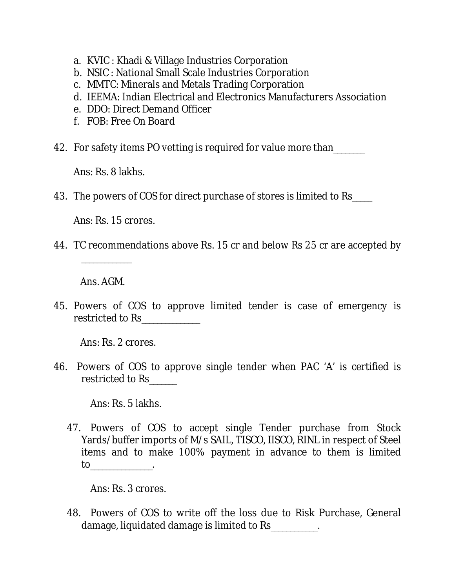- a. KVIC : Khadi & Village Industries Corporation
- b. NSIC : National Small Scale Industries Corporation
- c. MMTC: Minerals and Metals Trading Corporation
- d. IEEMA: Indian Electrical and Electronics Manufacturers Association
- e. DDO: Direct Demand Officer
- f. FOB: Free On Board
- 42. For safety items PO vetting is required for value more than

Ans: Rs. 8 lakhs.

43. The powers of COS for direct purchase of stores is limited to Rs\_\_\_\_\_

Ans: Rs. 15 crores.

44. TC recommendations above Rs. 15 cr and below Rs 25 cr are accepted by

Ans. AGM.

\_\_\_\_\_\_\_\_\_\_\_\_\_

45. Powers of COS to approve limited tender is case of emergency is restricted to Rs\_\_\_\_\_\_\_\_\_\_\_\_\_

Ans: Rs. 2 crores.

46. Powers of COS to approve single tender when PAC 'A' is certified is restricted to Rs\_\_\_\_\_\_\_

Ans: Rs. 5 lakhs.

47. Powers of COS to accept single Tender purchase from Stock Yards/buffer imports of M/s SAIL, TISCO, IISCO, RINL in respect of Steel items and to make 100% payment in advance to them is limited to\_\_\_\_\_\_\_\_\_\_\_\_\_\_\_\_.

Ans: Rs. 3 crores.

48. Powers of COS to write off the loss due to Risk Purchase, General damage, liquidated damage is limited to Rs\_\_\_\_\_\_\_\_\_\_\_\_.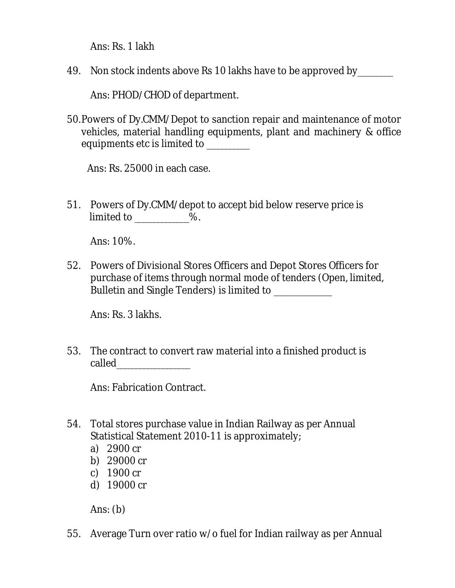Ans: Rs. 1 lakh

49. Non stock indents above Rs 10 lakhs have to be approved by

Ans: PHOD/CHOD of department.

50.Powers of Dy.CMM/Depot to sanction repair and maintenance of motor vehicles, material handling equipments, plant and machinery & office equipments etc is limited to \_\_\_\_\_\_\_\_\_

Ans: Rs. 25000 in each case.

51. Powers of Dy.CMM/depot to accept bid below reserve price is limited to \_\_\_\_\_\_\_\_\_\_\_\_\_\_%.

Ans: 10%.

52. Powers of Divisional Stores Officers and Depot Stores Officers for purchase of items through normal mode of tenders (Open, limited, Bulletin and Single Tenders) is limited to **ware and Single Tenders**) is limited to

Ans: Rs. 3 lakhs.

53. The contract to convert raw material into a finished product is called\_\_\_\_\_\_\_\_\_\_\_\_\_\_\_\_\_\_\_

Ans: Fabrication Contract.

- 54. Total stores purchase value in Indian Railway as per Annual Statistical Statement 2010-11 is approximately;
	- a) 2900 cr
	- b) 29000 cr
	- c) 1900 cr
	- d) 19000 cr

Ans: (b)

55. Average Turn over ratio w/o fuel for Indian railway as per Annual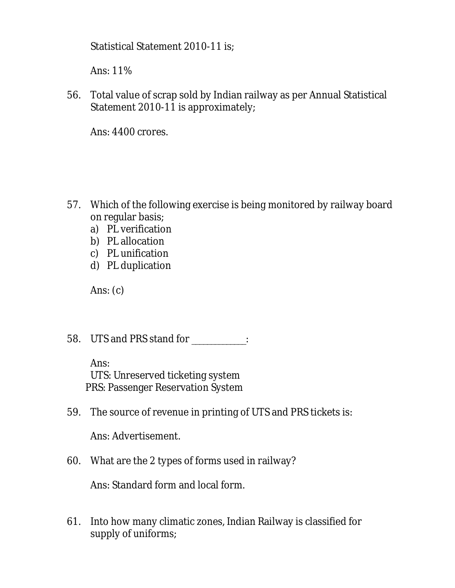Statistical Statement 2010-11 is;

Ans: 11%

56. Total value of scrap sold by Indian railway as per Annual Statistical Statement 2010-11 is approximately;

Ans: 4400 crores.

- 57. Which of the following exercise is being monitored by railway board on regular basis;
	- a) PL verification
	- b) PL allocation
	- c) PL unification
	- d) PL duplication

Ans: (c)

58. UTS and PRS stand for \_\_\_\_\_\_\_\_\_\_\_\_\_\_:

Ans: UTS: Unreserved ticketing system PRS: Passenger Reservation System

59. The source of revenue in printing of UTS and PRS tickets is:

Ans: Advertisement.

60. What are the 2 types of forms used in railway?

Ans: Standard form and local form.

61. Into how many climatic zones, Indian Railway is classified for supply of uniforms;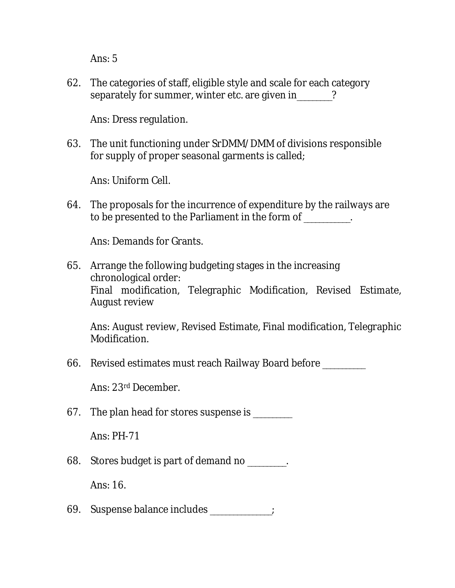Ans: 5

62. The categories of staff, eligible style and scale for each category separately for summer, winter etc. are given in  $\qquad$  ?

Ans: Dress regulation.

63. The unit functioning under SrDMM/DMM of divisions responsible for supply of proper seasonal garments is called;

Ans: Uniform Cell.

64. The proposals for the incurrence of expenditure by the railways are to be presented to the Parliament in the form of \_\_\_\_\_\_\_\_\_\_\_\_.

Ans: Demands for Grants.

65. Arrange the following budgeting stages in the increasing chronological order: Final modification, Telegraphic Modification, Revised Estimate, August review

Ans: August review, Revised Estimate, Final modification, Telegraphic Modification.

66. Revised estimates must reach Railway Board before \_\_\_\_\_\_\_\_\_\_\_

Ans: 23rd December.

67. The plan head for stores suspense is \_\_\_\_\_\_\_\_

Ans: PH-71

68. Stores budget is part of demand no \_\_\_\_\_\_\_\_\_\_.

Ans: 16.

69. Suspense balance includes \_\_\_\_\_\_\_\_\_\_\_\_\_\_\_\_;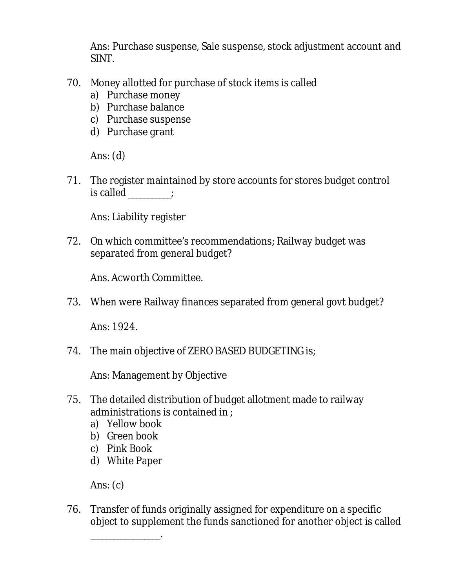Ans: Purchase suspense, Sale suspense, stock adjustment account and SINT.

- 70. Money allotted for purchase of stock items is called
	- a) Purchase money
	- b) Purchase balance
	- c) Purchase suspense
	- d) Purchase grant

Ans: (d)

71. The register maintained by store accounts for stores budget control is called  $\qquad$ :

Ans: Liability register

72. On which committee's recommendations; Railway budget was separated from general budget?

Ans. Acworth Committee.

73. When were Railway finances separated from general govt budget?

Ans: 1924.

74. The main objective of ZERO BASED BUDGETING is;

Ans: Management by Objective

- 75. The detailed distribution of budget allotment made to railway administrations is contained in ;
	- a) Yellow book
	- b) Green book
	- c) Pink Book
	- d) White Paper

\_\_\_\_\_\_\_\_\_\_\_\_\_\_\_\_\_\_.

Ans: (c)

76. Transfer of funds originally assigned for expenditure on a specific object to supplement the funds sanctioned for another object is called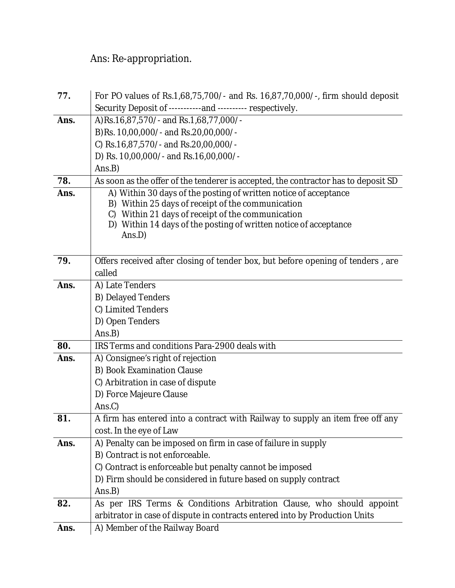# Ans: Re-appropriation.

| 77.  | For PO values of Rs.1,68,75,700/- and Rs. 16,87,70,000/-, firm should deposit      |
|------|------------------------------------------------------------------------------------|
|      | Security Deposit of -----------and ---------- respectively.                        |
| Ans. | A)Rs.16,87,570/- and Rs.1,68,77,000/-                                              |
|      | B)Rs. 10,00,000/- and Rs.20,00,000/-                                               |
|      | C) Rs.16,87,570/- and Rs.20,00,000/-                                               |
|      | D) Rs. 10,00,000/- and Rs.16,00,000/-                                              |
|      | Ans.B)                                                                             |
| 78.  | As soon as the offer of the tenderer is accepted, the contractor has to deposit SD |
| Ans. | A) Within 30 days of the posting of written notice of acceptance                   |
|      | B) Within 25 days of receipt of the communication                                  |
|      | Within 21 days of receipt of the communication<br>C)                               |
|      | D) Within 14 days of the posting of written notice of acceptance<br>Ans.D)         |
|      |                                                                                    |
| 79.  | Offers received after closing of tender box, but before opening of tenders, are    |
|      | called                                                                             |
| Ans. | A) Late Tenders                                                                    |
|      | <b>B) Delayed Tenders</b>                                                          |
|      | C) Limited Tenders                                                                 |
|      | D) Open Tenders                                                                    |
|      | Ans.B)                                                                             |
| 80.  | IRS Terms and conditions Para-2900 deals with                                      |
| Ans. | A) Consignee's right of rejection                                                  |
|      | B) Book Examination Clause                                                         |
|      | C) Arbitration in case of dispute                                                  |
|      | D) Force Majeure Clause                                                            |
|      | Ans.C)                                                                             |
| 81.  | A firm has entered into a contract with Railway to supply an item free off any     |
|      | cost. In the eye of Law                                                            |
| Ans. | A) Penalty can be imposed on firm in case of failure in supply                     |
|      | B) Contract is not enforceable.                                                    |
|      | C) Contract is enforceable but penalty cannot be imposed                           |
|      | D) Firm should be considered in future based on supply contract                    |
|      | Ans.B)                                                                             |
| 82.  | As per IRS Terms & Conditions Arbitration Clause, who should appoint               |
|      | arbitrator in case of dispute in contracts entered into by Production Units        |
| Ans. | A) Member of the Railway Board                                                     |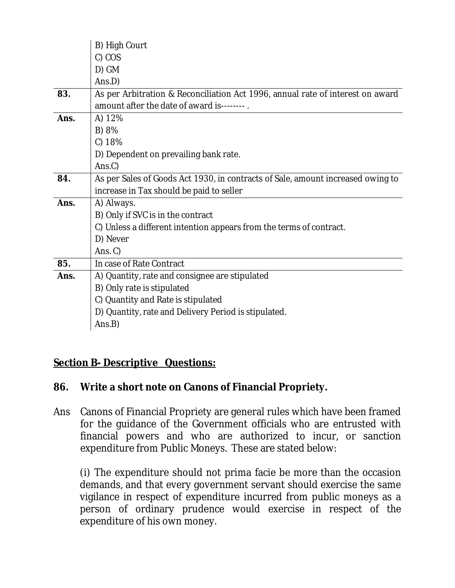|      | B) High Court                                                                   |
|------|---------------------------------------------------------------------------------|
|      | C) COS                                                                          |
|      | D) GM                                                                           |
|      | Ans.D)                                                                          |
| 83.  | As per Arbitration & Reconciliation Act 1996, annual rate of interest on award  |
|      | amount after the date of award is--------.                                      |
| Ans. | A) 12%                                                                          |
|      | B) 8%                                                                           |
|      | C) 18%                                                                          |
|      | D) Dependent on prevailing bank rate.                                           |
|      | Ans.C)                                                                          |
| 84.  | As per Sales of Goods Act 1930, in contracts of Sale, amount increased owing to |
|      | increase in Tax should be paid to seller                                        |
| Ans. | A) Always.                                                                      |
|      | B) Only if SVC is in the contract                                               |
|      | C) Unless a different intention appears from the terms of contract.             |
|      | D) Never                                                                        |
|      | Ans. $C$ )                                                                      |
| 85.  | In case of Rate Contract                                                        |
| Ans. | A) Quantity, rate and consignee are stipulated                                  |
|      | B) Only rate is stipulated                                                      |
|      | C) Quantity and Rate is stipulated                                              |
|      | D) Quantity, rate and Delivery Period is stipulated.                            |
|      | Ans.B)                                                                          |

#### **Section B- Descriptive Questions:**

#### **86. Write a short note on Canons of Financial Propriety.**

Ans Canons of Financial Propriety are general rules which have been framed for the guidance of the Government officials who are entrusted with financial powers and who are authorized to incur, or sanction expenditure from Public Moneys. These are stated below:

(i) The expenditure should not prima facie be more than the occasion demands, and that every government servant should exercise the same vigilance in respect of expenditure incurred from public moneys as a person of ordinary prudence would exercise in respect of the expenditure of his own money.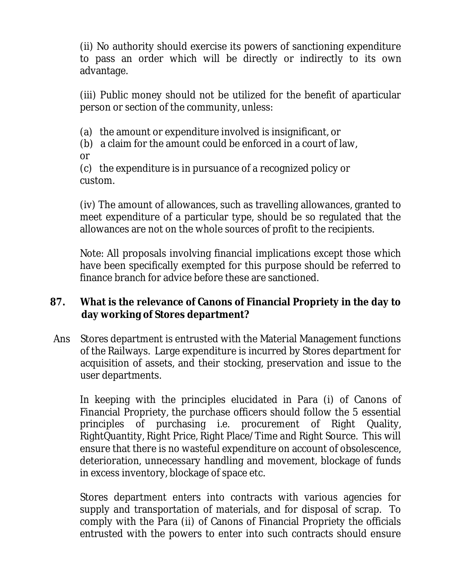(ii) No authority should exercise its powers of sanctioning expenditure to pass an order which will be directly or indirectly to its own advantage.

(iii) Public money should not be utilized for the benefit of aparticular person or section of the community, unless:

(a) the amount or expenditure involved is insignificant, or

(b) a claim for the amount could be enforced in a court of law,

or

(c) the expenditure is in pursuance of a recognized policy or custom.

(iv) The amount of allowances, such as travelling allowances, granted to meet expenditure of a particular type, should be so regulated that the allowances are not on the whole sources of profit to the recipients.

Note: All proposals involving financial implications except those which have been specifically exempted for this purpose should be referred to finance branch for advice before these are sanctioned.

#### **87. What is the relevance of Canons of Financial Propriety in the day to day working of Stores department?**

Ans Stores department is entrusted with the Material Management functions of the Railways. Large expenditure is incurred by Stores department for acquisition of assets, and their stocking, preservation and issue to the user departments.

In keeping with the principles elucidated in Para (i) of Canons of Financial Propriety, the purchase officers should follow the 5 essential principles of purchasing i.e. procurement of Right Quality, RightQuantity, Right Price, Right Place/Time and Right Source. This will ensure that there is no wasteful expenditure on account of obsolescence, deterioration, unnecessary handling and movement, blockage of funds in excess inventory, blockage of space etc.

Stores department enters into contracts with various agencies for supply and transportation of materials, and for disposal of scrap. To comply with the Para (ii) of Canons of Financial Propriety the officials entrusted with the powers to enter into such contracts should ensure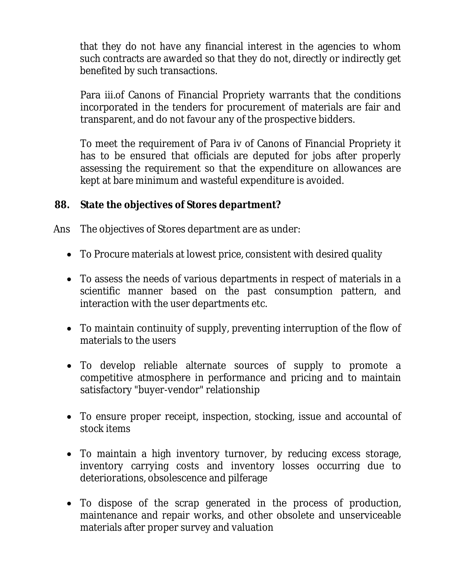that they do not have any financial interest in the agencies to whom such contracts are awarded so that they do not, directly or indirectly get benefited by such transactions.

Para iii.of Canons of Financial Propriety warrants that the conditions incorporated in the tenders for procurement of materials are fair and transparent, and do not favour any of the prospective bidders.

To meet the requirement of Para iv of Canons of Financial Propriety it has to be ensured that officials are deputed for jobs after properly assessing the requirement so that the expenditure on allowances are kept at bare minimum and wasteful expenditure is avoided.

#### **88. State the objectives of Stores department?**

Ans The objectives of Stores department are as under:

- To Procure materials at lowest price, consistent with desired quality
- To assess the needs of various departments in respect of materials in a scientific manner based on the past consumption pattern, and interaction with the user departments etc.
- To maintain continuity of supply, preventing interruption of the flow of materials to the users
- To develop reliable alternate sources of supply to promote a competitive atmosphere in performance and pricing and to maintain satisfactory "buyer-vendor" relationship
- To ensure proper receipt, inspection, stocking, issue and accountal of stock items
- To maintain a high inventory turnover, by reducing excess storage, inventory carrying costs and inventory losses occurring due to deteriorations, obsolescence and pilferage
- To dispose of the scrap generated in the process of production, maintenance and repair works, and other obsolete and unserviceable materials after proper survey and valuation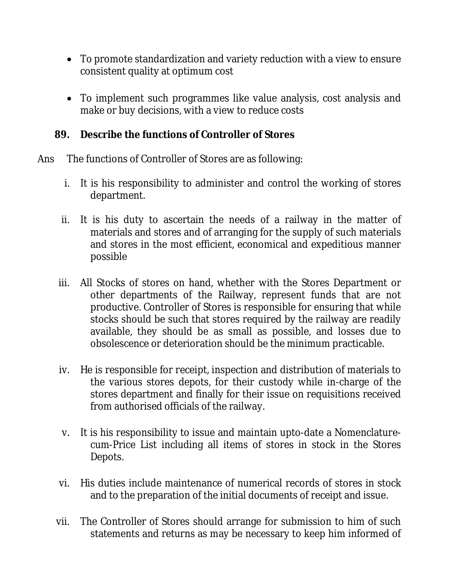- To promote standardization and variety reduction with a view to ensure consistent quality at optimum cost
- To implement such programmes like value analysis, cost analysis and make or buy decisions, with a view to reduce costs

#### **89. Describe the functions of Controller of Stores**

- Ans The functions of Controller of Stores are as following:
	- i. It is his responsibility to administer and control the working of stores department.
	- ii. It is his duty to ascertain the needs of a railway in the matter of materials and stores and of arranging for the supply of such materials and stores in the most efficient, economical and expeditious manner possible
	- iii. All Stocks of stores on hand, whether with the Stores Department or other departments of the Railway, represent funds that are not productive. Controller of Stores is responsible for ensuring that while stocks should be such that stores required by the railway are readily available, they should be as small as possible, and losses due to obsolescence or deterioration should be the minimum practicable.
	- iv. He is responsible for receipt, inspection and distribution of materials to the various stores depots, for their custody while in-charge of the stores department and finally for their issue on requisitions received from authorised officials of the railway.
	- v. It is his responsibility to issue and maintain upto-date a Nomenclaturecum-Price List including all items of stores in stock in the Stores Depots.
	- vi. His duties include maintenance of numerical records of stores in stock and to the preparation of the initial documents of receipt and issue.
	- vii. The Controller of Stores should arrange for submission to him of such statements and returns as may be necessary to keep him informed of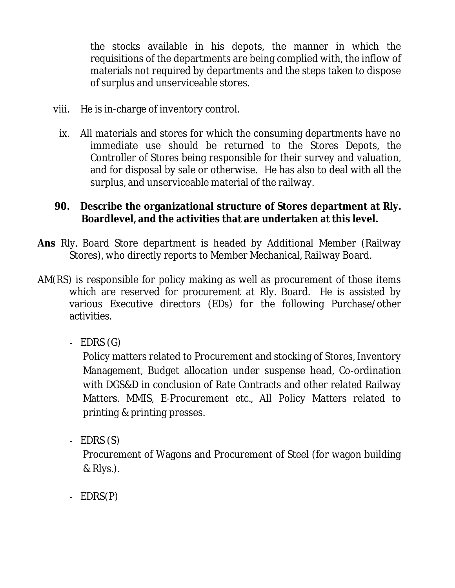the stocks available in his depots, the manner in which the requisitions of the departments are being complied with, the inflow of materials not required by departments and the steps taken to dispose of surplus and unserviceable stores.

- viii. He is in-charge of inventory control.
	- ix. All materials and stores for which the consuming departments have no immediate use should be returned to the Stores Depots, the Controller of Stores being responsible for their survey and valuation, and for disposal by sale or otherwise. He has also to deal with all the surplus, and unserviceable material of the railway.

#### **90. Describe the organizational structure of Stores department at Rly. Boardlevel, and the activities that are undertaken at this level.**

- **Ans** Rly. Board Store department is headed by Additional Member (Railway Stores), who directly reports to Member Mechanical, Railway Board.
- AM(RS) is responsible for policy making as well as procurement of those items which are reserved for procurement at Rly. Board. He is assisted by various Executive directors (EDs) for the following Purchase/other activities.
	- $-$  EDRS  $(G)$

Policy matters related to Procurement and stocking of Stores, Inventory Management, Budget allocation under suspense head, Co-ordination with DGS&D in conclusion of Rate Contracts and other related Railway Matters. MMIS, E-Procurement etc., All Policy Matters related to printing & printing presses.

- EDRS (S)

Procurement of Wagons and Procurement of Steel (for wagon building & Rlys.).

- EDRS(P)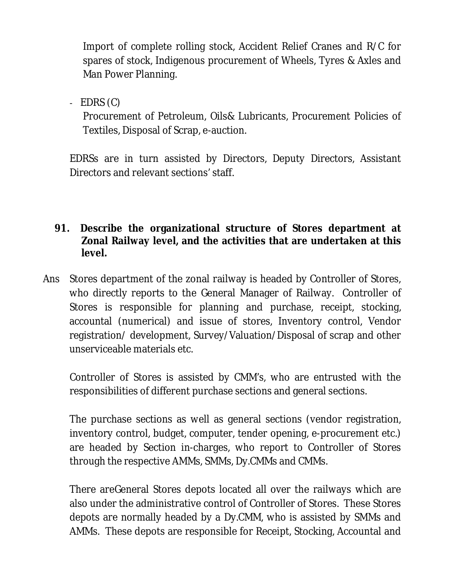Import of complete rolling stock, Accident Relief Cranes and R/C for spares of stock, Indigenous procurement of Wheels, Tyres & Axles and Man Power Planning.

 $-$  EDRS  $(C)$ 

Procurement of Petroleum, Oils& Lubricants, Procurement Policies of Textiles, Disposal of Scrap, e-auction.

EDRSs are in turn assisted by Directors, Deputy Directors, Assistant Directors and relevant sections' staff.

#### **91. Describe the organizational structure of Stores department at Zonal Railway level, and the activities that are undertaken at this level.**

Ans Stores department of the zonal railway is headed by Controller of Stores, who directly reports to the General Manager of Railway. Controller of Stores is responsible for planning and purchase, receipt, stocking, accountal (numerical) and issue of stores, Inventory control, Vendor registration/ development, Survey/Valuation/Disposal of scrap and other unserviceable materials etc.

Controller of Stores is assisted by CMM's, who are entrusted with the responsibilities of different purchase sections and general sections.

The purchase sections as well as general sections (vendor registration, inventory control, budget, computer, tender opening, e-procurement etc.) are headed by Section in-charges, who report to Controller of Stores through the respective AMMs, SMMs, Dy.CMMs and CMMs.

There areGeneral Stores depots located all over the railways which are also under the administrative control of Controller of Stores. These Stores depots are normally headed by a Dy.CMM, who is assisted by SMMs and AMMs. These depots are responsible for Receipt, Stocking, Accountal and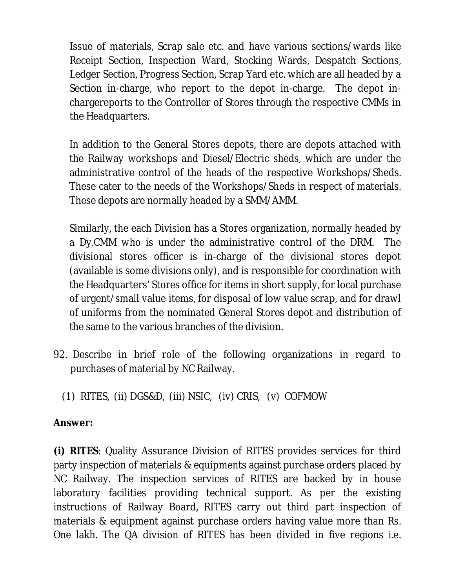Issue of materials, Scrap sale etc. and have various sections/wards like Receipt Section, Inspection Ward, Stocking Wards, Despatch Sections, Ledger Section, Progress Section, Scrap Yard etc. which are all headed by a Section in-charge, who report to the depot in-charge. The depot inchargereports to the Controller of Stores through the respective CMMs in the Headquarters.

In addition to the General Stores depots, there are depots attached with the Railway workshops and Diesel/Electric sheds, which are under the administrative control of the heads of the respective Workshops/Sheds. These cater to the needs of the Workshops/Sheds in respect of materials. These depots are normally headed by a SMM/AMM.

Similarly, the each Division has a Stores organization, normally headed by a Dy.CMM who is under the administrative control of the DRM. The divisional stores officer is in-charge of the divisional stores depot (available is some divisions only), and is responsible for coordination with the Headquarters' Stores office for items in short supply, for local purchase of urgent/small value items, for disposal of low value scrap, and for drawl of uniforms from the nominated General Stores depot and distribution of the same to the various branches of the division.

92. Describe in brief role of the following organizations in regard to purchases of material by NC Railway.

(1) RITES, (ii) DGS&D, (iii) NSIC, (iv) CRIS, (v) COFMOW

# **Answer:**

**(i) RITES**: Quality Assurance Division of RITES provides services for third party inspection of materials & equipments against purchase orders placed by NC Railway. The inspection services of RITES are backed by in house laboratory facilities providing technical support. As per the existing instructions of Railway Board, RITES carry out third part inspection of materials & equipment against purchase orders having value more than Rs. One lakh. The QA division of RITES has been divided in five regions i.e.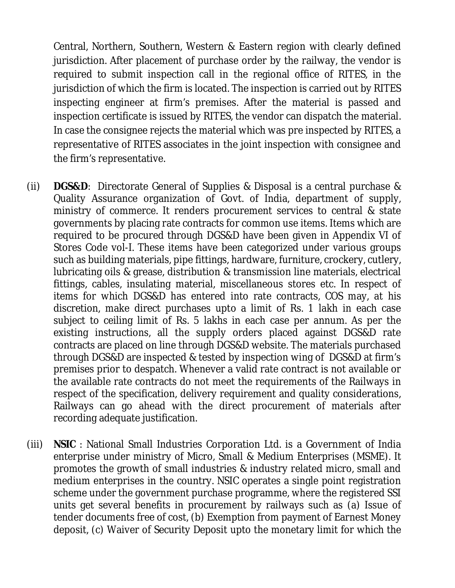Central, Northern, Southern, Western & Eastern region with clearly defined jurisdiction. After placement of purchase order by the railway, the vendor is required to submit inspection call in the regional office of RITES, in the jurisdiction of which the firm is located. The inspection is carried out by RITES inspecting engineer at firm's premises. After the material is passed and inspection certificate is issued by RITES, the vendor can dispatch the material. In case the consignee rejects the material which was pre inspected by RITES, a representative of RITES associates in the joint inspection with consignee and the firm's representative.

- (ii) **DGS&D**: Directorate General of Supplies & Disposal is a central purchase & Quality Assurance organization of Govt. of India, department of supply, ministry of commerce. It renders procurement services to central & state governments by placing rate contracts for common use items. Items which are required to be procured through DGS&D have been given in Appendix VI of Stores Code vol-I. These items have been categorized under various groups such as building materials, pipe fittings, hardware, furniture, crockery, cutlery, lubricating oils & grease, distribution & transmission line materials, electrical fittings, cables, insulating material, miscellaneous stores etc. In respect of items for which DGS&D has entered into rate contracts, COS may, at his discretion, make direct purchases upto a limit of Rs. 1 lakh in each case subject to ceiling limit of Rs. 5 lakhs in each case per annum. As per the existing instructions, all the supply orders placed against DGS&D rate contracts are placed on line through DGS&D website. The materials purchased through DGS&D are inspected & tested by inspection wing of DGS&D at firm's premises prior to despatch. Whenever a valid rate contract is not available or the available rate contracts do not meet the requirements of the Railways in respect of the specification, delivery requirement and quality considerations, Railways can go ahead with the direct procurement of materials after recording adequate justification.
- (iii) **NSIC** : National Small Industries Corporation Ltd. is a Government of India enterprise under ministry of Micro, Small & Medium Enterprises (MSME). It promotes the growth of small industries & industry related micro, small and medium enterprises in the country. NSIC operates a single point registration scheme under the government purchase programme, where the registered SSI units get several benefits in procurement by railways such as (a) Issue of tender documents free of cost, (b) Exemption from payment of Earnest Money deposit, (c) Waiver of Security Deposit upto the monetary limit for which the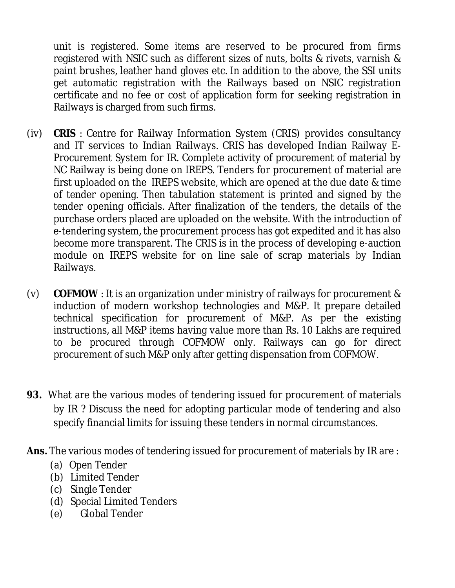unit is registered. Some items are reserved to be procured from firms registered with NSIC such as different sizes of nuts, bolts & rivets, varnish & paint brushes, leather hand gloves etc. In addition to the above, the SSI units get automatic registration with the Railways based on NSIC registration certificate and no fee or cost of application form for seeking registration in Railways is charged from such firms.

- (iv) **CRIS** : Centre for Railway Information System (CRIS) provides consultancy and IT services to Indian Railways. CRIS has developed Indian Railway E-Procurement System for IR. Complete activity of procurement of material by NC Railway is being done on IREPS. Tenders for procurement of material are first uploaded on the IREPS website, which are opened at the due date & time of tender opening. Then tabulation statement is printed and signed by the tender opening officials. After finalization of the tenders, the details of the purchase orders placed are uploaded on the website. With the introduction of e-tendering system, the procurement process has got expedited and it has also become more transparent. The CRIS is in the process of developing e-auction module on IREPS website for on line sale of scrap materials by Indian Railways.
- (v) **COFMOW** : It is an organization under ministry of railways for procurement & induction of modern workshop technologies and M&P. It prepare detailed technical specification for procurement of M&P. As per the existing instructions, all M&P items having value more than Rs. 10 Lakhs are required to be procured through COFMOW only. Railways can go for direct procurement of such M&P only after getting dispensation from COFMOW.
- **93.** What are the various modes of tendering issued for procurement of materials by IR ? Discuss the need for adopting particular mode of tendering and also specify financial limits for issuing these tenders in normal circumstances.
- **Ans.** The various modes of tendering issued for procurement of materials by IR are :
	- (a) Open Tender
	- (b) Limited Tender
	- (c) Single Tender
	- (d) Special Limited Tenders
	- (e) Global Tender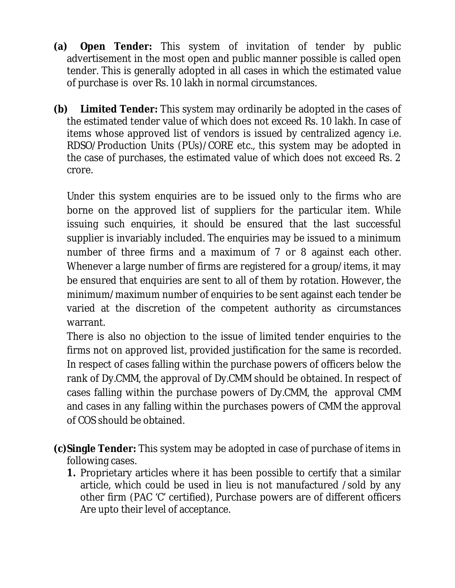- **(a) Open Tender:** This system of invitation of tender by public advertisement in the most open and public manner possible is called open tender. This is generally adopted in all cases in which the estimated value of purchase is over Rs. 10 lakh in normal circumstances.
- **(b) Limited Tender:** This system may ordinarily be adopted in the cases of the estimated tender value of which does not exceed Rs. 10 lakh. In case of items whose approved list of vendors is issued by centralized agency i.e. RDSO/Production Units (PUs)/CORE etc., this system may be adopted in the case of purchases, the estimated value of which does not exceed Rs. 2 crore.

Under this system enquiries are to be issued only to the firms who are borne on the approved list of suppliers for the particular item. While issuing such enquiries, it should be ensured that the last successful supplier is invariably included. The enquiries may be issued to a minimum number of three firms and a maximum of 7 or 8 against each other. Whenever a large number of firms are registered for a group/items, it may be ensured that enquiries are sent to all of them by rotation. However, the minimum/maximum number of enquiries to be sent against each tender be varied at the discretion of the competent authority as circumstances warrant.

There is also no objection to the issue of limited tender enquiries to the firms not on approved list, provided justification for the same is recorded. In respect of cases falling within the purchase powers of officers below the rank of Dy.CMM, the approval of Dy.CMM should be obtained. In respect of cases falling within the purchase powers of Dy.CMM, the approval CMM and cases in any falling within the purchases powers of CMM the approval of COS should be obtained.

- **(c)Single Tender:** This system may be adopted in case of purchase of items in following cases.
	- **1.** Proprietary articles where it has been possible to certify that a similar article, which could be used in lieu is not manufactured /sold by any other firm (PAC 'C' certified), Purchase powers are of different officers Are upto their level of acceptance.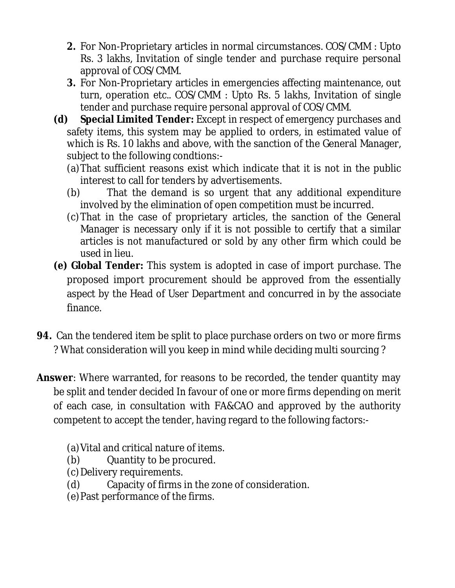- **2.** For Non-Proprietary articles in normal circumstances. COS/CMM : Upto Rs. 3 lakhs, Invitation of single tender and purchase require personal approval of COS/CMM.
- **3.** For Non-Proprietary articles in emergencies affecting maintenance, out turn, operation etc.. COS/CMM : Upto Rs. 5 lakhs, Invitation of single tender and purchase require personal approval of COS/CMM.
- **(d) Special Limited Tender:** Except in respect of emergency purchases and safety items, this system may be applied to orders, in estimated value of which is Rs. 10 lakhs and above, with the sanction of the General Manager, subject to the following condtions:-
	- (a)That sufficient reasons exist which indicate that it is not in the public interest to call for tenders by advertisements.
	- (b) That the demand is so urgent that any additional expenditure involved by the elimination of open competition must be incurred.
	- (c)That in the case of proprietary articles, the sanction of the General Manager is necessary only if it is not possible to certify that a similar articles is not manufactured or sold by any other firm which could be used in lieu.
- **(e) Global Tender:** This system is adopted in case of import purchase. The proposed import procurement should be approved from the essentially aspect by the Head of User Department and concurred in by the associate finance.
- **94.** Can the tendered item be split to place purchase orders on two or more firms ? What consideration will you keep in mind while deciding multi sourcing ?
- **Answer**: Where warranted, for reasons to be recorded, the tender quantity may be split and tender decided In favour of one or more firms depending on merit of each case, in consultation with FA&CAO and approved by the authority competent to accept the tender, having regard to the following factors:-
	- (a)Vital and critical nature of items.
	- (b) Quantity to be procured.
	- (c)Delivery requirements.
	- (d) Capacity of firms in the zone of consideration.
	- (e)Past performance of the firms.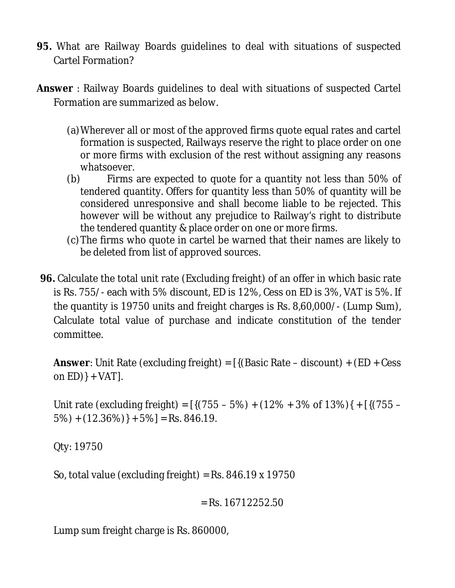- **95.** What are Railway Boards guidelines to deal with situations of suspected Cartel Formation?
- **Answer** : Railway Boards guidelines to deal with situations of suspected Cartel Formation are summarized as below.
	- (a)Wherever all or most of the approved firms quote equal rates and cartel formation is suspected, Railways reserve the right to place order on one or more firms with exclusion of the rest without assigning any reasons whatsoever.
	- (b) Firms are expected to quote for a quantity not less than 50% of tendered quantity. Offers for quantity less than 50% of quantity will be considered unresponsive and shall become liable to be rejected. This however will be without any prejudice to Railway's right to distribute the tendered quantity & place order on one or more firms.
	- (c)The firms who quote in cartel be warned that their names are likely to be deleted from list of approved sources.
- **96.** Calculate the total unit rate (Excluding freight) of an offer in which basic rate is Rs. 755/- each with 5% discount, ED is 12%, Cess on ED is 3%, VAT is 5%. If the quantity is 19750 units and freight charges is Rs. 8,60,000/- (Lump Sum), Calculate total value of purchase and indicate constitution of the tender committee.

**Answer**: Unit Rate (excluding freight) = [{(Basic Rate – discount) + (ED + Cess on  $ED$ } + VAT].

Unit rate (excluding freight) =  $[{(755 - 5\%) + (12\% + 3\% \text{ of } 13\%)} + [{(755 5\%) + (12.36\%) + 5\% = Rs. 846.19.$ 

Qty: 19750

So, total value (excluding freight) = Rs.  $846.19 \times 19750$ 

$$
= Rs. 16712252.50
$$

Lump sum freight charge is Rs. 860000,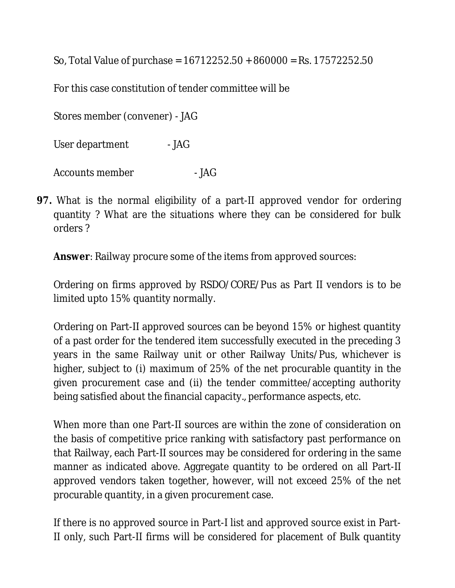So, Total Value of purchase = 16712252.50 + 860000 = Rs. 17572252.50

For this case constitution of tender committee will be

Stores member (convener) - JAG

User department - JAG

Accounts member - JAG

**97.** What is the normal eligibility of a part-II approved vendor for ordering quantity ? What are the situations where they can be considered for bulk orders ?

**Answer**: Railway procure some of the items from approved sources:

Ordering on firms approved by RSDO/CORE/Pus as Part II vendors is to be limited upto 15% quantity normally.

Ordering on Part-II approved sources can be beyond 15% or highest quantity of a past order for the tendered item successfully executed in the preceding 3 years in the same Railway unit or other Railway Units/Pus, whichever is higher, subject to (i) maximum of 25% of the net procurable quantity in the given procurement case and (ii) the tender committee/accepting authority being satisfied about the financial capacity., performance aspects, etc.

When more than one Part-II sources are within the zone of consideration on the basis of competitive price ranking with satisfactory past performance on that Railway, each Part-II sources may be considered for ordering in the same manner as indicated above. Aggregate quantity to be ordered on all Part-II approved vendors taken together, however, will not exceed 25% of the net procurable quantity, in a given procurement case.

If there is no approved source in Part-I list and approved source exist in Part-II only, such Part-II firms will be considered for placement of Bulk quantity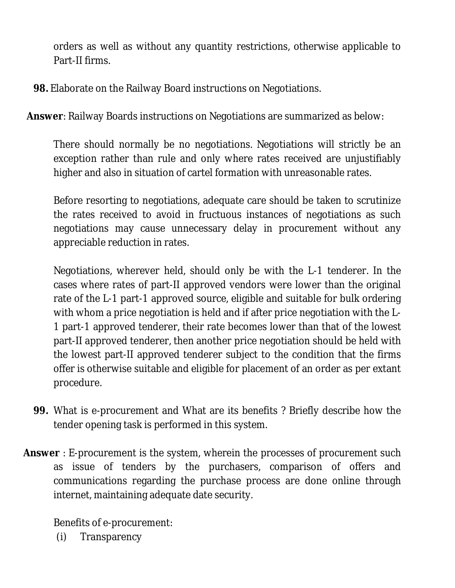orders as well as without any quantity restrictions, otherwise applicable to Part-II firms.

**98.** Elaborate on the Railway Board instructions on Negotiations.

**Answer**: Railway Boards instructions on Negotiations are summarized as below:

There should normally be no negotiations. Negotiations will strictly be an exception rather than rule and only where rates received are unjustifiably higher and also in situation of cartel formation with unreasonable rates.

Before resorting to negotiations, adequate care should be taken to scrutinize the rates received to avoid in fructuous instances of negotiations as such negotiations may cause unnecessary delay in procurement without any appreciable reduction in rates.

Negotiations, wherever held, should only be with the L-1 tenderer. In the cases where rates of part-II approved vendors were lower than the original rate of the L-1 part-1 approved source, eligible and suitable for bulk ordering with whom a price negotiation is held and if after price negotiation with the L-1 part-1 approved tenderer, their rate becomes lower than that of the lowest part-II approved tenderer, then another price negotiation should be held with the lowest part-II approved tenderer subject to the condition that the firms offer is otherwise suitable and eligible for placement of an order as per extant procedure.

- **99.** What is e-procurement and What are its benefits ? Briefly describe how the tender opening task is performed in this system.
- **Answer** : E-procurement is the system, wherein the processes of procurement such as issue of tenders by the purchasers, comparison of offers and communications regarding the purchase process are done online through internet, maintaining adequate date security.

Benefits of e-procurement:

(i) Transparency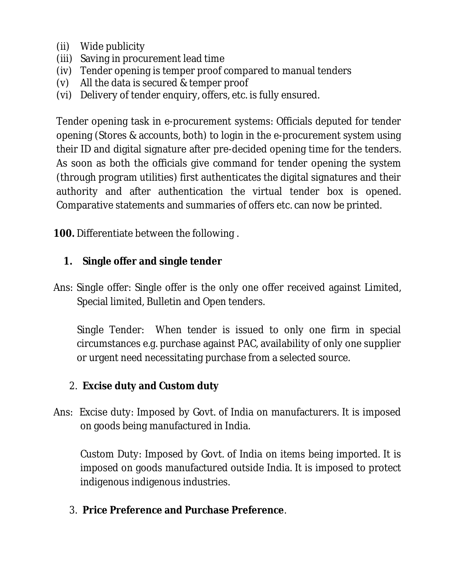- (ii) Wide publicity
- (iii) Saving in procurement lead time
- (iv) Tender opening is temper proof compared to manual tenders
- (v) All the data is secured & temper proof
- (vi) Delivery of tender enquiry, offers, etc. is fully ensured.

Tender opening task in e-procurement systems: Officials deputed for tender opening (Stores & accounts, both) to login in the e-procurement system using their ID and digital signature after pre-decided opening time for the tenders. As soon as both the officials give command for tender opening the system (through program utilities) first authenticates the digital signatures and their authority and after authentication the virtual tender box is opened. Comparative statements and summaries of offers etc. can now be printed.

**100.** Differentiate between the following .

#### **1. Single offer and single tender**

Ans: Single offer: Single offer is the only one offer received against Limited, Special limited, Bulletin and Open tenders.

Single Tender: When tender is issued to only one firm in special circumstances e.g. purchase against PAC, availability of only one supplier or urgent need necessitating purchase from a selected source.

# 2. **Excise duty and Custom duty**

Ans: Excise duty: Imposed by Govt. of India on manufacturers. It is imposed on goods being manufactured in India.

Custom Duty: Imposed by Govt. of India on items being imported. It is imposed on goods manufactured outside India. It is imposed to protect indigenous indigenous industries.

3. **Price Preference and Purchase Preference**.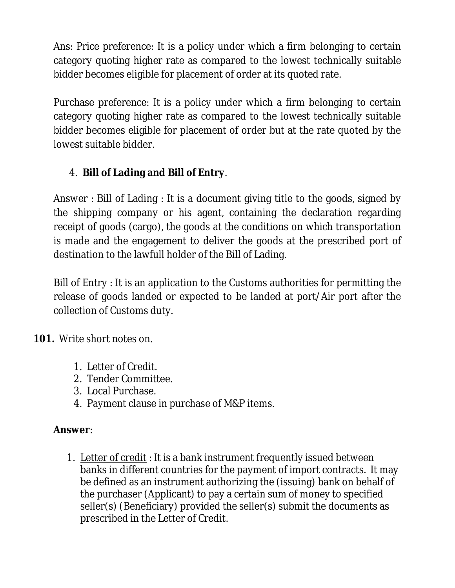Ans: Price preference: It is a policy under which a firm belonging to certain category quoting higher rate as compared to the lowest technically suitable bidder becomes eligible for placement of order at its quoted rate.

Purchase preference: It is a policy under which a firm belonging to certain category quoting higher rate as compared to the lowest technically suitable bidder becomes eligible for placement of order but at the rate quoted by the lowest suitable bidder.

# 4. **Bill of Lading and Bill of Entry**.

Answer : Bill of Lading : It is a document giving title to the goods, signed by the shipping company or his agent, containing the declaration regarding receipt of goods (cargo), the goods at the conditions on which transportation is made and the engagement to deliver the goods at the prescribed port of destination to the lawfull holder of the Bill of Lading.

Bill of Entry : It is an application to the Customs authorities for permitting the release of goods landed or expected to be landed at port/Air port after the collection of Customs duty.

**101.** Write short notes on.

- 1. Letter of Credit.
- 2. Tender Committee.
- 3. Local Purchase.
- 4. Payment clause in purchase of M&P items.

# **Answer**:

1. Letter of credit : It is a bank instrument frequently issued between banks in different countries for the payment of import contracts. It may be defined as an instrument authorizing the (issuing) bank on behalf of the purchaser (Applicant) to pay a certain sum of money to specified seller(s) (Beneficiary) provided the seller(s) submit the documents as prescribed in the Letter of Credit.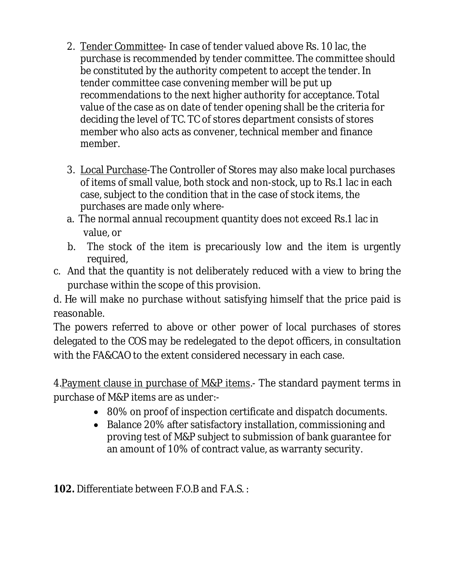- 2. Tender Committee- In case of tender valued above Rs. 10 lac, the purchase is recommended by tender committee. The committee should be constituted by the authority competent to accept the tender. In tender committee case convening member will be put up recommendations to the next higher authority for acceptance. Total value of the case as on date of tender opening shall be the criteria for deciding the level of TC. TC of stores department consists of stores member who also acts as convener, technical member and finance member.
- 3. Local Purchase-The Controller of Stores may also make local purchases of items of small value, both stock and non-stock, up to Rs.1 lac in each case, subject to the condition that in the case of stock items, the purchases are made only where-
- a. The normal annual recoupment quantity does not exceed Rs.1 lac in value, or
- b. The stock of the item is precariously low and the item is urgently required,
- c. And that the quantity is not deliberately reduced with a view to bring the purchase within the scope of this provision.

d. He will make no purchase without satisfying himself that the price paid is reasonable.

The powers referred to above or other power of local purchases of stores delegated to the COS may be redelegated to the depot officers, in consultation with the FA&CAO to the extent considered necessary in each case.

4. Payment clause in purchase of M&P items. The standard payment terms in purchase of M&P items are as under:-

- 80% on proof of inspection certificate and dispatch documents.
- Balance 20% after satisfactory installation, commissioning and proving test of M&P subject to submission of bank guarantee for an amount of 10% of contract value, as warranty security.

**102.** Differentiate between F.O.B and F.A.S. :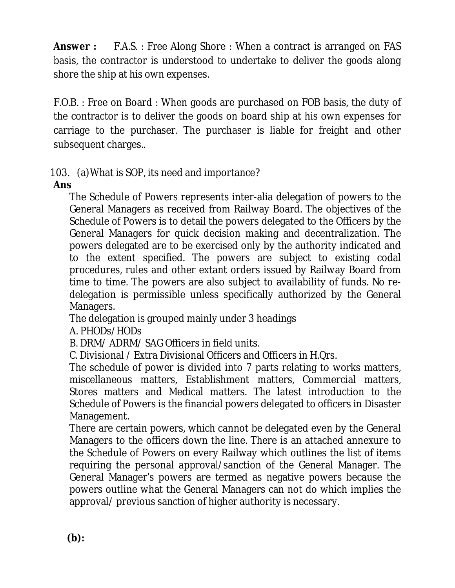**Answer :** F.A.S. : Free Along Shore : When a contract is arranged on FAS basis, the contractor is understood to undertake to deliver the goods along shore the ship at his own expenses.

F.O.B. : Free on Board : When goods are purchased on FOB basis, the duty of the contractor is to deliver the goods on board ship at his own expenses for carriage to the purchaser. The purchaser is liable for freight and other subsequent charges..

103. (a)What is SOP, its need and importance?

# **Ans**

The Schedule of Powers represents inter-alia delegation of powers to the General Managers as received from Railway Board. The objectives of the Schedule of Powers is to detail the powers delegated to the Officers by the General Managers for quick decision making and decentralization. The powers delegated are to be exercised only by the authority indicated and to the extent specified. The powers are subject to existing codal procedures, rules and other extant orders issued by Railway Board from time to time. The powers are also subject to availability of funds. No redelegation is permissible unless specifically authorized by the General Managers.

The delegation is grouped mainly under 3 headings

A. PHODs/HODs

B. DRM/ ADRM/ SAG Officers in field units.

C. Divisional / Extra Divisional Officers and Officers in H.Qrs.

The schedule of power is divided into 7 parts relating to works matters, miscellaneous matters, Establishment matters, Commercial matters, Stores matters and Medical matters. The latest introduction to the Schedule of Powers is the financial powers delegated to officers in Disaster Management.

There are certain powers, which cannot be delegated even by the General Managers to the officers down the line. There is an attached annexure to the Schedule of Powers on every Railway which outlines the list of items requiring the personal approval/sanction of the General Manager. The General Manager's powers are termed as negative powers because the powers outline what the General Managers can not do which implies the approval/ previous sanction of higher authority is necessary.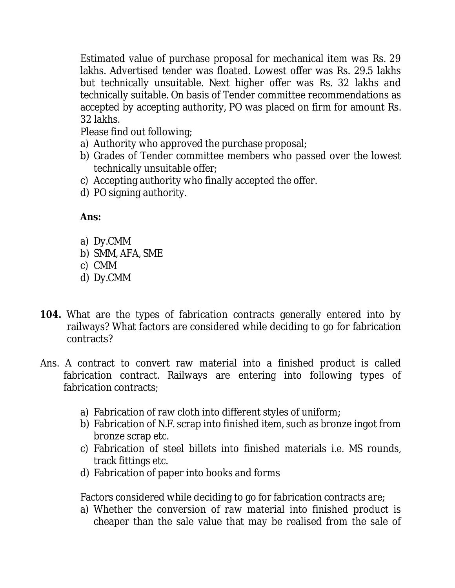Estimated value of purchase proposal for mechanical item was Rs. 29 lakhs. Advertised tender was floated. Lowest offer was Rs. 29.5 lakhs but technically unsuitable. Next higher offer was Rs. 32 lakhs and technically suitable. On basis of Tender committee recommendations as accepted by accepting authority, PO was placed on firm for amount Rs. 32 lakhs.

Please find out following;

- a) Authority who approved the purchase proposal;
- b) Grades of Tender committee members who passed over the lowest technically unsuitable offer;
- c) Accepting authority who finally accepted the offer.
- d) PO signing authority.

# **Ans:**

- a) Dy.CMM
- b) SMM, AFA, SME
- c) CMM
- d) Dy.CMM
- **104.** What are the types of fabrication contracts generally entered into by railways? What factors are considered while deciding to go for fabrication contracts?
- Ans. A contract to convert raw material into a finished product is called fabrication contract. Railways are entering into following types of fabrication contracts;
	- a) Fabrication of raw cloth into different styles of uniform;
	- b) Fabrication of N.F. scrap into finished item, such as bronze ingot from bronze scrap etc.
	- c) Fabrication of steel billets into finished materials i.e. MS rounds, track fittings etc.
	- d) Fabrication of paper into books and forms

Factors considered while deciding to go for fabrication contracts are;

a) Whether the conversion of raw material into finished product is cheaper than the sale value that may be realised from the sale of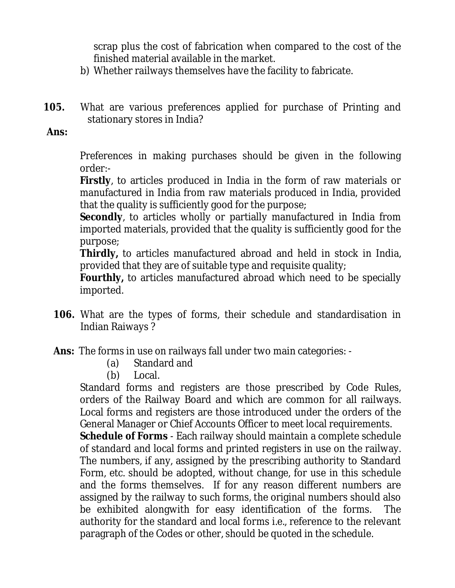scrap plus the cost of fabrication when compared to the cost of the finished material available in the market.

- b) Whether railways themselves have the facility to fabricate.
- **105.** What are various preferences applied for purchase of Printing and stationary stores in India?

#### **Ans:**

Preferences in making purchases should be given in the following order:-

**Firstly**, to articles produced in India in the form of raw materials or manufactured in India from raw materials produced in India, provided that the quality is sufficiently good for the purpose;

**Secondly**, to articles wholly or partially manufactured in India from imported materials, provided that the quality is sufficiently good for the purpose;

**Thirdly,** to articles manufactured abroad and held in stock in India, provided that they are of suitable type and requisite quality;

**Fourthly,** to articles manufactured abroad which need to be specially imported.

- **106.** What are the types of forms, their schedule and standardisation in Indian Raiways ?
- **Ans:** The forms in use on railways fall under two main categories:
	- (a) Standard and
	- (b) Local.

Standard forms and registers are those prescribed by Code Rules, orders of the Railway Board and which are common for all railways. Local forms and registers are those introduced under the orders of the General Manager or Chief Accounts Officer to meet local requirements.

**Schedule of Forms** - Each railway should maintain a complete schedule of standard and local forms and printed registers in use on the railway. The numbers, if any, assigned by the prescribing authority to Standard Form, etc. should be adopted, without change, for use in this schedule and the forms themselves. If for any reason different numbers are assigned by the railway to such forms, the original numbers should also be exhibited alongwith for easy identification of the forms. The authority for the standard and local forms i.e., reference to the relevant paragraph of the Codes or other, should be quoted in the schedule.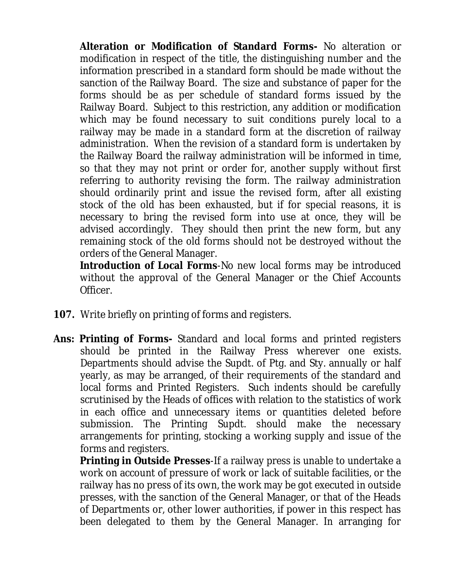**Alteration or Modification of Standard Forms-** No alteration or modification in respect of the title, the distinguishing number and the information prescribed in a standard form should be made without the sanction of the Railway Board. The size and substance of paper for the forms should be as per schedule of standard forms issued by the Railway Board. Subject to this restriction, any addition or modification which may be found necessary to suit conditions purely local to a railway may be made in a standard form at the discretion of railway administration. When the revision of a standard form is undertaken by the Railway Board the railway administration will be informed in time, so that they may not print or order for, another supply without first referring to authority revising the form. The railway administration should ordinarily print and issue the revised form, after all existing stock of the old has been exhausted, but if for special reasons, it is necessary to bring the revised form into use at once, they will be advised accordingly. They should then print the new form, but any remaining stock of the old forms should not be destroyed without the orders of the General Manager.

**Introduction of Local Forms**-No new local forms may be introduced without the approval of the General Manager or the Chief Accounts Officer.

- **107.** Write briefly on printing of forms and registers.
- **Ans: Printing of Forms-** Standard and local forms and printed registers should be printed in the Railway Press wherever one exists. Departments should advise the Supdt. of Ptg. and Sty. annually or half yearly, as may be arranged, of their requirements of the standard and local forms and Printed Registers. Such indents should be carefully scrutinised by the Heads of offices with relation to the statistics of work in each office and unnecessary items or quantities deleted before submission. The Printing Supdt. should make the necessary arrangements for printing, stocking a working supply and issue of the forms and registers.

**Printing in Outside Presses**-If a railway press is unable to undertake a work on account of pressure of work or lack of suitable facilities, or the railway has no press of its own, the work may be got executed in outside presses, with the sanction of the General Manager, or that of the Heads of Departments or, other lower authorities, if power in this respect has been delegated to them by the General Manager. In arranging for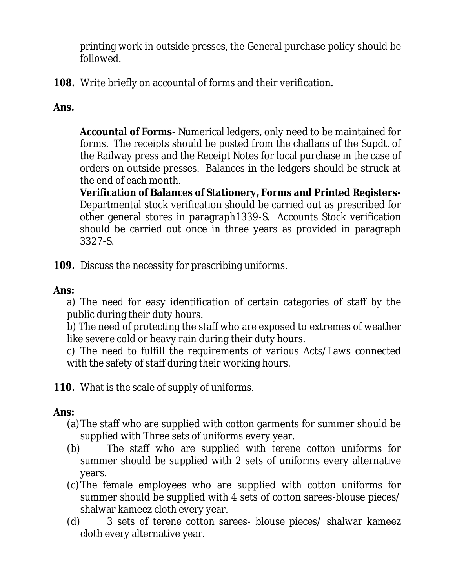printing work in outside presses, the General purchase policy should be followed.

**108.** Write briefly on accountal of forms and their verification.

# **Ans.**

**Accountal of Forms-** Numerical ledgers, only need to be maintained for forms. The receipts should be posted from the challans of the Supdt. of the Railway press and the Receipt Notes for local purchase in the case of orders on outside presses. Balances in the ledgers should be struck at the end of each month.

**Verification of Balances of Stationery, Forms and Printed Registers-**Departmental stock verification should be carried out as prescribed for other general stores in paragraph1339-S. Accounts Stock verification should be carried out once in three years as provided in paragraph 3327-S.

**109.** Discuss the necessity for prescribing uniforms.

## **Ans:**

a) The need for easy identification of certain categories of staff by the public during their duty hours.

b) The need of protecting the staff who are exposed to extremes of weather like severe cold or heavy rain during their duty hours.

c) The need to fulfill the requirements of various Acts/Laws connected with the safety of staff during their working hours.

**110.** What is the scale of supply of uniforms.

# **Ans:**

- (a)The staff who are supplied with cotton garments for summer should be supplied with Three sets of uniforms every year.
- (b) The staff who are supplied with terene cotton uniforms for summer should be supplied with 2 sets of uniforms every alternative years.
- (c)The female employees who are supplied with cotton uniforms for summer should be supplied with 4 sets of cotton sarees-blouse pieces/ shalwar kameez cloth every year.
- (d) 3 sets of terene cotton sarees- blouse pieces/ shalwar kameez cloth every alternative year.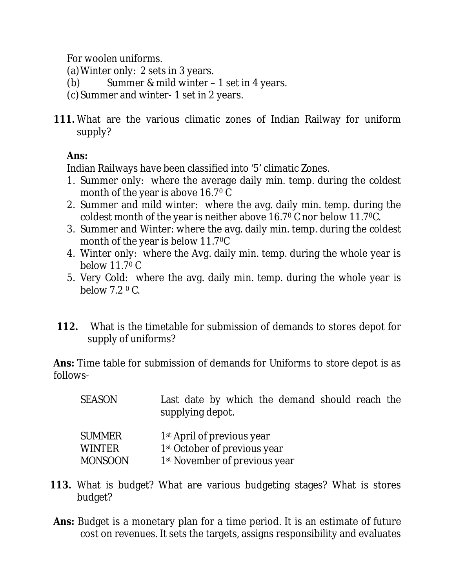For woolen uniforms.

- (a)Winter only: 2 sets in 3 years.
- (b) Summer & mild winter 1 set in 4 years.
- (c)Summer and winter- 1 set in 2 years.
- **111.** What are the various climatic zones of Indian Railway for uniform supply?

# **Ans:**

Indian Railways have been classified into '5' climatic Zones.

- 1. Summer only: where the average daily min. temp. during the coldest month of the year is above 16.7<sup>0</sup> C
- 2. Summer and mild winter: where the avg. daily min. temp. during the coldest month of the year is neither above 16.7<sup>0</sup> C nor below 11.70C.
- 3. Summer and Winter: where the avg. daily min. temp. during the coldest month of the year is below 11.70C
- 4. Winter only: where the Avg. daily min. temp. during the whole year is below 11.7<sup>0</sup> C
- 5. Very Cold: where the avg. daily min. temp. during the whole year is below  $7.2 \degree$  C.
- **112.** What is the timetable for submission of demands to stores depot for supply of uniforms?

**Ans:** Time table for submission of demands for Uniforms to store depot is as follows-

| SEASON |                  |  |  | Last date by which the demand should reach the |  |  |
|--------|------------------|--|--|------------------------------------------------|--|--|
|        | supplying depot. |  |  |                                                |  |  |

| <b>SUMMER</b>  | 1 <sup>st</sup> April of previous year    |
|----------------|-------------------------------------------|
| <b>WINTER</b>  | 1 <sup>st</sup> October of previous year  |
| <b>MONSOON</b> | 1 <sup>st</sup> November of previous year |

- **113.** What is budget? What are various budgeting stages? What is stores budget?
- **Ans:** Budget is a monetary plan for a time period. It is an estimate of future cost on revenues. It sets the targets, assigns responsibility and evaluates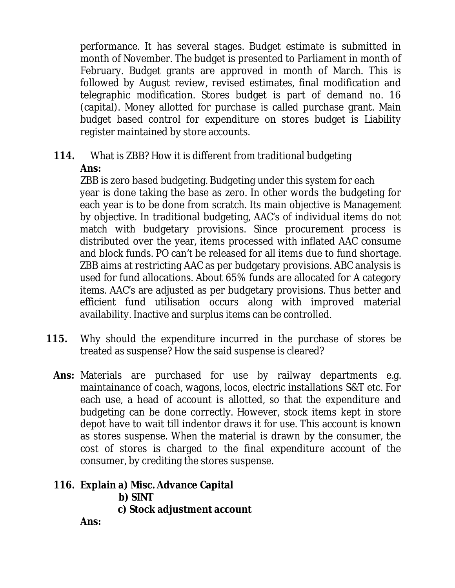performance. It has several stages. Budget estimate is submitted in month of November. The budget is presented to Parliament in month of February. Budget grants are approved in month of March. This is followed by August review, revised estimates, final modification and telegraphic modification. Stores budget is part of demand no. 16 (capital). Money allotted for purchase is called purchase grant. Main budget based control for expenditure on stores budget is Liability register maintained by store accounts.

**114.** What is ZBB? How it is different from traditional budgeting

**Ans:**

ZBB is zero based budgeting. Budgeting under this system for each year is done taking the base as zero. In other words the budgeting for each year is to be done from scratch. Its main objective is Management by objective. In traditional budgeting, AAC's of individual items do not match with budgetary provisions. Since procurement process is distributed over the year, items processed with inflated AAC consume and block funds. PO can't be released for all items due to fund shortage. ZBB aims at restricting AAC as per budgetary provisions. ABC analysis is used for fund allocations. About 65% funds are allocated for A category items. AAC's are adjusted as per budgetary provisions. Thus better and efficient fund utilisation occurs along with improved material availability. Inactive and surplus items can be controlled.

- **115.** Why should the expenditure incurred in the purchase of stores be treated as suspense? How the said suspense is cleared?
	- **Ans:** Materials are purchased for use by railway departments e.g. maintainance of coach, wagons, locos, electric installations S&T etc. For each use, a head of account is allotted, so that the expenditure and budgeting can be done correctly. However, stock items kept in store depot have to wait till indentor draws it for use. This account is known as stores suspense. When the material is drawn by the consumer, the cost of stores is charged to the final expenditure account of the consumer, by crediting the stores suspense.

# **116. Explain a) Misc. Advance Capital**

 **b) SINT c) Stock adjustment account**

**Ans:**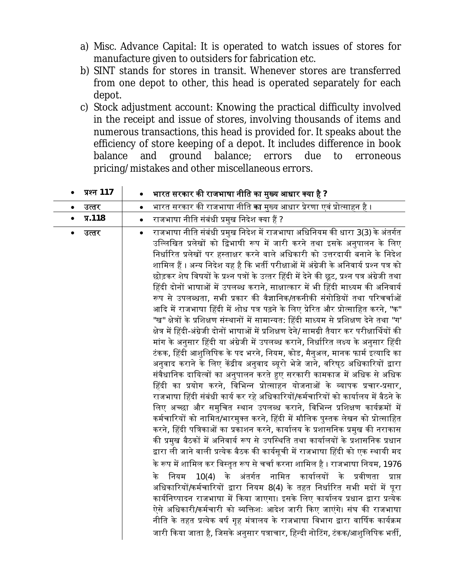- a) Misc. Advance Capital: It is operated to watch issues of stores for manufacture given to outsiders for fabrication etc.
- b) SINT stands for stores in transit. Whenever stores are transferred from one depot to other, this head is operated separately for each depot.
- c) Stock adjustment account: Knowing the practical difficulty involved in the receipt and issue of stores, involving thousands of items and numerous transactions, this head is provided for. It speaks about the efficiency of store keeping of a depot. It includes difference in book balance and ground balance; errors due to erroneous pricing/mistakes and other miscellaneous errors.

| प्रश्न 117         | भारत सरकार की राजभाषा नीति का मुख्य आधार क्या है ?                                                                                                                                                                                                                                                                                                                                                                                                                                                                                                                                                                                                                                                                                                                                                                                                                                                                                                                                                                                                                                                                                                                                                                                                                                                                                                                                                                                                                                                                                                                                                                                                                                                                                                                                                                                                                                                                                                                                                                                                                                                                                                                                                                                                                                                                                                                                                     |
|--------------------|--------------------------------------------------------------------------------------------------------------------------------------------------------------------------------------------------------------------------------------------------------------------------------------------------------------------------------------------------------------------------------------------------------------------------------------------------------------------------------------------------------------------------------------------------------------------------------------------------------------------------------------------------------------------------------------------------------------------------------------------------------------------------------------------------------------------------------------------------------------------------------------------------------------------------------------------------------------------------------------------------------------------------------------------------------------------------------------------------------------------------------------------------------------------------------------------------------------------------------------------------------------------------------------------------------------------------------------------------------------------------------------------------------------------------------------------------------------------------------------------------------------------------------------------------------------------------------------------------------------------------------------------------------------------------------------------------------------------------------------------------------------------------------------------------------------------------------------------------------------------------------------------------------------------------------------------------------------------------------------------------------------------------------------------------------------------------------------------------------------------------------------------------------------------------------------------------------------------------------------------------------------------------------------------------------------------------------------------------------------------------------------------------------|
| उत्तर              | भारत सरकार की राजभाषा नीति <b>का</b> मुख्य आधार प्रेरणा एवं प्रोत्साहन है ।                                                                                                                                                                                                                                                                                                                                                                                                                                                                                                                                                                                                                                                                                                                                                                                                                                                                                                                                                                                                                                                                                                                                                                                                                                                                                                                                                                                                                                                                                                                                                                                                                                                                                                                                                                                                                                                                                                                                                                                                                                                                                                                                                                                                                                                                                                                            |
| ٠                  | $\bullet$                                                                                                                                                                                                                                                                                                                                                                                                                                                                                                                                                                                                                                                                                                                                                                                                                                                                                                                                                                                                                                                                                                                                                                                                                                                                                                                                                                                                                                                                                                                                                                                                                                                                                                                                                                                                                                                                                                                                                                                                                                                                                                                                                                                                                                                                                                                                                                                              |
| $\P$ .118          | राजभाषा नीति संबंधी प्रमुख निदेश क्या हैं ?                                                                                                                                                                                                                                                                                                                                                                                                                                                                                                                                                                                                                                                                                                                                                                                                                                                                                                                                                                                                                                                                                                                                                                                                                                                                                                                                                                                                                                                                                                                                                                                                                                                                                                                                                                                                                                                                                                                                                                                                                                                                                                                                                                                                                                                                                                                                                            |
| $\bullet$          | $\bullet$                                                                                                                                                                                                                                                                                                                                                                                                                                                                                                                                                                                                                                                                                                                                                                                                                                                                                                                                                                                                                                                                                                                                                                                                                                                                                                                                                                                                                                                                                                                                                                                                                                                                                                                                                                                                                                                                                                                                                                                                                                                                                                                                                                                                                                                                                                                                                                                              |
| उत्तर<br>$\bullet$ | राजभाषा नीति संबंधी प्रमुख निदेश में राजभाषा अधिनियम की धारा 3(3) के अंतर्गत<br>$\bullet$<br>उल्लिखित प्रलेखों को द्विभाषी रूप में जारी करने तथा इसके अनुपालन के लिए<br>निर्धारित प्रलेखों पर हस्ताक्षर करने वाले अधिकारी को उत्तरदायी बनाने के निदेश<br>शामिल हैं । अन्य निदेश यह है कि भर्ती परीक्षाओं में अंग्रेजी के अनिवार्य प्रश्न पत्र को<br>छोड़कर शेष विषयों के प्रश्न पत्रों के उत्तर हिंदी में देने की छूट, प्रश्न पत्र अंग्रेजी तथा<br>हिंदी दोनों भाषाओं में उपलब्ध कराने, साक्षात्कार में भी हिंदी माध्यम की अनिवार्य<br>रूप से उपलब्धता, सभी प्रकार की वैज्ञानिक/तकनीकी संगोष्ठियों तथा परिचर्चाओं<br>आदि में राजभाषा हिंदी में शोध पत्र पढ़ने के लिए प्रेरित और प्रोत्साहित करने, "क"<br>"ख" क्षेत्रों के प्रशिक्षण संस्थानों में सामान्यत: हिंदी माध्यम से प्रशिक्षण देने तथा "ग'<br>क्षेत्र में हिंदी-अंग्रेजी दोनों भाषाओं में प्रशिक्षण देने/ सामग्री तैयार कर परीक्षार्थियों की<br>मांग के अनुसार हिंदी या अंग्रेजी में उपलब्ध कराने, निर्धारित लक्ष्य के अनुसार हिंदी<br>टंकक, हिंदी आशुलिपिक के पद भरने, नियम, कोड, मैनुअल, मानक फार्म इत्यादि का<br>अनुवाद कराने के लिए केंद्रीय अनुवाद ब्यूरो भेजे जाने, वरिष्ठ अधिकारियों द्वारा<br>संवैधानिक दायित्वों का अनुपालन करते हुए सरकारी कामकाज में अधिक से अधिक<br>हिंदी का प्रयोग करने, विभिन्न प्रोत्साहन योजनाओं के व्यापक प्रचार-प्रसार,<br>राजभाषा हिंदी संबंधी कार्य कर रहे अधिकारियों/कर्मचारियों को कार्यालय में बैठने के<br>लिए अच्छा और समुचित स्थान उपलब्ध कराने, विभिन्न प्रशिक्षण कार्यक्रमों में<br>कर्मचारियों को नामित/भारमुक्त करने, हिंदी में मौलिक पुस्तक लेखन को प्रोत्साहित<br>करने, हिंदी पत्रिकाओं का प्रकाशन करने, कार्यालय के प्रशासनिक प्रमुख की नराकास<br>की प्रमुख बैठकों में अनिवार्य रूप से उपस्थिति तथा कार्यालयों के प्रशासनिक प्रधान<br>द्वारा ली जाने वाली प्रत्येक बैठक की कार्यसूची में राजभाषा हिंदी को एक स्थायी मद<br>के रूप में शामिल कर विस्तृत रूप से चर्चा करना शामिल है । राजभाषा नियम, 1976<br>10(4) के अंतर्गत नामित कार्यालयों के प्रवीणता<br>नियम<br>के<br>प्राप्त<br>अधिकारियों/कर्मचारियों द्वारा नियम 8(4) के तहत निर्धारित सभी मदों में पूरा<br>कार्यनिष्पादन राजभाषा में किया जाएगा। इसके लिए कार्यालय प्रधान द्वारा प्रत्येक<br>ऐसे अधिकारी/कर्मचारी को व्यक्तिशः आदेश जारी किए जाएंगे। संघ की राजभाषा<br>नीति के तहत प्रत्येक वर्ष गृह मंत्रालय के राजभाषा विभाग द्वारा वार्षिक कार्यक्रम<br>जारी किया जाता है, जिसके अनुसार पत्राचार, हिन्दी नोटिंग, टंकक/आशुलिपिक भर्ती, |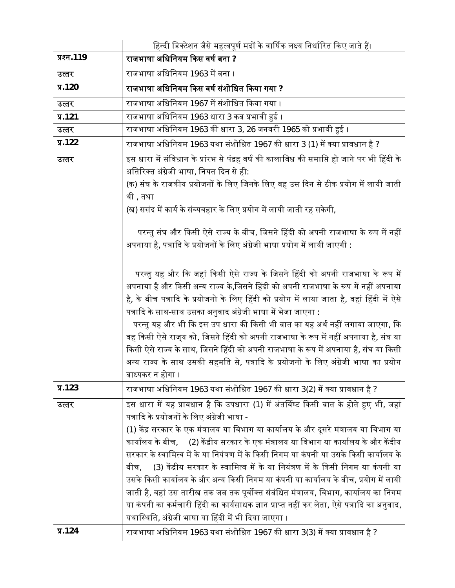|            | हिन्दी डिक्टेशन जैसे महत्वपूर्ण मदों के वार्षिक लक्ष्य निर्धारित किए जाते हैं।                                                                      |
|------------|-----------------------------------------------------------------------------------------------------------------------------------------------------|
| प्रश्न.119 | राजभाषा अधिनियम किस वर्ष बना ?                                                                                                                      |
| उत्तर      | राजभाषा अधिनियम 1963 में बना ।                                                                                                                      |
| $\P$ .120  | राजभाषा अधिनियम किस वर्ष संशोधित किया गया ?                                                                                                         |
| उत्तर      | राजभाषा अधिनियम 1967 में संशोधित किया गया ।                                                                                                         |
| $\P$ .121  | राजभाषा अधिनियम 1963 धारा 3 कब प्रभावी हुई ।                                                                                                        |
| उत्तर      | राजभाषा अधिनियम 1963 की धारा 3, 26 जनवरी 1965 को प्रभावी हुई ।                                                                                      |
| $\P$ .122  | राजभाषा अधिनियम 1963 यथा संशोधित 1967 की धारा 3 (1) में क्या प्रावधान है ?                                                                          |
| उत्तर      | इस धारा में संविधान के प्रांरभ से पंद्रह वर्ष की कालाविध की समाप्ति हो जाने पर भी हिंदी के                                                          |
|            | अतिरिक्त अंग्रेजी भाषा, नियत दिन से ही:                                                                                                             |
|            | (क) संघ के राजकीय प्रयोजनों के लिए जिनके लिए वह उस दिन से ठीक प्रयोग में लायी जाती                                                                  |
|            | थी , तथा                                                                                                                                            |
|            | (ख) ससंद में कार्य के संव्यवहार के लिए प्रयोग में लायी जाती रह सकेगी,                                                                               |
|            | परन्तु संघ और किसी ऐसे राज्य के बीच, जिसने हिंदी को अपनी राजभाषा के रूप में नहीं                                                                    |
|            | अपनाया है, पत्रादि के प्रयोजनों के लिए अंग्रेजी भाषा प्रयोग में लायी जाएगी :                                                                        |
|            |                                                                                                                                                     |
|            | परन्तु यह और कि जहां किसी ऐसे राज्य के जिसने हिंदी को अपनी राजभाषा के रूप में                                                                       |
|            | अपनाया है और किसी अन्य राज्य के,जिसने हिंदी को अपनी राजभाषा के रूप में नहीं अपनाया                                                                  |
|            | है, के बीच पत्रादि के प्रयोजनो के लिए हिंदी को प्रयोग में लाया जाता है, वहां हिंदी में ऐसे                                                          |
|            | पत्रादि के साथ-साथ उसका अनुवाद अंग्रेजी भाषा में भेजा जाएगा :                                                                                       |
|            | परन्तु यह और भी कि इस उप धारा की किसी भी बात का यह अर्थ नहीं लगाया जाएगा, कि                                                                        |
|            | वह किसी ऐसे राज् <b>य को, जिसने हिंदी को अपनी राजभाषा के रूप</b> में नहीं अपनाया है, संघ या                                                         |
|            | किसी ऐसे राज्य के साथ, जिसने हिंदी को अपनी राजभाषा के रूप में अपनाया है, संघ या किसी                                                                |
|            | अन्य राज्य के साथ उसकी सहमति से, पत्रादि के प्रयोजनो के लिए अंग्रेजी भाषा का प्रयोग                                                                 |
|            | बाध्यकर न होगा ।                                                                                                                                    |
| $\P$ .123  | राजभाषा अधिनियम 1963 यथा संशोधित 1967 की धारा 3(2) में क्या प्रावधान है ?                                                                           |
| उत्तर      | इस धारा में यह प्रावधान है कि उपधारा (1) में अंतर्विष्ट किसी बात के होते हुए भी, जहां                                                               |
|            | पत्रादि के प्रयोजनों के लिए अंग्रेजी भाषा -                                                                                                         |
|            | (1) केंद्र सरकार के एक मंत्रालय या विभाग या कार्यालय के और दूसरे मंत्रालय या विभाग या                                                               |
|            | कार्यालय के बीच,     (2) केंद्रीय सरकार के एक मंत्रालय या विभाग या कार्यालय के और केंदीय                                                            |
|            | सरकार के स्वामित्व में के या नियंत्रण में के किसी निगम या कंपनी या उसके किसी कार्यालय के                                                            |
|            | (3) केंद्रीय सरकार के स्वामित्व में के या नियंत्रण में के किसी निगम या कंपनी या<br>बीच.                                                             |
|            | उसके किसी कार्यालय के और अन्य किसी निगम या कंपनी या कार्यालय के बीच, प्रयोग में लायी                                                                |
|            | जाती है, वहां उस तारीख तक जब तक पूर्वोक्त संबंधित मंत्रालय, विभाग, कार्यालय का निगम                                                                 |
|            | या कंपनी का कर्मचारी हिंदी का कार्यसाधक ज्ञान प्राप्त नहीं कर लेता, ऐसे पत्रादि का अनुवाद,<br>यथास्थिति, अंग्रेजी भाषा या हिंदी में भी दिया जाएगा । |
|            |                                                                                                                                                     |
| $\P$ .124  | राजभाषा अधिनियम 1963 यथा संशोधित 1967 की धारा 3(3) में क्या प्रावधान है ?                                                                           |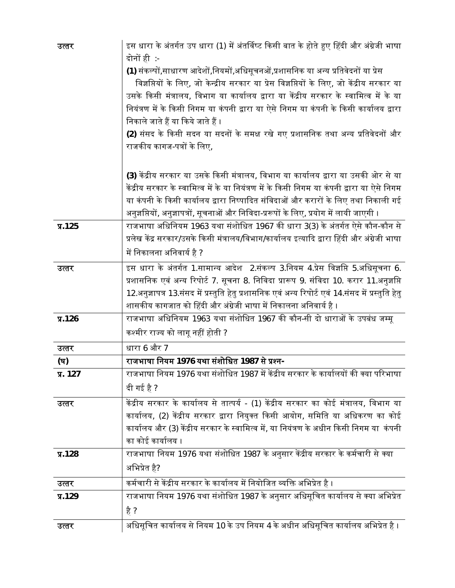| उत्तर      | इस धारा के अंतर्गत उप धारा (1) में अंतर्विष्ट किसी बात के होते हुए हिंदी और अंग्रेजी भाषा<br>दोनों ही :-<br>(1) संकल्पों,साधारण आदेशों,नियमों,अधिसूचनओं,प्रशासनिक या अन्य प्रतिवेदनों या प्रेस<br>विज्ञप्तियों के लिए, जो केन्द्रीय सरकार या प्रेस विज्ञप्तियों के लिए, जो केंद्रीय सरकार या<br>उसके किसी मंत्रालय, विभाग या कार्यालय द्वारा या केंद्रीय सरकार के स्वामित्व में के या<br>नियंत्रण में के किसी निगम या कंपनी द्वारा या ऐसे निगम या कंपनी के किसी कार्यालय द्वारा<br>निकाले जाते हैं या किये जाते हैं ।<br>(2) संसद के किसी सदन या सदनों के समक्ष रखे गए प्रशासनिक तथा अन्य प्रतिवेदनों और<br>राजकीय कागज-पत्रों के लिए, |
|------------|----------------------------------------------------------------------------------------------------------------------------------------------------------------------------------------------------------------------------------------------------------------------------------------------------------------------------------------------------------------------------------------------------------------------------------------------------------------------------------------------------------------------------------------------------------------------------------------------------------------------------------------|
|            | (3) केंद्रीय सरकार या उसके किसी मंत्रालय, विभाग या कार्यालय द्वारा या उसकी ओर से या<br>केंद्रीय सरकार के स्वामित्व में के या नियंत्रण में के किसी निगम या कंपनी द्वारा या ऐसे निगम<br>या कंपनी के किसी कार्यालय द्वारा निष्पादित संविदाओं और करारों के लिए तथा निकाली गई<br>अनुज्ञप्तियों, अनुज्ञापत्रों, सूचनाओं और निविदा-प्ररूपों के लिए, प्रयोग में लायी जाएगी ।                                                                                                                                                                                                                                                                   |
| $\P$ .125  | राजभाषा अधिनियम 1963 यथा संशोधित 1967 की धारा 3(3) के अंतर्गत ऐसे कौन-कौन से<br>प्रलेख केंद्र सरकार/उसके किसी मंत्रालय/विभाग/कार्यालय इत्यादि द्वारा हिंदी और अंग्रेजी भाषा<br>में निकालना अनिवार्य है ?                                                                                                                                                                                                                                                                                                                                                                                                                               |
| उत्तर      | इस धारा के अंतर्गत 1.सामान्य आदेश  2.संकल्प 3.नियम 4.प्रेस विज्ञप्ति 5.अधिसूचना 6.<br>प्रशासनिक एवं अन्य रिपोर्ट 7. सूचना 8. निविदा प्रारूप 9. संविदा 10. करार 11.अनुज्ञप्ति<br>12.अनुज्ञापत्र 13.संसद में प्रस्तुति हेतु प्रशासनिक एवं अन्य रिपोर्ट एवं 14.संसद में प्रस्तुति हेतु<br>शासकीय कागजात को हिंदी और अंग्रेजी भाषा में निकालना अनिवार्य है ।                                                                                                                                                                                                                                                                               |
| $\P$ .126  | राजभाषा अधिनियम 1963 यथा संशोधित 1967 की कौन-सी दो धाराओं के उपबंध जम्मू<br>कश्मीर राज्य को लागू नहीं होती ?                                                                                                                                                                                                                                                                                                                                                                                                                                                                                                                           |
| उत्तर      | धारा 6 और 7                                                                                                                                                                                                                                                                                                                                                                                                                                                                                                                                                                                                                            |
| (घ)        | राजभाषा नियम 1976 यथा संशोधित 1987 से प्रश्न-                                                                                                                                                                                                                                                                                                                                                                                                                                                                                                                                                                                          |
| $\Pi. 127$ | राजभाषा नियम 1976 यथा संशोधित 1987 में केंद्रीय सरकार के कार्यालयों की क्या परिभाषा<br>दी गई है ?                                                                                                                                                                                                                                                                                                                                                                                                                                                                                                                                      |
| उत्तर      | केंद्रीय सरकार के कार्यालय से तात्पर्य - (1) केंद्रीय सरकार का कोई मंत्रालय, विभाग या<br>कार्यालय, (2) केंद्रीय सरकार द्वारा नियुक्त किसी आयोग, समिति या अधिकरण का कोई<br>कार्यालय और (3) केंद्रीय सरकार के स्वामित्व में, या नियंत्रण के अधीन किसी निगम या  कंपनी<br>का कोई कार्यालय ।                                                                                                                                                                                                                                                                                                                                                |
| $\P$ .128  | राजभाषा नियम 1976 यथा संशोधित 1987 के अनुसार केंद्रीय सरकार के कर्मचारी से क्या<br>अभिप्रेत है?                                                                                                                                                                                                                                                                                                                                                                                                                                                                                                                                        |
| उत्तर      | कर्मचारी से केंद्रीय सरकार के कार्यालय में नियोजित व्यक्ति अभिप्रेत है ।                                                                                                                                                                                                                                                                                                                                                                                                                                                                                                                                                               |
| $\P$ .129  | राजभाषा नियम 1976 यथा संशोधित 1987 के अनुसार अधिसूचित कार्यालय से क्या अभिप्रेत<br>है ?                                                                                                                                                                                                                                                                                                                                                                                                                                                                                                                                                |
| उत्तर      | अधिसूचित कार्यालय से नियम 10 के उप नियम 4 के अधीन अधिसूचित कार्यालय अभिप्रेत है ।                                                                                                                                                                                                                                                                                                                                                                                                                                                                                                                                                      |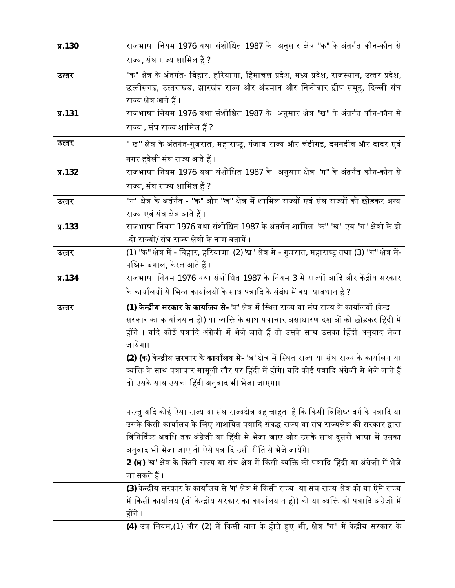| $\P$ .130 | राजभाषा नियम 1976 यथा संशोधित 1987 के अनुसार क्षेत्र "क" के अंतर्गत कौन-कौन से                                         |
|-----------|------------------------------------------------------------------------------------------------------------------------|
|           | राज्य, संघ राज्य शामिल हैं ?                                                                                           |
| उत्तर     | "क" क्षेत्र के अंतर्गत- बिहार, हरियाणा, हिमाचल प्रदेश, मध्य प्रदेश, राजस्थान, उत्तर प्रदेश,                            |
|           | छत्तीसगढ़, उत्तराखंड, झारखंड राज्य और अंडमान और निकोबार द्वीप समूह, दिल्ली संघ                                         |
|           | राज्य क्षेत्र आते हैं ।                                                                                                |
| $\P$ .131 | राजभाषा नियम 1976 यथा संशोधित 1987 के अनुसार क्षेत्र "ख" के अंतर्गत कौन-कौन से                                         |
|           | राज्य , संघ राज्य शामिल हैं ?                                                                                          |
| उत्तर     | " ख" क्षेत्र के अंतर्गत-गुजरात, महाराष्ट्र, पंजाब राज्य और चंडीगढ़, दमनदीव और दादर एवं                                 |
|           | नगर हवेली संघ राज्य आते हैं ।                                                                                          |
| $\P$ .132 | राजभाषा नियम 1976 यथा संशोधित 1987 के अनुसार क्षेत्र "ग" के अंतर्गत कौन-कौन से                                         |
|           | राज्य, संघ राज्य शामिल हैं ?                                                                                           |
| उत्तर     | "ग" क्षेत्र के अतंर्गत - "क" और "ख" क्षेत्र में शामिल राज्यों एवं संघ राज्यों को छोड़कर अन्य                           |
|           | राज्य एवं संघ क्षेत्र आते हैं ।                                                                                        |
| $\P$ .133 | राजभाषा नियम 1976 यथा संशोधित 1987 के अंतर्गत शामिल "क" ''ख" एवं ''ग" क्षेत्रों के दो                                  |
|           | -दो राज्यों/ संघ राज्य क्षेत्रों के नाम बतायें ।                                                                       |
| उत्तर     | (1) ''क'' क्षेत्र में - बिहार, हरियाणा (2)''ख'' क्षेत्र में - गुजरात, महाराष्ट्र तथा (3) ''ग'' क्षेत्र में-            |
|           | पश्चिम बंगाल, केरल आते हैं ।                                                                                           |
| $\P$ .134 | राजभाषा नियम 1976 यथा संशोधित 1987 के नियम 3 में राज्यों आदि और केंद्रीय सरकार                                         |
|           |                                                                                                                        |
|           | के कार्यालयों से भिन्न कार्यालयों के साथ पत्रादि के संबंध में क्या प्रावधान है ?                                       |
| उत्तर     | (1) <b>केन्द्रीय सरकार के कार्यालय से-</b> 'क' क्षेत्र में स्थित राज्य या संघ राज्य के कार्यालयों (केन्द्र             |
|           | सरकार का कार्यालय न हो) या व्यक्ति के साथ पत्राचार असाधारण दशाओं को छोड़कर हिंदी में                                   |
|           | होंगे । यदि कोई पत्रादि अंग्रेजी में भेजे जाते हैं तो उसके साथ उसका हिंदी अनुवाद भेजा                                  |
|           | जायेगा।                                                                                                                |
|           | (2) (क) केन्द्रीय सरकार के कार्यालय से- 'ख' क्षेत्र में स्थित राज्य या संघ राज्य के कार्यालय या                        |
|           | व्यक्ति के साथ पत्राचार मामूली तौर पर हिंदी में होंगे। यदि कोई पत्रादि अंग्रेजी में भेजे जाते हैं                      |
|           | तो उसके साथ उसका हिंदी अनुवाद भी भेजा जाएगा।                                                                           |
|           |                                                                                                                        |
|           | परन्तु यदि कोई ऐसा राज्य या संघ राज्यक्षेत्र यह चाहता है कि किसी विशिष्ट वर्ग के पत्रादि या                            |
|           | उसके किसी कार्यालय के लिए आशयित पत्रादि संबद्ध राज्य या संघ राज्यक्षेत्र की सरकार द्वारा                               |
|           | विनिर्दिष्ट अवधि तक अंग्रेजी या हिंदी मे भेजा जाए और उसके साथ दूसरी भाषा में उसका                                      |
|           | अनुवाद भी भेजा जाए तो ऐसे पत्रादि उसी रीति से भेजे जायेंगे।                                                            |
|           | 2 (ख) 'ख' क्षेत्र के किसी राज्य या संघ क्षेत्र में किसी व्यक्ति को पत्रादि हिंदी या अंग्रेजी में भेजे<br>जा सकते हैं । |
|           | (3) केन्द्रीय सरकार के कार्यालय से 'ग' क्षेत्र में किसी राज्य  या संघ राज्य क्षेत्र को या ऐसे राज्य                    |
|           | में किसी कार्यालय (जो केन्द्रीय सरकार का कार्यालय न हो) को या व्यक्ति को पत्रादि अंग्रेजी में                          |
|           | होंगे ।<br>(4) उप नियम,(1) और (2) में किसी बात के होते हुए भी, क्षेत्र "ग" में केंद्रीय सरकार के                       |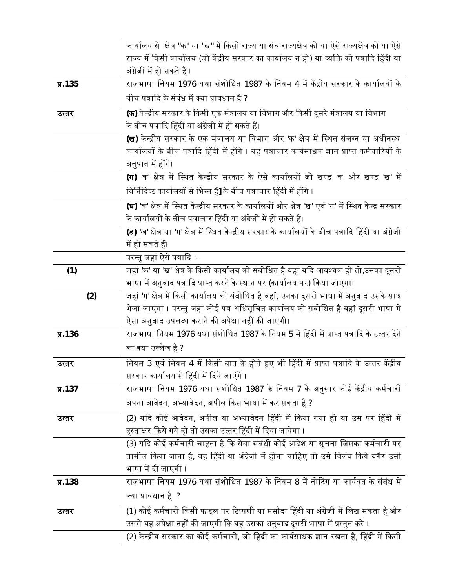|            | कार्यालय से  क्षेत्र "क" या "ख" में किसी राज्य या संघ राज्यक्षेत्र को या ऐसे राज्यक्षेत्र को या ऐसे           |
|------------|---------------------------------------------------------------------------------------------------------------|
|            | राज्य में किसी कार्यालय (जो केंद्रीय सरकार का कार्यालय न हो) या व्यक्ति को पत्रादि हिंदी या                   |
|            | अंग्रेजी में हो सकते हैं ।                                                                                    |
| $\P$ .135  | राजभाषा नियम 1976 यथा संशोधित 1987 के नियम 4 में केंद्रीय सरकार के कार्यालयों के                              |
|            | बीच पत्रादि के संबंध में क्या प्रावधान है ?                                                                   |
| उत्तर      | <b>(क)</b> केन्द्रीय सरकार के किसी एक मंत्रालय या विभाग और किसी दूसरे मंत्रालय या विभाग                       |
|            | के बीच पत्रादि हिंदी या अंग्रेजी में हो सकते हैं।                                                             |
|            | <b>(ख)</b> केन्द्रीय सरकार के एक मंत्रालय या विभाग और 'क' क्षेत्र में स्थित संलग्न या अधीनस्थ                 |
|            | कार्यालयों के बीच पत्रादि हिंदी में होंगे । यह पत्राचार कार्यसाधक ज्ञान प्राप्त कर्मचारियों के                |
|            | अनुपात में होंगे।                                                                                             |
|            | <b>(ग)</b> 'क' क्षेत्र में स्थित केन्द्रीय सरकार के ऐसे कार्यालयों जो खण्ड 'क' और खण्ड <sup>'</sup> ख' में    |
|            | विर्निदिष्ट कार्यालयों से भिन्न हैं] के बीच पत्राचार हिंदी में होंगे ।                                        |
|            | <b>(घ)</b> 'क' क्षेत्र में स्थित केन्द्रीय सरकार के कार्यालयों और क्षेत्र 'ख' एवं 'ग' में स्थित केन्द्र सरकार |
|            | के कार्यालयों के बीच पत्राचार हिंदी या अंग्रेजी में हो सकतें हैं।                                             |
|            | (ड) 'ख' क्षेत्र या 'ग' क्षेत्र में स्थित केन्द्रीय सरकार के कार्यालयों के बीच पत्रादि हिंदी या अंग्रेजी       |
|            | में हो सकते हैं।                                                                                              |
|            | परन्तु जहां ऐसे पत्रादि:-                                                                                     |
| (1)        | जहां 'क' या 'ख' क्षेत्र के किसी कार्यालय को संबोधित है वहां यदि आवश्यक हो तो,उसका दूसरी                       |
|            | भाषा में अनुवाद पत्रादि प्राप्त करने के स्थान पर (कार्यालय पर) किया जाएगा।                                    |
|            |                                                                                                               |
| (2)        | जहां 'ग' क्षेत्र में किसी कार्यालय को संबोधित है वहाँ, उनका दूसरी भाषा में अनुवाद उसके साथ                    |
|            | भेजा जाएगा । परन्तु जहां कोई पत्र अधिसूचित कार्यालय को संबोधित है वहाँ दूसरी भाषा में                         |
|            | ऐसा अनुवाद उपलब्ध कराने की अपेक्षा नहीं की जाएगी।                                                             |
| $\Pi$ .136 | राजभाषा नियम 1976 यथा संशोधित 1987 के नियम 5 में हिंदी में प्राप्त पत्रादि के उत्तर देने                      |
|            | का क्या उल्लेख है ?                                                                                           |
| उत्तर      | नियम 3 एवं नियम 4 में किसी बात के होते हुए भी हिंदी में प्राप्त पत्रादि के उत्तर केंद्रीय                     |
|            | सरकार कार्यालय से हिंदी में दिये जाएंगे ।                                                                     |
| $\P$ .137  | राजभाषा नियम 1976 यथा संशोधित 1987 के नियम 7 के अनुसार कोई केंद्रीय कर्मचारी                                  |
|            | अपना आवेदन, अभ्यावेदन, अपील किस भाषा में कर सकता है ?                                                         |
| उत्तर      | (2) यदि कोई आवेदन, अपील या अभ्यावेदन हिंदी में किया गया हो या उस पर हिंदी में                                 |
|            | हस्ताक्षर किये गये हों तो उसका उत्तर हिंदी में दिया जायेगा ।                                                  |
|            | (3) यदि कोई कर्मचारी चाहता है कि सेवा संबंधी कोई आदेश या सूचना जिसका कर्मचारी पर                              |
|            | तामील किया जाना है, वह हिंदी या अंग्रेजी में होना चाहिए तो उसे विलंब किये बगैर उसी                            |
|            | भाषा में दी जाएगी ।                                                                                           |
| $\P$ .138  | राजभाषा नियम 1976 यथा संशोधित 1987 के नियम 8 में नोटिंग या कार्यवृत के संबंध में                              |
|            | क्या प्रावधान है  ?                                                                                           |
| उत्तर      | (1) कोई कर्मचारी किसी फाइल पर टिप्पणी या मसौदा हिंदी या अंग्रेजी में लिख सकता है और                           |
|            | उससे यह अपेक्षा नहीं की जाएगी कि वह उसका अनुवाद दूसरी भाषा में प्रस्तुत करे ।                                 |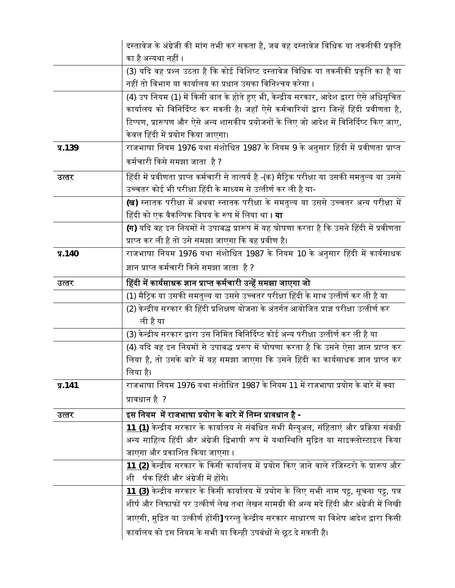|           | दस्तावेज के अंग्रेजी की मांग तभी कर सकता है, जब वह दस्तावेज विधिक या तकनीकी प्रकृति             |
|-----------|-------------------------------------------------------------------------------------------------|
|           | का है अन्यथा नहीं ।                                                                             |
|           | (3) यदि वह प्रश्न उठता है कि कोई विशिष्ट दस्तावेज विधिक या तकनीकी प्रकृति का है या              |
|           | नहीं तो विभाग या कार्यालय का प्रधान उसका विनिश्चय करेगा ।                                       |
|           | (4) उप नियम (1) में किसी बात के होते हुए भी, केन्द्रीय सरकार, आदेश द्वारा ऐसे अधिसूचित          |
|           | कार्यालय को विनिर्दिष्ट कर सकती है। जहाँ ऐसे कर्मचारियों द्वारा जिन्हें हिंदी प्रवीणता है,      |
|           | टिप्पण, प्रारूपण और ऐसे अन्य शासकीय प्रयोजनों के लिए जो आदेश में विनिर्दिष्ट किए जाए,           |
|           | केवल हिंदी में प्रयोग किया जाएगा।                                                               |
| $\P$ .139 | राजभाषा नियम 1976 यथा संशोधित 1987 के नियम 9 के अनुसार हिंदी में प्रवीणता प्राप्त               |
|           | कर्मचारी किसे समझा जाता  है ?                                                                   |
| उत्तर     | हिंदी में प्रवीणता प्राप्त कर्मचारी से तात्पर्य है -(क) मैट्रिक परीक्षा या उसकी समतुल्य या उससे |
|           | उच्चतर कोई भी परीक्षा हिंदी के माध्यम से उत्तीर्ण कर ली है या-                                  |
|           | <b>(ख)</b> स्नातक परीक्षा में अथवा स्नातक परीक्षा के समतुल्य या उससे उच्चतर अन्य परीक्षा में    |
|           | हिंदी को एक वैकल्पिक विषय के रूप में लिया था <b>। या</b>                                        |
|           | <b>(ग)</b> यदि वह इन नियमों से उपाबद्ध प्रारूप में यह घोषणा करता है कि उसने हिंदी में प्रवीणता  |
|           | प्राप्त कर ली है तो उसे समझा जाएगा कि वह प्रवीण है।                                             |
| $\P$ .140 | राजभाषा नियम 1976 यथा संशोधित 1987 के नियम 10 के अनुसार हिंदी में कार्यसाधक                     |
|           | ज्ञान प्राप्त कर्मचारी किसे समझा जाता  है ?                                                     |
| उत्तर     | हिंदी में कार्यसाधक ज्ञान प्राप्त कर्मचारी उन्हें समझा जाएगा जो                                 |
|           | (1) मैट्रिक या उसकी समतुल्य या उससे उच्चतर परीक्षा हिंदी के साथ उत्तीर्ण कर ली है या            |
|           | (2) केन्द्रीय सरकार की हिंदी प्रशिक्षण योजना के अंतर्गत आयोजित प्राज्ञ परीक्षा उत्तीर्ण कर      |
|           | ली है या                                                                                        |
|           | (3) केन्द्रीय सरकार द्वारा उस निमित विनिर्दिष्ट कोई अन्य परीक्षा उत्तीर्ण कर ली है या           |
|           | (4) यदि वह इन नियमों से उपाबद्ध प्ररूप में घोषणा करता है कि उसने ऐसा ज्ञान प्राप्त कर           |
|           | लिया है, तो उसके बारे में यह समझा जाएगा कि उसने हिंदी का कार्यसाधक ज्ञान प्राप्त कर             |
|           | लिया है।                                                                                        |
| $\P$ .141 | राजभाषा नियम 1976 यथा संशोधित 1987 के नियम 11 में राजभाषा प्रयोग के बारे में क्या               |
|           | प्रावधान है ?                                                                                   |
| उत्तर     | इस नियम  में राजभाषा प्रयोग के बारे में निम्न प्रावधान है -                                     |
|           | 11 (1) केन्द्रीय सरकार के कार्यालय से संबंधित सभी मैन्युअल, संहिताएं और प्रक्रिया संबंधी        |
|           | अन्य साहित्य हिंदी और अंग्रेजी द्विभाषी रूप में यथास्थिति मुद्रित या साइक्लोस्टाइल किया         |
|           | जाएगा और प्रकाशित किया जाएगा ।                                                                  |
|           | 11 (2) केन्द्रीय सरकार के किसी कार्यालय में प्रयोग किए जाने वाले रजिस्टरो के प्रारूप और         |
|           |                                                                                                 |
|           | र्षक हिंदी और अंग्रेजी में होंगे।<br>शी                                                         |
|           | 11 (3) केन्द्रीय सरकार के किसी कार्यालय में प्रयोग के लिए सभी नाम पट्ट, सूचना पट्ट, पत्र        |
|           | शीर्ष और लिफाफों पर उत्कीर्ण लेख तथा लेखन सामग्री की अन्य मदें हिंदी और अंग्रेजी में लिखी       |
|           | जाएगी, मुद्रित या उत्कीर्ण होंगी] परन्तु केन्द्रीय सरकार साधारण या विशेष आदेश द्वारा किसी       |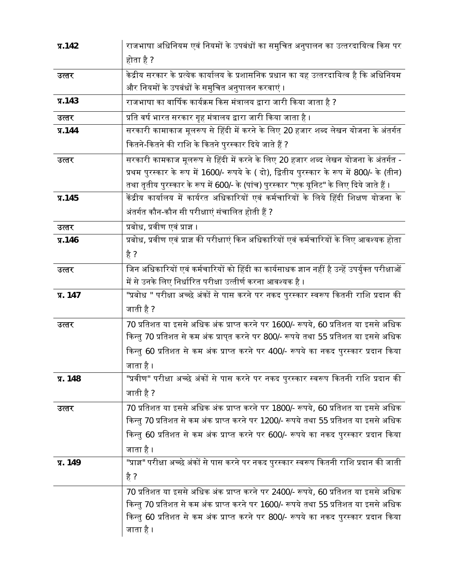| $\P$ .142  | राजभाषा अधिनियम एवं नियमों के उपबंधों का समुचित अनुपालन का उत्तरदायित्व किस पर                |
|------------|-----------------------------------------------------------------------------------------------|
|            | होता है ?                                                                                     |
| उत्तर      | केद्रीय सरकार के प्रत्येक कार्यालय के प्रशासनिक प्रधान का यह उत्तरदायित्व है कि अधिनियम       |
|            | और नियमों के उपबंधों के समुचित अनुपालन करवाएं ।                                               |
| $\P$ .143  | राजभाषा का वार्षिक कार्यक्रम किस मंत्रालय द्वारा जारी किया जाता है ?                          |
| उत्तर      | प्रति वर्ष भारत सरकार गृह मंत्रालय द्वारा जारी किया जाता है ।                                 |
| $\P$ .144  | सरकारी कामाकाज मूलरूप से हिंदी में करने के लिए 20 हजार शब्द लेखन योजना के अंतर्गत             |
|            | कितने-कितने की राशि के कितने पुरस्कार दिये जाते हैं ?                                         |
| उत्तर      | सरकारी कामकाज मूलरूप से हिंदी में करने के लिए 20 हजार शब्द लेखन योजना के अंतर्गत -            |
|            | प्रथम पुरस्कार के रूप में 1600/- रूपये के ( दो), द्वितीय पुरस्कार के रूप में 800/- के (तीन)   |
|            | तथा तृतीय पुरस्कार के रूप में 600/- के (पांच) पुरस्कार "एक यूनिट" के लिए दिये जाते हैं ।      |
| $\P$ .145  | केंद्रीय कार्यालय में कार्यरत अधिकारियों एवं कर्मचारियों के लिये हिंदी शिक्षण योजना के        |
|            | अंतर्गत कौन-कौन सी परीक्षाएं संचालित होती हैं ?                                               |
| उत्तर      | प्रबोध, प्रवीण एवं प्राज्ञ ।                                                                  |
| $\P$ .146  | प्रबोध, प्रवीण एवं प्राज्ञ की परीक्षाएं किन अधिकारियों एवं कर्मचारियों के लिए आवश्यक होता     |
|            | है ?                                                                                          |
| उत्तर      | जिन अधिकारियों एवं कर्मचारियों को हिंदी का कार्यसाधक ज्ञान नहीं है उन्हें उपर्युक्त परीक्षाओं |
|            | में से उनके लिए निर्धारित परीक्षा उत्तीर्ण करना आवश्यक है ।                                   |
| प्र. 147   | "प्रबोध " परीक्षा अच्छे अंकों से पास करने पर नकद पुरस्कार स्वरूप कितनी राशि प्रदान की         |
|            | जाती है ?                                                                                     |
| उत्तर      | 70 प्रतिशत या इससे अधिक अंक प्राप्त करने पर 1600/- रूपये, 60 प्रतिशत या इससे अधिक             |
|            | किन्तु 70 प्रतिशत से कम अंक प्राप्त करने पर 800/- रूपये तथा 55 प्रतिशत या इससे अधिक           |
|            | किन्तु 60 प्रतिशत से कम अंक प्राप्त करने पर 400/- रूपये का नकद पुरस्कार प्रदान किया           |
|            | जाता है ।                                                                                     |
| प्र. 148   | "प्रवीण" परीक्षा अच्छे अंकों से पास करने पर नकद पुरस्कार स्वरूप कितनी राशि प्रदान की          |
|            | जाती है ?                                                                                     |
| उत्तर      | 70 प्रतिशत या इससे अधिक अंक प्राप्त करने पर 1800/- रूपये, 60 प्रतिशत या इससे अधिक             |
|            | किन्तु 70 प्रतिशत से कम अंक प्राप्त करने पर 1200/- रूपये तथा 55 प्रतिशत या इससे अधिक          |
|            | किन्तु 60 प्रतिशत से कम अंक प्राप्त करने पर 600/- रूपये का नकद पुरस्कार प्रदान किया           |
|            | जाता है ।                                                                                     |
| $\P$ . 149 | "प्राज्ञ" परीक्षा अच्छे अंकों से पास करने पर नकद पुरस्कार स्वरूप कितनी राशि प्रदान की जाती    |
|            | है ?                                                                                          |
|            | 70 प्रतिशत या इससे अधिक अंक प्राप्त करने पर 2400/- रूपये, 60 प्रतिशत या इससे अधिक             |
|            | किन्तु 70 प्रतिशत से कम अंक प्राप्त करने पर 1600/- रूपये तथा 55 प्रतिशत या इससे अधिक          |
|            | किन्तु 60 प्रतिशत से कम अंक प्राप्त करने पर 800/- रूपये का नकद पुरस्कार प्रदान किया           |
|            | जाता है ।                                                                                     |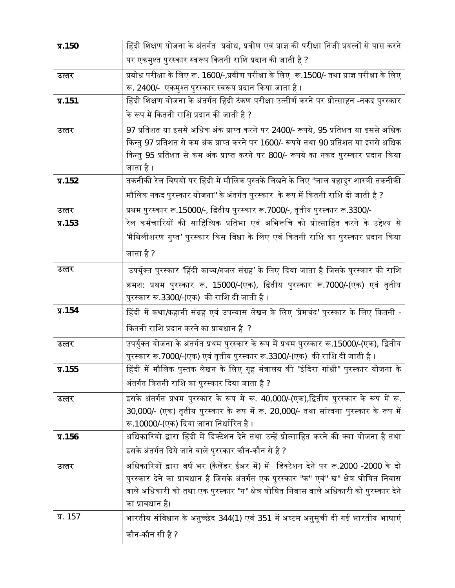| $\P$ .150  | हिंदी शिक्षण योजना के अंतर्गत  प्रबोध, प्रवीण एवं प्राज्ञ की परीक्षा निजी प्रयत्नों से पास करने     |
|------------|-----------------------------------------------------------------------------------------------------|
|            | पर एकमुश्त पुरस्कार स्वरूप कितनी राशि प्रदान की जाती है ?                                           |
| उत्तर      | प्रबोध परीक्षा के लिए रू. 1600/-,प्रवीण परीक्षा के लिए रू.1500/- तथा प्राज्ञ परीक्षा के लिए         |
|            | रू. 2400/-  एकमुश्त पुरस्कार स्वरूप प्रदान किया जाता है ।                                           |
| $\P$ .151  | हिंदी शिक्षण योजना के अंतर्गत हिंदी टंकण परीक्षा उत्तीर्ण करने पर प्रोत्साहन -नकद पुरस्कार          |
|            | के रूप में कितनी राशि प्रदान की जाती है ?                                                           |
| उत्तर      | 97 प्रतिशत या इससे अधिक अंक प्राप्त करने पर 2400/- रूपये, 95 प्रतिशत या इससे अधिक                   |
|            | किन्तु 97 प्रतिशत से कम अंक प्राप्त करने पर 1600/- रूपये तथा 90 प्रतिशत या इससे अधिक                |
|            | किन्तु 95 प्रतिशत से कम अंक प्राप्त करने पर 800/- रूपये का नकद पुरस्कार प्रदान किया                 |
|            | जाता है ।                                                                                           |
| $\P$ .152  | तकनीकी रेल विषयों पर हिंदी में मौलिक पुस्तकें लिखने के लिए "लाल बहादुर शास्त्री तकनीकी              |
|            | मौलिक नकद पुरस्कार योजना'' के अंतर्गत पुरस्कार  के रूप में कितनी राशि दी जाती है ?                  |
| उत्तर      | प्रथम पुरस्कार रू.15000/-, द्वितीय पुरस्कार रू.7000/-, तृतीय पुरस्कार रू.3300/-                     |
| $\P$ .153  | रेल कर्मचारियों की साहित्यिक प्रतिभा एवं अभिरूचि को प्रोत्साहित करने के उद्देश्य से                 |
|            | 'मैथिलीशरण गुप्त' पुरस्कार किस विधा के लिए एवं कितनी राशि का पुरस्कार प्रदान किया                   |
|            | जाता है ?                                                                                           |
| उत्तर      | उपर्युक्त पुरस्कार 'हिंदी काव्य/गजल संग्रह' के लिए दिया जाता है जिसके पुरस्कार की राशि              |
|            | क्रमश: प्रथम पुरस्कार रू. 15000/-(एक), द्वितीय पुरस्कार रू.7000/-(एक) एवं तृतीय                     |
|            |                                                                                                     |
|            | पुरस्कार रू.3300/-(एक)  की राशि दी जाती है ।                                                        |
| $\P$ .154  | हिंदी में कथा/कहानी संग्रह एवं उपन्यास लेखन के लिए 'प्रेमचंद' पुरस्कार के लिए कितनी -               |
|            | कितनी राशि प्रदान करने का प्रावधान है ?                                                             |
| उत्तर      | उपर्युक्त योजना के अंतर्गत प्रथम पुरस्कार के रूप में प्रथम पुरस्कार रू.15000/-(एक), द्वितीय         |
|            | पुरस्कार रू.7000/-(एक) एवं तृतीय पुरस्कार रू.3300/-(एक)  की राशि दी जाती है ।                       |
| $\P$ .155  | हिंदी में मौलिक पुस्तक लेखन के लिए गृह मंत्रालय की "इंदिरा गांधी" पुरस्कार योजना के                 |
|            | अंतर्गत कितनी राशि का पुरस्कार दिया जाता है ?                                                       |
| उत्तर      | इसके अंतर्गत प्रथम पुरस्कार के रूप में रू. 40,000/-(एक),द्वितीय पुरस्कार के रूप में रू.             |
|            | 30,000/- (एक) तृतीय पुरस्कार के रूप में रू. 20,000/- तथा सांत्वना पुरस्कार के रूप में               |
|            | रू.10000/-(एक) दिया जाना निर्धारित है ।                                                             |
| $\P$ .156  | अधिकारियों द्वारा हिंदी में डिक्टेशन देने तथा उन्हें प्रोत्साहित करने की क्या योजना है तथा          |
|            | इसके अंतर्गत दिये जाने वाले पुरस्कार कौन-कौन से हैं ?                                               |
| उत्तर      | अधिकारियों द्वारा वर्ष भर (कैलेंडर ईअर में) में  डिक्टेशन देने पर रू.2000 -2000 के दो               |
|            | पुरस्कार देने का प्रावधान है जिसके अंतर्गत एक पुरस्कार "क" एवं" ख" क्षेत्र घोषित निवास              |
|            | वाले अधिकारी को तथा एक पुरस्कार "ग" क्षेत्र घोषित निवास वाले अधिकारी को पुरस्कार देने               |
|            | का प्रावधान है।                                                                                     |
| $\P$ . 157 | भारतीय संविधान के अनुच्छेद 344(1) एवं 351 में अष्टम अनुसूची दी गई भारतीय भाषाएं<br>कौन-कौन सी हैं ? |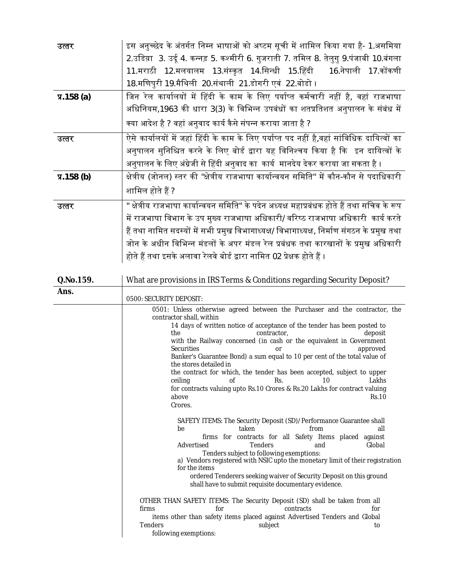| उत्तर            | इस अनुच्छेद के अंतर्गत निम्न भाषाओं को अष्टम सूची में शामिल किया गया है- 1.असमिया            |
|------------------|----------------------------------------------------------------------------------------------|
|                  | 2.उडिय़ा 3. उर्दू 4. कन्नड़ 5. कश्मीरी 6. गुजराती 7. तमिल 8. तेलुगु 9.पंजाबी 10.बंगला        |
|                  | 11.मराठी 12.मलयालम 13.संस्कृत 14.सिन्धी 15.हिंदी 16.नेपाली 17.कोंकणी                         |
|                  | 18.मणिपुरी 19.मैथिली 20.संथाली 21.डोगरी एवं 22.बोडो ।                                        |
| $\Pi$ .158 $(a)$ | जिन रेल कार्यालयों में हिंदी के काम के लिए पर्याप्त कर्मचारी नहीं है, वहां राजभाषा           |
|                  | अधिनियम,1963 की धारा 3(3) के विभिन्न उपबंधों का शतप्रतिशत अनुपालन के संबंध में               |
|                  | क्या आदेश है ? वहां अनुवाद कार्य कैसे संपन्न कराया जाता है ?                                 |
| उत्तर            | ऐसे कार्यालयों में जहां हिंदी के काम के लिए पर्याप्त पद नहीं है,वहां सांविधिक दायित्वों का   |
|                  | अनुपालन सुनिश्चित करने के लिए बोर्ड द्वारा यह विनिश्चय किया है कि  इन दायित्वों के           |
|                  | अनुपालन के लिए अंग्रेजी से हिंदी अनुवाद का  कार्य  मानदेय देकर कराया जा सकता है ।            |
| $\Pi$ .158 $(b)$ | क्षेत्रीय (जोनल) स्तर की "क्षेत्रीय राजभाषा कार्यान्वयन समिति" में कौन-कौन से पदाधिकारी      |
|                  | शामिल होते हैं ?                                                                             |
| उत्तर            | " क्षेत्रीय राजभाषा कार्यान्वयन समिति" के पदेन अध्यक्ष महाप्रबंधक होते हैं तथा सचिव के रूप   |
|                  | में राजभाषा विभाग के उप मुख्य राजभाषा अधिकारी/ वरिष्ठ राजभाषा अधिकारी  कार्य करते            |
|                  | हैं तथा नामित सदस्यों में सभी प्रमुख विभागाध्यक्ष/ विभागाध्यक्ष, निर्माण संगठन के प्रमुख तथा |
|                  | जोन के अधीन विभिन्न मंडलों के अपर मंडल रेल प्रबंधक तथा कारखानों के प्रमुख अधिकारी            |
|                  | होते हैं तथा इसके अलावा रेलवे बोर्ड द्वारा नामित 02 प्रेक्षक होते हैं ।                      |

| Q.No.159. | What are provisions in IRS Terms & Conditions regarding Security Deposit?                                                                                                                                                                                                                                                                                                                                                                                                                                                                                         |
|-----------|-------------------------------------------------------------------------------------------------------------------------------------------------------------------------------------------------------------------------------------------------------------------------------------------------------------------------------------------------------------------------------------------------------------------------------------------------------------------------------------------------------------------------------------------------------------------|
| Ans.      | 0500: SECURITY DEPOSIT:                                                                                                                                                                                                                                                                                                                                                                                                                                                                                                                                           |
|           | 0501: Unless otherwise agreed between the Purchaser and the contractor, the<br>contractor shall, within                                                                                                                                                                                                                                                                                                                                                                                                                                                           |
|           | 14 days of written notice of acceptance of the tender has been posted to<br>the<br>contractor,<br>deposit<br>with the Railway concerned (in cash or the equivalent in Government<br><b>Securities</b><br>approved<br>or<br>Banker's Guarantee Bond) a sum equal to 10 per cent of the total value of<br>the stores detailed in<br>the contract for which, the tender has been accepted, subject to upper<br>Rs.<br>Lakhs<br>of<br>10<br>ceiling<br>for contracts valuing upto Rs.10 Crores & Rs.20 Lakhs for contract valuing<br>above<br><b>Rs.10</b><br>Crores. |
|           | SAFETY ITEMS: The Security Deposit (SD)/Performance Guarantee shall<br>taken<br>from<br>all<br>be<br>firms for contracts for all Safety Items placed against<br>Advertised<br><b>Tenders</b><br>Global<br>and<br>Tenders subject to following exemptions:<br>a) Vendors registered with NSIC upto the monetary limit of their registration<br>for the items<br>ordered Tenderers seeking waiver of Security Deposit on this ground<br>shall have to submit requisite documentary evidence.                                                                        |
|           | OTHER THAN SAFETY ITEMS: The Security Deposit (SD) shall be taken from all<br>firms<br>for<br>contracts<br>for<br>items other than safety items placed against Advertised Tenders and Global<br><b>Tenders</b><br>subject<br>to<br>following exemptions:                                                                                                                                                                                                                                                                                                          |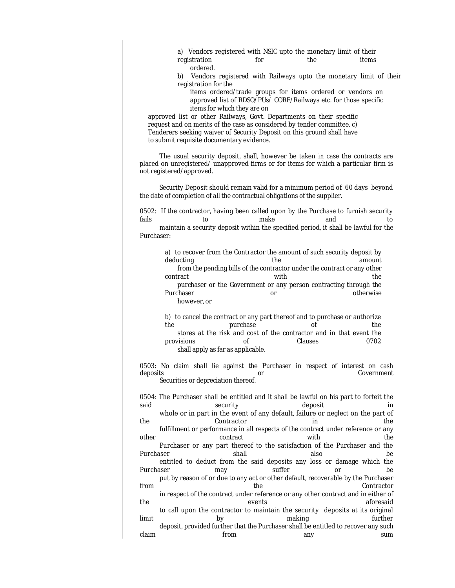a) Vendors registered with NSIC upto the monetary limit of their registration for the items ordered.

b) Vendors registered with Railways upto the monetary limit of their registration for the

items ordered/trade groups for items ordered or vendors on approved list of RDSO/PUs/ CORE/Railways etc. for those specific items for which they are on

approved list or other Railways, Govt. Departments on their specific request and on merits of the case as considered by tender committee. c) Tenderers seeking waiver of Security Deposit on this ground shall have to submit requisite documentary evidence.

The usual security deposit, shall, however be taken in case the contracts are placed on unregistered/ unapproved firms or for items for which a particular firm is not registered/approved.

Security Deposit should remain valid for a minimum period of 60 days beyond the date of completion of all the contractual obligations of the supplier.

0502: If the contractor, having been called upon by the Purchase to furnish security fails to make and to maintain a security deposit within the specified period, it shall be lawful for the Purchaser:

> a) to recover from the Contractor the amount of such security deposit by deducting the amount from the pending bills of the contractor under the contract or any other contract the contract with  $\sim$  with purchaser or the Government or any person contracting through the Purchaser **Department of Contract Contract Contract Contract Contract Contract Contract Contract Contract Contract Contract Contract Contract Contract Contract Contract Contract Contract Contract Contract Contract Contract** however, or

> b) to cancel the contract or any part thereof and to purchase or authorize the purchase of the the stores at the risk and cost of the contractor and in that event the provisions of Clauses 0702 shall apply as far as applicable.

0503: No claim shall lie against the Purchaser in respect of interest on cash deposits or Government or Government or Government or Government or Government Securities or depreciation thereof.

0504: The Purchaser shall be entitled and it shall be lawful on his part to forfeit the said security security deposit in the same of  $\mathcal{S}$ whole or in part in the event of any default, failure or neglect on the part of the Contractor in the fulfillment or performance in all respects of the contract under reference or any other contract with the contract with the the Purchaser or any part thereof to the satisfaction of the Purchaser and the Purchaser shall also be entitled to deduct from the said deposits any loss or damage which the Purchaser **may** may suffer or be put by reason of or due to any act or other default, recoverable by the Purchaser from the the Contractor of the Contractor of the Contractor of the Contractor of the Contractor of the Contractor of the Contractor of the Contractor of the Contractor of the Contractor of the Contractor of the Contractor in respect of the contract under reference or any other contract and in either of the events aforesaid to call upon the contractor to maintain the security deposits at its original limit by making further deposit, provided further that the Purchaser shall be entitled to recover any such claim from any sum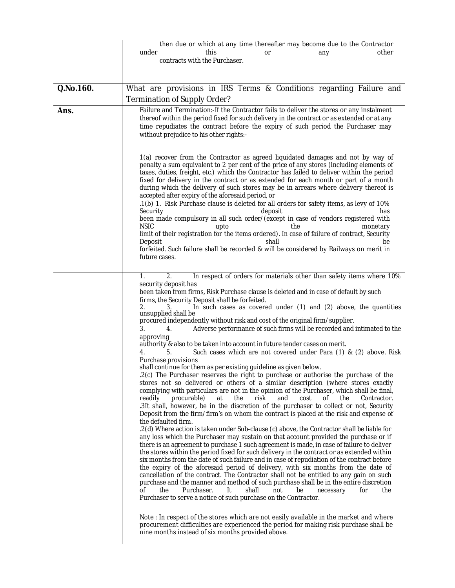|           | then due or which at any time thereafter may become due to the Contractor<br>under<br>this<br>other<br>any<br>0r<br>contracts with the Purchaser.                                                                                                                                                                                                                                                                                                                                                                                                                                                                                                                                                                                                                                                                                                                                                                                                                                                                                                                                                                                                                                                                                                                                                                                                                                                                                                                                                                                                                                                                                                                                                                                                                                                                                                                                                                                                                                                                                                                                                                                                                                                                                                                                                 |
|-----------|---------------------------------------------------------------------------------------------------------------------------------------------------------------------------------------------------------------------------------------------------------------------------------------------------------------------------------------------------------------------------------------------------------------------------------------------------------------------------------------------------------------------------------------------------------------------------------------------------------------------------------------------------------------------------------------------------------------------------------------------------------------------------------------------------------------------------------------------------------------------------------------------------------------------------------------------------------------------------------------------------------------------------------------------------------------------------------------------------------------------------------------------------------------------------------------------------------------------------------------------------------------------------------------------------------------------------------------------------------------------------------------------------------------------------------------------------------------------------------------------------------------------------------------------------------------------------------------------------------------------------------------------------------------------------------------------------------------------------------------------------------------------------------------------------------------------------------------------------------------------------------------------------------------------------------------------------------------------------------------------------------------------------------------------------------------------------------------------------------------------------------------------------------------------------------------------------------------------------------------------------------------------------------------------------|
| Q.No.160. | What are provisions in IRS Terms & Conditions regarding Failure and                                                                                                                                                                                                                                                                                                                                                                                                                                                                                                                                                                                                                                                                                                                                                                                                                                                                                                                                                                                                                                                                                                                                                                                                                                                                                                                                                                                                                                                                                                                                                                                                                                                                                                                                                                                                                                                                                                                                                                                                                                                                                                                                                                                                                               |
|           | Termination of Supply Order?                                                                                                                                                                                                                                                                                                                                                                                                                                                                                                                                                                                                                                                                                                                                                                                                                                                                                                                                                                                                                                                                                                                                                                                                                                                                                                                                                                                                                                                                                                                                                                                                                                                                                                                                                                                                                                                                                                                                                                                                                                                                                                                                                                                                                                                                      |
| Ans.      | Failure and Termination:-If the Contractor fails to deliver the stores or any instalment<br>thereof within the period fixed for such delivery in the contract or as extended or at any<br>time repudiates the contract before the expiry of such period the Purchaser may<br>without prejudice to his other rights:-                                                                                                                                                                                                                                                                                                                                                                                                                                                                                                                                                                                                                                                                                                                                                                                                                                                                                                                                                                                                                                                                                                                                                                                                                                                                                                                                                                                                                                                                                                                                                                                                                                                                                                                                                                                                                                                                                                                                                                              |
|           | 1(a) recover from the Contractor as agreed liquidated damages and not by way of<br>penalty a sum equivalent to 2 per cent of the price of any stores (including elements of<br>taxes, duties, freight, etc.) which the Contractor has failed to deliver within the period<br>fixed for delivery in the contract or as extended for each month or part of a month<br>during which the delivery of such stores may be in arrears where delivery thereof is<br>accepted after expiry of the aforesaid period, or<br>.1(b) 1. Risk Purchase clause is deleted for all orders for safety items, as levy of 10%<br>Security<br>deposit<br>has<br>been made compulsory in all such order/(except in case of vendors registered with<br><b>NSIC</b><br>upto<br>the<br>monetary<br>limit of their registration for the items ordered). In case of failure of contract, Security<br>Deposit<br>shall<br>be<br>forfeited. Such failure shall be recorded & will be considered by Railways on merit in<br>future cases.                                                                                                                                                                                                                                                                                                                                                                                                                                                                                                                                                                                                                                                                                                                                                                                                                                                                                                                                                                                                                                                                                                                                                                                                                                                                                       |
|           | In respect of orders for materials other than safety items where 10%<br>2.<br>1.<br>security deposit has<br>been taken from firms, Risk Purchase clause is deleted and in case of default by such<br>firms, the Security Deposit shall be forfeited.<br>In such cases as covered under (1) and (2) above, the quantities<br>2.<br>3.<br>unsupplied shall be<br>procured independently without risk and cost of the original firm/supplier.<br>3.<br>Adverse performance of such firms will be recorded and intimated to the<br>4.<br>approving<br>authority & also to be taken into account in future tender cases on merit.<br>Such cases which are not covered under Para (1) & (2) above. Risk<br>4.<br>5.<br>Purchase provisions<br>shall continue for them as per existing guideline as given below.<br>.2(c) The Purchaser reserves the right to purchase or authorise the purchase of the<br>stores not so delivered or others of a similar description (where stores exactly<br>complying with particulars are not in the opinion of the Purchaser, which shall be final,<br>readily<br>procurable)<br>at<br>the<br>risk<br>and<br>cost<br>οf<br>the<br>Contractor.<br>.3It shall, however, be in the discretion of the purchaser to collect or not, Security<br>Deposit from the firm/firm's on whom the contract is placed at the risk and expense of<br>the defaulted firm.<br>.2(d) Where action is taken under Sub-clause (c) above, the Contractor shall be liable for<br>any loss which the Purchaser may sustain on that account provided the purchase or if<br>there is an agreement to purchase 1 such agreement is made, in case of failure to deliver<br>the stores within the period fixed for such delivery in the contract or as extended within<br>six months from the date of such failure and in case of repudiation of the contract before<br>the expiry of the aforesaid period of delivery, with six months from the date of<br>cancellation of the contract. The Contractor shall not be entitled to any gain on such<br>purchase and the manner and method of such purchase shall be in the entire discretion<br>shall<br>οf<br>the<br>Purchaser.<br>It<br>not<br>be<br>for<br>the<br>necessary<br>Purchaser to serve a notice of such purchase on the Contractor. |
|           | Note: In respect of the stores which are not easily available in the market and where<br>procurement difficulties are experienced the period for making risk purchase shall be<br>nine months instead of six months provided above.                                                                                                                                                                                                                                                                                                                                                                                                                                                                                                                                                                                                                                                                                                                                                                                                                                                                                                                                                                                                                                                                                                                                                                                                                                                                                                                                                                                                                                                                                                                                                                                                                                                                                                                                                                                                                                                                                                                                                                                                                                                               |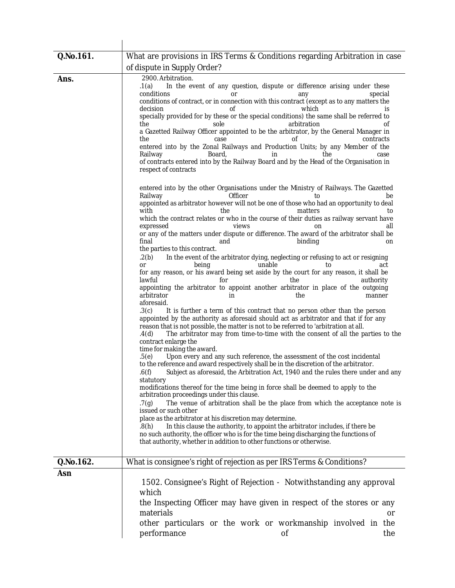| Q.No.161. | What are provisions in IRS Terms & Conditions regarding Arbitration in case                                                                                                                                                                                                                                                                                                                                                                                                                                                                                                                                                                                                                                                                                                                                                                                                                                                                                                                                                                                                                                                                                                                                                                                                                                                                                                                                                                                                                                                                                                                                                                                                                                                                                                                                                                                                                                                                                                                                                                                                                                                                                                        |
|-----------|------------------------------------------------------------------------------------------------------------------------------------------------------------------------------------------------------------------------------------------------------------------------------------------------------------------------------------------------------------------------------------------------------------------------------------------------------------------------------------------------------------------------------------------------------------------------------------------------------------------------------------------------------------------------------------------------------------------------------------------------------------------------------------------------------------------------------------------------------------------------------------------------------------------------------------------------------------------------------------------------------------------------------------------------------------------------------------------------------------------------------------------------------------------------------------------------------------------------------------------------------------------------------------------------------------------------------------------------------------------------------------------------------------------------------------------------------------------------------------------------------------------------------------------------------------------------------------------------------------------------------------------------------------------------------------------------------------------------------------------------------------------------------------------------------------------------------------------------------------------------------------------------------------------------------------------------------------------------------------------------------------------------------------------------------------------------------------------------------------------------------------------------------------------------------------|
|           | of dispute in Supply Order?                                                                                                                                                                                                                                                                                                                                                                                                                                                                                                                                                                                                                                                                                                                                                                                                                                                                                                                                                                                                                                                                                                                                                                                                                                                                                                                                                                                                                                                                                                                                                                                                                                                                                                                                                                                                                                                                                                                                                                                                                                                                                                                                                        |
| Ans.      | 2900. Arbitration.<br>In the event of any question, dispute or difference arising under these<br>.1(a)<br>conditions<br>special<br>any<br>or<br>conditions of contract, or in connection with this contract (except as to any matters the<br>decision<br>which<br>Οf<br>is<br>specially provided for by these or the special conditions) the same shall be referred to<br>arbitration<br>οf<br>the<br>sole<br>a Gazetted Railway Officer appointed to be the arbitrator, by the General Manager in<br>contracts<br>the<br>case<br>οf<br>entered into by the Zonal Railways and Production Units; by any Member of the<br>Railway<br>Board,<br>the<br>case<br>in.<br>of contracts entered into by the Railway Board and by the Head of the Organisation in<br>respect of contracts                                                                                                                                                                                                                                                                                                                                                                                                                                                                                                                                                                                                                                                                                                                                                                                                                                                                                                                                                                                                                                                                                                                                                                                                                                                                                                                                                                                                  |
|           | entered into by the other Organisations under the Ministry of Railways. The Gazetted<br>Railway<br>Officer<br>to<br>be<br>appointed as arbitrator however will not be one of those who had an opportunity to deal<br>with<br>the<br>matters<br>to<br>which the contract relates or who in the course of their duties as railway servant have<br>expressed<br>views<br>all<br>on<br>or any of the matters under dispute or difference. The award of the arbitrator shall be<br>final<br>and<br>binding<br>on<br>the parties to this contract.<br>In the event of the arbitrator dying, neglecting or refusing to act or resigning<br>.2(b)<br>unable<br><b>or</b><br>being<br>to<br>act<br>for any reason, or his award being set aside by the court for any reason, it shall be<br>lawful<br>the<br>for<br>authority<br>appointing the arbitrator to appoint another arbitrator in place of the outgoing<br>arbitrator<br>in<br>the<br>manner<br>aforesaid.<br>.3(c)<br>It is further a term of this contract that no person other than the person<br>appointed by the authority as aforesaid should act as arbitrator and that if for any<br>reason that is not possible, the matter is not to be referred to 'arbitration at all.<br>The arbitrator may from time-to-time with the consent of all the parties to the<br>.4(d)<br>contract enlarge the<br>time for making the award.<br>Upon every and any such reference, the assessment of the cost incidental<br>.5(e)<br>to the reference and award respectively shall be in the discretion of the arbitrator.<br>Subject as aforesaid, the Arbitration Act, 1940 and the rules there under and any<br>.6(f)<br>statutory<br>modifications thereof for the time being in force shall be deemed to apply to the<br>arbitration proceedings under this clause.<br>The venue of arbitration shall be the place from which the acceptance note is<br>.7(g)<br>issued or such other<br>place as the arbitrator at his discretion may determine.<br>In this clause the authority, to appoint the arbitrator includes, if there be<br>.8(h)<br>no such authority, the officer who is for the time being discharging the functions of |
|           | that authority, whether in addition to other functions or otherwise.                                                                                                                                                                                                                                                                                                                                                                                                                                                                                                                                                                                                                                                                                                                                                                                                                                                                                                                                                                                                                                                                                                                                                                                                                                                                                                                                                                                                                                                                                                                                                                                                                                                                                                                                                                                                                                                                                                                                                                                                                                                                                                               |
| Q.No.162. | What is consignee's right of rejection as per IRS Terms & Conditions?                                                                                                                                                                                                                                                                                                                                                                                                                                                                                                                                                                                                                                                                                                                                                                                                                                                                                                                                                                                                                                                                                                                                                                                                                                                                                                                                                                                                                                                                                                                                                                                                                                                                                                                                                                                                                                                                                                                                                                                                                                                                                                              |
| Asn       |                                                                                                                                                                                                                                                                                                                                                                                                                                                                                                                                                                                                                                                                                                                                                                                                                                                                                                                                                                                                                                                                                                                                                                                                                                                                                                                                                                                                                                                                                                                                                                                                                                                                                                                                                                                                                                                                                                                                                                                                                                                                                                                                                                                    |
|           | 1502. Consignee's Right of Rejection - Notwithstanding any approval<br>which<br>the Inspecting Officer may have given in respect of the stores or any<br>materials<br>or<br>other particulars or the work or workmanship involved in the<br>performance<br>the<br>οf                                                                                                                                                                                                                                                                                                                                                                                                                                                                                                                                                                                                                                                                                                                                                                                                                                                                                                                                                                                                                                                                                                                                                                                                                                                                                                                                                                                                                                                                                                                                                                                                                                                                                                                                                                                                                                                                                                               |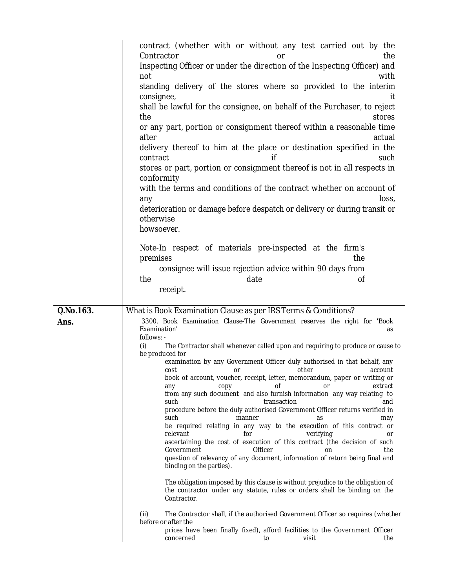|           | contract (whether with or without any test carried out by the<br>Contractor<br>the<br>or<br>Inspecting Officer or under the direction of the Inspecting Officer) and<br>not<br>with<br>standing delivery of the stores where so provided to the interim<br>consignee,<br>it<br>shall be lawful for the consignee, on behalf of the Purchaser, to reject<br>the<br>stores<br>or any part, portion or consignment thereof within a reasonable time<br>after<br>actual<br>delivery thereof to him at the place or destination specified in the<br>contract<br>if<br>such<br>stores or part, portion or consignment thereof is not in all respects in<br>conformity<br>with the terms and conditions of the contract whether on account of<br>loss,<br>any<br>deterioration or damage before despatch or delivery or during transit or<br>otherwise<br>howsoever.<br>Note-In respect of materials pre-inspected at the firm's<br>premises<br>the<br>consignee will issue rejection advice within 90 days from<br>the<br>date<br>0f<br>receipt.                                                                                                                                                                                                                                                                                                                                                                                                                                                                                                                      |
|-----------|-----------------------------------------------------------------------------------------------------------------------------------------------------------------------------------------------------------------------------------------------------------------------------------------------------------------------------------------------------------------------------------------------------------------------------------------------------------------------------------------------------------------------------------------------------------------------------------------------------------------------------------------------------------------------------------------------------------------------------------------------------------------------------------------------------------------------------------------------------------------------------------------------------------------------------------------------------------------------------------------------------------------------------------------------------------------------------------------------------------------------------------------------------------------------------------------------------------------------------------------------------------------------------------------------------------------------------------------------------------------------------------------------------------------------------------------------------------------------------------------------------------------------------------------------------------------|
| Q.No.163. | What is Book Examination Clause as per IRS Terms & Conditions?                                                                                                                                                                                                                                                                                                                                                                                                                                                                                                                                                                                                                                                                                                                                                                                                                                                                                                                                                                                                                                                                                                                                                                                                                                                                                                                                                                                                                                                                                                  |
| Ans.      | 3300. Book Examination Clause-The Government reserves the right for 'Book<br>Examination'<br>as<br>follows: -<br>The Contractor shall whenever called upon and requiring to produce or cause to<br>(i)<br>be produced for<br>examination by any Government Officer duly authorised in that behalf, any<br>or other than the contract of the contract of the contract of the contract of the contract of the contract of t<br>cost<br>account<br>book of account, voucher, receipt, letter, memorandum, paper or writing or<br>extract<br>οf<br><b>or</b><br>copy<br>any<br>from any such document and also furnish information any way relating to<br>transaction<br>such<br>and<br>procedure before the duly authorised Government Officer returns verified in<br>such<br>manner<br>as<br>may<br>be required relating in any way to the execution of this contract or<br>for<br>relevant<br>verifying<br>or<br>ascertaining the cost of execution of this contract (the decision of such<br>Government<br>Officer<br>the<br>on<br>question of relevancy of any document, information of return being final and<br>binding on the parties).<br>The obligation imposed by this clause is without prejudice to the obligation of<br>the contractor under any statute, rules or orders shall be binding on the<br>Contractor.<br>The Contractor shall, if the authorised Government Officer so requires (whether<br>(ii)<br>before or after the<br>prices have been finally fixed), afford facilities to the Government Officer<br>visit<br>concerned<br>the<br>to |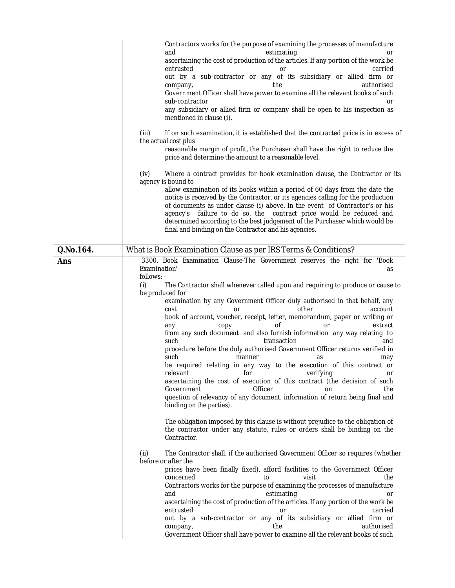|           | Contractors works for the purpose of examining the processes of manufacture<br>and<br>estimating<br>0r<br>ascertaining the cost of production of the articles. If any portion of the work be<br>entrusted<br>carried<br>or<br>out by a sub-contractor or any of its subsidiary or allied firm or<br>the<br>authorised<br>company,<br>Government Officer shall have power to examine all the relevant books of such<br>sub-contractor<br>or<br>any subsidiary or allied firm or company shall be open to his inspection as<br>mentioned in clause (i).<br>(iii)<br>If on such examination, it is established that the contracted price is in excess of<br>the actual cost plus<br>reasonable margin of profit, the Purchaser shall have the right to reduce the<br>price and determine the amount to a reasonable level.<br>Where a contract provides for book examination clause, the Contractor or its<br>(iv)<br>agency is bound to<br>allow examination of its books within a period of 60 days from the date the<br>notice is received by the Contractor, or its agencies calling for the production<br>of documents as under clause (i) above. In the event of Contractor's or his<br>agency's failure to do so, the contract price would be reduced and<br>determined according to the best judgement of the Purchaser which would be<br>final and binding on the Contractor and his agencies. |
|-----------|------------------------------------------------------------------------------------------------------------------------------------------------------------------------------------------------------------------------------------------------------------------------------------------------------------------------------------------------------------------------------------------------------------------------------------------------------------------------------------------------------------------------------------------------------------------------------------------------------------------------------------------------------------------------------------------------------------------------------------------------------------------------------------------------------------------------------------------------------------------------------------------------------------------------------------------------------------------------------------------------------------------------------------------------------------------------------------------------------------------------------------------------------------------------------------------------------------------------------------------------------------------------------------------------------------------------------------------------------------------------------------------------------|
| Q.No.164. | What is Book Examination Clause as per IRS Terms & Conditions?                                                                                                                                                                                                                                                                                                                                                                                                                                                                                                                                                                                                                                                                                                                                                                                                                                                                                                                                                                                                                                                                                                                                                                                                                                                                                                                                       |
| Ans       | 3300. Book Examination Clause-The Government reserves the right for 'Book<br>Examination'<br>as<br>follows: -<br>The Contractor shall whenever called upon and requiring to produce or cause to<br>(i)<br>be produced for<br>examination by any Government Officer duly authorised in that behalf, any<br>other<br>account<br>cost<br>or<br>book of account, voucher, receipt, letter, memorandum, paper or writing or<br>οf<br>extract<br>any<br>copy<br>or<br>from any such document and also furnish information any way relating to<br>such<br>transaction<br>and<br>procedure before the duly authorised Government Officer returns verified in<br>such<br>manner<br>as<br>may<br>be required relating in any way to the execution of this contract or<br>for verifying<br>relevant<br>ascertaining the cost of execution of this contract (the decision of such<br>Government<br>Officer<br>the<br>on<br>question of relevancy of any document, information of return being final and<br>binding on the parties).<br>The obligation imposed by this clause is without prejudice to the obligation of<br>the contractor under any statute, rules or orders shall be binding on the<br>Contractor.                                                                                                                                                                                               |
|           | (ii)<br>The Contractor shall, if the authorised Government Officer so requires (whether<br>before or after the<br>prices have been finally fixed), afford facilities to the Government Officer<br>visit<br>concerned<br>the<br>to<br>Contractors works for the purpose of examining the processes of manufacture<br>estimating<br>and<br>or<br>ascertaining the cost of production of the articles. If any portion of the work be<br>entrusted<br>carried<br>or<br>out by a sub-contractor or any of its subsidiary or allied firm or<br>the<br>authorised<br>company,<br>Government Officer shall have power to examine all the relevant books of such                                                                                                                                                                                                                                                                                                                                                                                                                                                                                                                                                                                                                                                                                                                                              |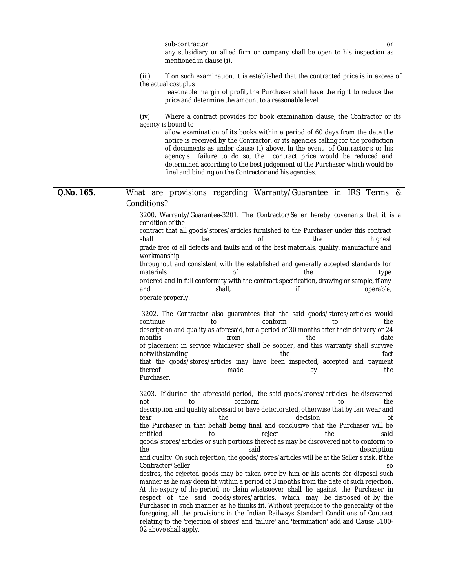|            | sub-contractor<br>or<br>any subsidiary or allied firm or company shall be open to his inspection as<br>mentioned in clause (i).                                                                                                                                                                                                                                                                                                                                                                                                                                                                                                                                                                                                                                                                                                                                                                                                                                                                                                                                                                                                                                                                                                                                                                          |
|------------|----------------------------------------------------------------------------------------------------------------------------------------------------------------------------------------------------------------------------------------------------------------------------------------------------------------------------------------------------------------------------------------------------------------------------------------------------------------------------------------------------------------------------------------------------------------------------------------------------------------------------------------------------------------------------------------------------------------------------------------------------------------------------------------------------------------------------------------------------------------------------------------------------------------------------------------------------------------------------------------------------------------------------------------------------------------------------------------------------------------------------------------------------------------------------------------------------------------------------------------------------------------------------------------------------------|
|            | (iii)<br>If on such examination, it is established that the contracted price is in excess of<br>the actual cost plus<br>reasonable margin of profit, the Purchaser shall have the right to reduce the<br>price and determine the amount to a reasonable level.                                                                                                                                                                                                                                                                                                                                                                                                                                                                                                                                                                                                                                                                                                                                                                                                                                                                                                                                                                                                                                           |
|            | (iv)<br>Where a contract provides for book examination clause, the Contractor or its<br>agency is bound to<br>allow examination of its books within a period of 60 days from the date the<br>notice is received by the Contractor, or its agencies calling for the production<br>of documents as under clause (i) above. In the event of Contractor's or his<br>agency's failure to do so, the contract price would be reduced and<br>determined according to the best judgement of the Purchaser which would be<br>final and binding on the Contractor and his agencies.                                                                                                                                                                                                                                                                                                                                                                                                                                                                                                                                                                                                                                                                                                                                |
| Q.No. 165. | What are provisions regarding Warranty/Guarantee in IRS Terms &<br>Conditions?                                                                                                                                                                                                                                                                                                                                                                                                                                                                                                                                                                                                                                                                                                                                                                                                                                                                                                                                                                                                                                                                                                                                                                                                                           |
|            | 3200. Warranty/Guarantee-3201. The Contractor/Seller hereby covenants that it is a<br>condition of the<br>contract that all goods/stores/articles furnished to the Purchaser under this contract<br>shall<br>οf<br>the<br>highest<br>be<br>grade free of all defects and faults and of the best materials, quality, manufacture and<br>workmanship<br>throughout and consistent with the established and generally accepted standards for<br>materials<br>Οf<br>the<br>type<br>ordered and in full conformity with the contract specification, drawing or sample, if any<br>and<br>operable,<br>shall,<br>if<br>operate properly.<br>3202. The Contractor also guarantees that the said goods/stores/articles would<br>continue<br>conform<br>the<br>to<br>to<br>description and quality as aforesaid, for a period of 30 months after their delivery or 24<br>months<br>from<br>the<br>date<br>of placement in service whichever shall be sooner, and this warranty shall survive<br>notwithstanding<br>the<br>fact<br>that the goods/stores/articles may have been inspected, accepted and payment<br>thereof made by the<br>Purchaser.                                                                                                                                                                |
|            | 3203. If during the aforesaid period, the said goods/stores/articles be discovered<br>to<br>conform<br>the<br>not<br>to<br>description and quality aforesaid or have deteriorated, otherwise that by fair wear and<br>decision<br>tear<br>the<br>οf<br>the Purchaser in that behalf being final and conclusive that the Purchaser will be<br>entitled<br>reject<br>the<br>said<br>to<br>goods/stores/articles or such portions thereof as may be discovered not to conform to<br>said<br>description<br>the<br>and quality. On such rejection, the goods/stores/articles will be at the Seller's risk. If the<br>Contractor/Seller<br>SO.<br>desires, the rejected goods may be taken over by him or his agents for disposal such<br>manner as he may deem fit within a period of 3 months from the date of such rejection.<br>At the expiry of the period, no claim whatsoever shall lie against the Purchaser in<br>respect of the said goods/stores/articles, which may be disposed of by the<br>Purchaser in such manner as he thinks fit. Without prejudice to the generality of the<br>foregoing, all the provisions in the Indian Railways Standard Conditions of Contract<br>relating to the 'rejection of stores' and 'failure' and 'termination' add and Clause 3100-<br>02 above shall apply. |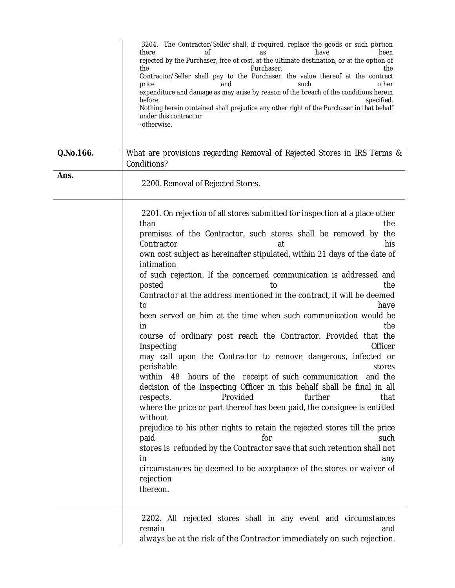|           | 3204. The Contractor/Seller shall, if required, replace the goods or such portion<br>there<br>have<br>been<br>nt<br>as<br>rejected by the Purchaser, free of cost, at the ultimate destination, or at the option of<br>the<br>Purchaser,<br>the<br>Contractor/Seller shall pay to the Purchaser, the value thereof at the contract<br>price<br>such<br>other<br>and<br>expenditure and damage as may arise by reason of the breach of the conditions herein<br>before<br>specified.<br>Nothing herein contained shall prejudice any other right of the Purchaser in that behalf<br>under this contract or<br>-otherwise.                                                                                                                                                                                                                                                                                                                                                                                                                                                                                                                                                                                                                                                                                                       |
|-----------|--------------------------------------------------------------------------------------------------------------------------------------------------------------------------------------------------------------------------------------------------------------------------------------------------------------------------------------------------------------------------------------------------------------------------------------------------------------------------------------------------------------------------------------------------------------------------------------------------------------------------------------------------------------------------------------------------------------------------------------------------------------------------------------------------------------------------------------------------------------------------------------------------------------------------------------------------------------------------------------------------------------------------------------------------------------------------------------------------------------------------------------------------------------------------------------------------------------------------------------------------------------------------------------------------------------------------------|
| Q.No.166. | What are provisions regarding Removal of Rejected Stores in IRS Terms &<br>Conditions?                                                                                                                                                                                                                                                                                                                                                                                                                                                                                                                                                                                                                                                                                                                                                                                                                                                                                                                                                                                                                                                                                                                                                                                                                                         |
| Ans.      | 2200. Removal of Rejected Stores.                                                                                                                                                                                                                                                                                                                                                                                                                                                                                                                                                                                                                                                                                                                                                                                                                                                                                                                                                                                                                                                                                                                                                                                                                                                                                              |
|           | 2201. On rejection of all stores submitted for inspection at a place other<br>than<br>the<br>premises of the Contractor, such stores shall be removed by the<br>his<br>Contractor<br>at<br>own cost subject as hereinafter stipulated, within 21 days of the date of<br>intimation<br>of such rejection. If the concerned communication is addressed and<br>posted<br>the<br>to<br>Contractor at the address mentioned in the contract, it will be deemed<br>have<br>to<br>been served on him at the time when such communication would be<br>the<br>in<br>course of ordinary post reach the Contractor. Provided that the<br>Officer<br>Inspecting<br>may call upon the Contractor to remove dangerous, infected or<br>perishable<br>stores<br>hours of the receipt of such communication and the<br>within<br>48<br>decision of the Inspecting Officer in this behalf shall be final in all<br>Provided<br>further<br>respects.<br>that<br>where the price or part thereof has been paid, the consignee is entitled<br>without<br>prejudice to his other rights to retain the rejected stores till the price<br>paid<br>for<br>such<br>stores is refunded by the Contractor save that such retention shall not<br>in.<br>any<br>circumstances be deemed to be acceptance of the stores or waiver of<br>rejection<br>thereon. |
|           | 2202. All rejected stores shall in any event and circumstances<br>remain<br>and                                                                                                                                                                                                                                                                                                                                                                                                                                                                                                                                                                                                                                                                                                                                                                                                                                                                                                                                                                                                                                                                                                                                                                                                                                                |

always be at the risk of the Contractor immediately on such rejection.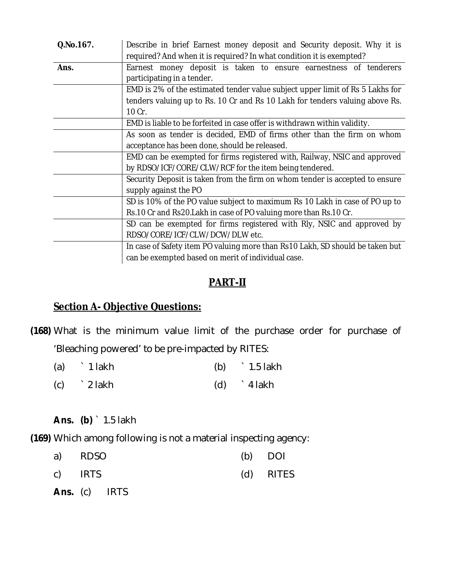| Q.No.167. | Describe in brief Earnest money deposit and Security deposit. Why it is<br>required? And when it is required? In what condition it is exempted? |  |  |
|-----------|-------------------------------------------------------------------------------------------------------------------------------------------------|--|--|
| Ans.      | Earnest money deposit is taken to ensure earnestness of tenderers<br>participating in a tender.                                                 |  |  |
|           | EMD is 2% of the estimated tender value subject upper limit of Rs 5 Lakhs for                                                                   |  |  |
|           | tenders valuing up to Rs. 10 Cr and Rs 10 Lakh for tenders valuing above Rs.                                                                    |  |  |
|           | 10 Cr.                                                                                                                                          |  |  |
|           | EMD is liable to be forfeited in case offer is withdrawn within validity.                                                                       |  |  |
|           | As soon as tender is decided, EMD of firms other than the firm on whom                                                                          |  |  |
|           | acceptance has been done, should be released.                                                                                                   |  |  |
|           | EMD can be exempted for firms registered with, Railway, NSIC and approved                                                                       |  |  |
|           | by RDSO/ICF/CORE/CLW/RCF for the item being tendered.                                                                                           |  |  |
|           | Security Deposit is taken from the firm on whom tender is accepted to ensure                                                                    |  |  |
|           | supply against the PO                                                                                                                           |  |  |
|           | SD is 10% of the PO value subject to maximum Rs 10 Lakh in case of PO up to                                                                     |  |  |
|           | Rs.10 Cr and Rs20. Lakh in case of PO valuing more than Rs.10 Cr.                                                                               |  |  |
|           | SD can be exempted for firms registered with RIy, NSIC and approved by                                                                          |  |  |
|           | RDSO/CORE/ICF/CLW/DCW/DLW etc.                                                                                                                  |  |  |
|           | In case of Safety item PO valuing more than Rs10 Lakh, SD should be taken but                                                                   |  |  |
|           | can be exempted based on merit of individual case.                                                                                              |  |  |

# **PART-II**

### **Section A- Objective Questions:**

**(168)** What is the minimum value limit of the purchase order for purchase of 'Bleaching powered' to be pre-impacted by RITES:

| (a) | 1 lakh       | (b) $\frac{1}{5}$ 1.5 lakh |
|-----|--------------|----------------------------|
|     | $(c)$ 2 lakh | $(d)$ 4 lakh               |

**Ans. (b)** ` 1.5 lakh

**(169)** Which among following is not a material inspecting agency:

| a) RDSO |  | $(b)$ DOI |
|---------|--|-----------|
| c) IRTS |  | (d) RITES |

**Ans.** (c) IRTS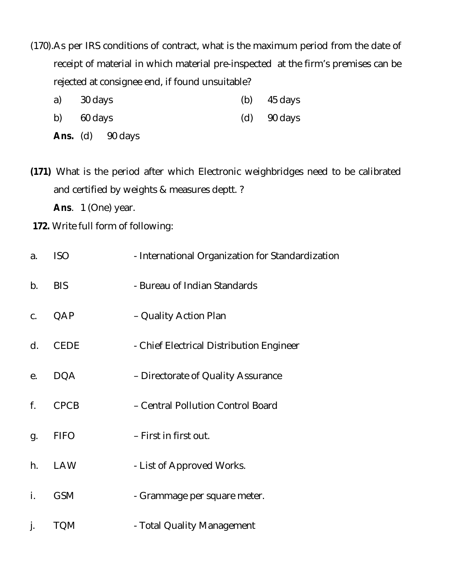- (170).As per IRS conditions of contract, what is the maximum period from the date of receipt of material in which material pre-inspected at the firm's premises can be rejected at consignee end, if found unsuitable?
	- a) 30 days (b) 45 days
	- b) 60 days (d) 90 days
	- **Ans.** (d) 90 days

**(171)** What is the period after which Electronic weighbridges need to be calibrated and certified by weights & measures deptt. ?

**Ans**. 1 (One) year.

**172.** Write full form of following:

| a. | ISO         | - International Organization for Standardization |
|----|-------------|--------------------------------------------------|
| b. | <b>BIS</b>  | - Bureau of Indian Standards                     |
| C. | QAP         | - Quality Action Plan                            |
| d. | <b>CEDE</b> | - Chief Electrical Distribution Engineer         |
| е. | <b>DQA</b>  | - Directorate of Quality Assurance               |
| f. | <b>CPCB</b> | - Central Pollution Control Board                |
| g. | <b>FIFO</b> | - First in first out.                            |
| h. | <b>LAW</b>  | - List of Approved Works.                        |
| i. | <b>GSM</b>  | - Grammage per square meter.                     |
| j. | <b>TQM</b>  | - Total Quality Management                       |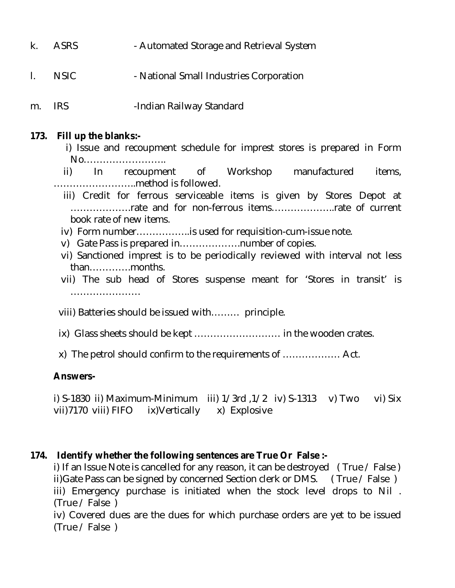- k. ASRS Automated Storage and Retrieval System
- I. NSIC National Small Industries Corporation
- m. IRS -Indian Railway Standard

#### **173. Fill up the blanks:-**

 i) Issue and recoupment schedule for imprest stores is prepared in Form No……………………..

 ii) In recoupment of Workshop manufactured items, ……………………..method is followed.

- iii) Credit for ferrous serviceable items is given by Stores Depot at ……………….rate and for non-ferrous items………………..rate of current book rate of new items.
- iv) Form number……………..is used for requisition-cum-issue note.
- v) Gate Pass is prepared in……………….number of copies.
- vi) Sanctioned imprest is to be periodically reviewed with interval not less than………….months.
- vii) The sub head of Stores suspense meant for 'Stores in transit' is ………………………
- viii) Batteries should be issued with……… principle.
- ix) Glass sheets should be kept ……………………… in the wooden crates.
- x) The petrol should confirm to the requirements of ……………… Act.

#### **Answers-**

i) S-1830 ii) Maximum-Minimum iii) 1/3rd ,1/2 iv) S-1313 v) Two vi) Six vii)7170 viii) FIFO ix)Vertically x) Explosive

#### **174. Identify whether the following sentences are True Or False :-**

i) If an Issue Note is cancelled for any reason, it can be destroyed ( True / False ) ii)Gate Pass can be signed by concerned Section clerk or DMS. ( True / False ) iii) Emergency purchase is initiated when the stock level drops to Nil . (True / False )

iv) Covered dues are the dues for which purchase orders are yet to be issued (True / False )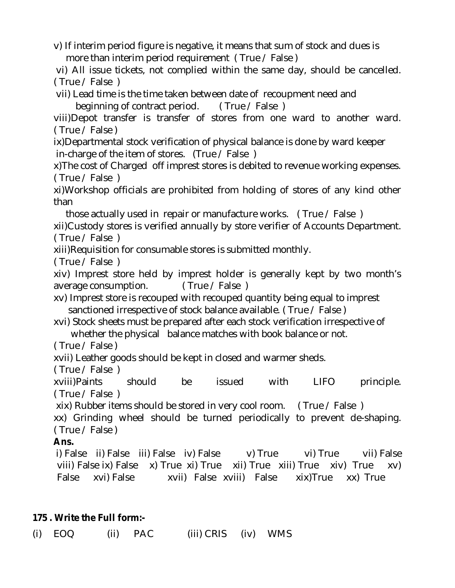v) If interim period figure is negative, it means that sum of stock and dues is more than interim period requirement ( True / False )

vi) All issue tickets, not complied within the same day, should be cancelled. ( True / False )

vii) Lead time is the time taken between date of recoupment need and

beginning of contract period. ( True / False )

viii)Depot transfer is transfer of stores from one ward to another ward. ( True / False )

ix)Departmental stock verification of physical balance is done by ward keeper in-charge of the item of stores. (True / False )

x)The cost of Charged off imprest stores is debited to revenue working expenses. ( True / False )

xi)Workshop officials are prohibited from holding of stores of any kind other than

 those actually used in repair or manufacture works. ( True / False ) xii)Custody stores is verified annually by store verifier of Accounts Department. ( True / False )

xiii)Requisition for consumable stores is submitted monthly.

( True / False )

xiv) Imprest store held by imprest holder is generally kept by two month's average consumption. ( True / False )

xv) Imprest store is recouped with recouped quantity being equal to imprest sanctioned irrespective of stock balance available. (True / False)

xvi) Stock sheets must be prepared after each stock verification irrespective of whether the physical balance matches with book balance or not.

( True / False )

xvii) Leather goods should be kept in closed and warmer sheds.

( True / False )

xviii)Paints should be issued with LIFO principle. ( True / False )

xix) Rubber items should be stored in very cool room. ( True / False )

xx) Grinding wheel should be turned periodically to prevent de-shaping. ( True / False )

# **Ans.**

i) False ii) False iii) False iv) False v) True vi) True vii) False viii) False ix) False x) True xi) True xii) True xiii) True xiv) True xv) False xvi) False xvii) False xviii) False xix)True xx) True

# **175 . Write the Full form:-**

(i) EOQ (ii) PAC (iii) CRIS (iv) WMS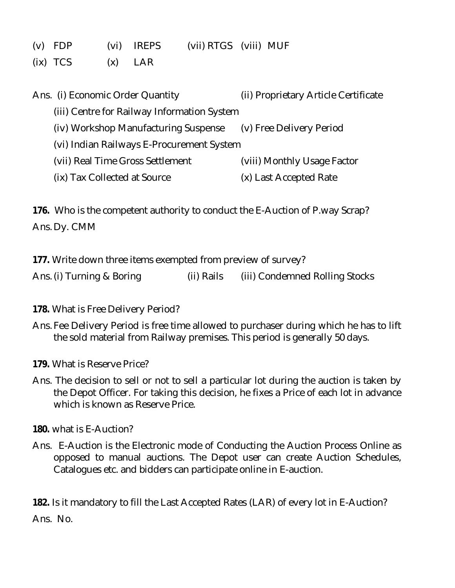- (v) FDP (vi) IREPS (vii) RTGS (viii) MUF
- $(ix)  $TCS$  (x)  $LAR$$

| Ans. (i) Economic Order Quantity            | (ii) Proprietary Article Certificate |
|---------------------------------------------|--------------------------------------|
| (iii) Centre for Railway Information System |                                      |
| (iv) Workshop Manufacturing Suspense        | (v) Free Delivery Period             |
| (vi) Indian Railways E-Procurement System   |                                      |
| (vii) Real Time Gross Settlement            | (viii) Monthly Usage Factor          |
| (ix) Tax Collected at Source                | (x) Last Accepted Rate               |

**176.** Who is the competent authority to conduct the E-Auction of P.way Scrap? Ans. Dy. CMM

**177.** Write down three items exempted from preview of survey?

Ans. (i) Turning & Boring (ii) Rails (iii) Condemned Rolling Stocks

- **178.** What is Free Delivery Period?
- Ans. Fee Delivery Period is free time allowed to purchaser during which he has to lift the sold material from Railway premises. This period is generally 50 days.
- **179.** What is Reserve Price?
- Ans. The decision to sell or not to sell a particular lot during the auction is taken by the Depot Officer. For taking this decision, he fixes a Price of each lot in advance which is known as Reserve Price.
- **180.** what is E-Auction?
- Ans. E-Auction is the Electronic mode of Conducting the Auction Process Online as opposed to manual auctions. The Depot user can create Auction Schedules, Catalogues etc. and bidders can participate online in E-auction.

**182.** Is it mandatory to fill the Last Accepted Rates (LAR) of every lot in E-Auction? Ans. No.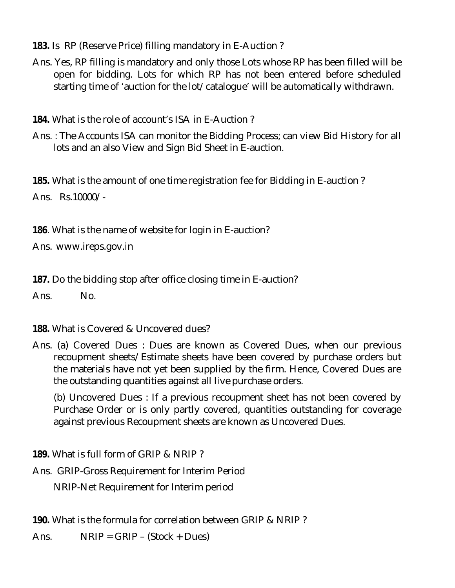- **183.** Is RP (Reserve Price) filling mandatory in E-Auction ?
- Ans. Yes, RP filling is mandatory and only those Lots whose RP has been filled will be open for bidding. Lots for which RP has not been entered before scheduled starting time of 'auction for the lot/catalogue' will be automatically withdrawn.
- **184.** What is the role of account's ISA in E-Auction ?
- Ans. : The Accounts ISA can monitor the Bidding Process; can view Bid History for all lots and an also View and Sign Bid Sheet in E-auction.

**185.** What is the amount of one time registration fee for Bidding in E-auction ? Ans. Rs.10000/-

**186**. What is the name of website for login in E-auction?

Ans. www.ireps.gov.in

**187.** Do the bidding stop after office closing time in E-auction?

Ans. No.

**188.** What is Covered & Uncovered dues?

Ans. (a) Covered Dues : Dues are known as Covered Dues, when our previous recoupment sheets/Estimate sheets have been covered by purchase orders but the materials have not yet been supplied by the firm. Hence, Covered Dues are the outstanding quantities against all live purchase orders.

(b) Uncovered Dues : If a previous recoupment sheet has not been covered by Purchase Order or is only partly covered, quantities outstanding for coverage against previous Recoupment sheets are known as Uncovered Dues.

**189.** What is full form of GRIP & NRIP ?

Ans. GRIP-Gross Requirement for Interim Period NRIP-Net Requirement for Interim period

**190.** What is the formula for correlation between GRIP & NRIP ?

Ans.  $NRIP = GRIP - (Stock + Dues)$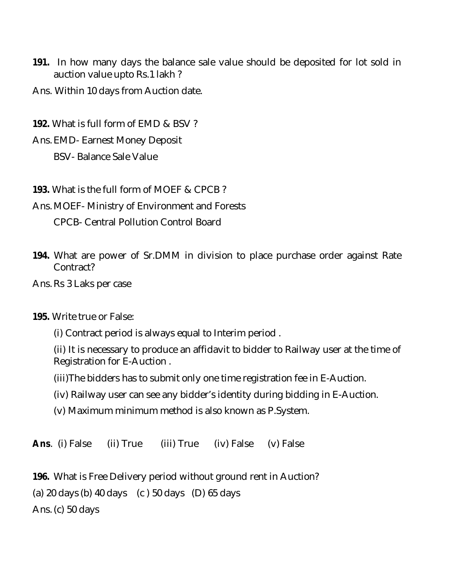- **191.** In how many days the balance sale value should be deposited for lot sold in auction value upto Rs.1 lakh ?
- Ans. Within 10 days from Auction date.

**192.** What is full form of EMD & BSV ?

Ans. EMD- Earnest Money Deposit BSV- Balance Sale Value

**193.** What is the full form of MOEF & CPCB ?

Ans. MOEF- Ministry of Environment and Forests CPCB- Central Pollution Control Board

- **194.** What are power of Sr.DMM in division to place purchase order against Rate Contract?
- Ans.Rs 3 Laks per case

#### **195.** Write true or False:

(i) Contract period is always equal to Interim period .

(ii) It is necessary to produce an affidavit to bidder to Railway user at the time of Registration for E-Auction .

(iii)The bidders has to submit only one time registration fee in E-Auction.

(iv) Railway user can see any bidder's identity during bidding in E-Auction.

(v) Maximum minimum method is also known as P.System.

**Ans**. (i) False (ii) True (iii) True (iv) False (v) False

**196.** What is Free Delivery period without ground rent in Auction? (a) 20 days (b) 40 days (c ) 50 days (D) 65 days Ans.(c) 50 days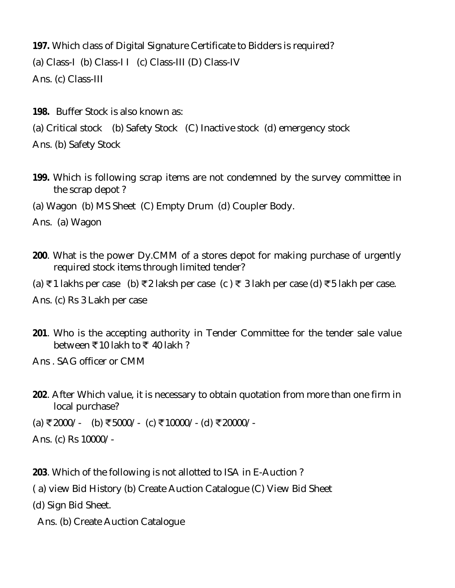**197.** Which class of Digital Signature Certificate to Bidders is required? (a) Class-I (b) Class-II (c) Class-III (D) Class-IV Ans. (c) Class-III

**198.** Buffer Stock is also known as:

(a) Critical stock (b) Safety Stock (C) Inactive stock (d) emergency stock

Ans. (b) Safety Stock

**199.** Which is following scrap items are not condemned by the survey committee in the scrap depot ?

(a) Wagon (b) MS Sheet (C) Empty Drum (d) Coupler Body.

Ans. (a) Wagon

**200**. What is the power Dy.CMM of a stores depot for making purchase of urgently required stock items through limited tender?

(a) ₹1 lakhs per case (b) ₹2 laksh per case (c) ₹3 lakh per case (d) ₹5 lakh per case.

Ans. (c) Rs 3 Lakh per case

**201**. Who is the accepting authority in Tender Committee for the tender sale value between  $\overline{5}$ 10 lakh to  $\overline{5}$  40 lakh ?

Ans . SAG officer or CMM

**202**. After Which value, it is necessary to obtain quotation from more than one firm in local purchase?

(a) ₹2000/- (b) ₹5000/- (c) ₹10000/- (d) ₹20000/-

Ans. (c) Rs 10000/-

**203**. Which of the following is not allotted to ISA in E-Auction ?

( a) view Bid History (b) Create Auction Catalogue (C) View Bid Sheet

(d) Sign Bid Sheet.

Ans. (b) Create Auction Catalogue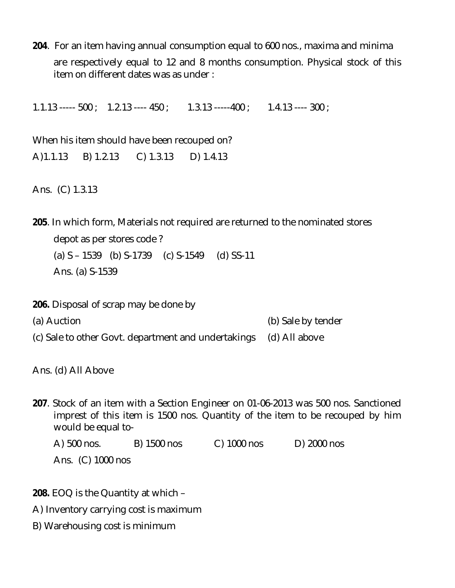**204**. For an item having annual consumption equal to 600 nos., maxima and minima are respectively equal to 12 and 8 months consumption. Physical stock of this item on different dates was as under :

1.1.13 ----- 500 ; 1.2.13 ---- 450 ; 1.3.13 -----400 ; 1.4.13 ---- 300 ;

When his item should have been recouped on? A)1.1.13 B) 1.2.13 C) 1.3.13 D) 1.4.13

Ans. (C) 1.3.13

**205**. In which form, Materials not required are returned to the nominated stores depot as per stores code ? (a) S – 1539 (b) S-1739 (c) S-1549 (d) SS-11 Ans. (a) S-1539

**206.** Disposal of scrap may be done by

- (a) Auction (b) Sale by tender
- (c) Sale to other Govt. department and undertakings (d) All above

Ans. (d) All Above

**207**. Stock of an item with a Section Engineer on 01-06-2013 was 500 nos. Sanctioned imprest of this item is 1500 nos. Quantity of the item to be recouped by him would be equal to-

A) 500 nos. B) 1500 nos C) 1000 nos D) 2000 nos Ans. (C) 1000 nos

- **208.** EOQ is the Quantity at which –
- A) Inventory carrying cost is maximum
- B) Warehousing cost is minimum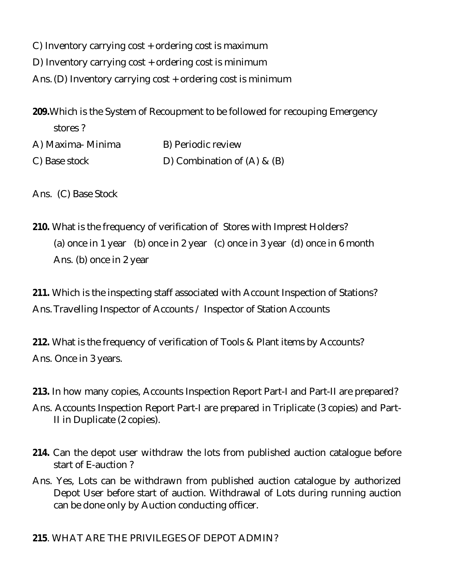C) Inventory carrying cost + ordering cost is maximum

D) Inventory carrying cost + ordering cost is minimum

Ans.(D) Inventory carrying cost + ordering cost is minimum

**209.**Which is the System of Recoupment to be followed for recouping Emergency stores ?

A) Maxima- Minima B) Periodic review C) Base stock D) Combination of (A) & (B)

Ans. (C) Base Stock

**210.** What is the frequency of verification of Stores with Imprest Holders? (a) once in 1 year (b) once in 2 year (c) once in 3 year (d) once in 6 month Ans. (b) once in 2 year

**211.** Which is the inspecting staff associated with Account Inspection of Stations? Ans. Travelling Inspector of Accounts / Inspector of Station Accounts

**212.** What is the frequency of verification of Tools & Plant items by Accounts? Ans. Once in 3 years.

- **213.** In how many copies, Accounts Inspection Report Part-I and Part-II are prepared?
- Ans. Accounts Inspection Report Part-I are prepared in Triplicate (3 copies) and Part-II in Duplicate (2 copies).
- **214.** Can the depot user withdraw the lots from published auction catalogue before start of E-auction ?
- Ans. Yes, Lots can be withdrawn from published auction catalogue by authorized Depot User before start of auction. Withdrawal of Lots during running auction can be done only by Auction conducting officer.

**215**. WHAT ARE THE PRIVILEGES OF DEPOT ADMIN?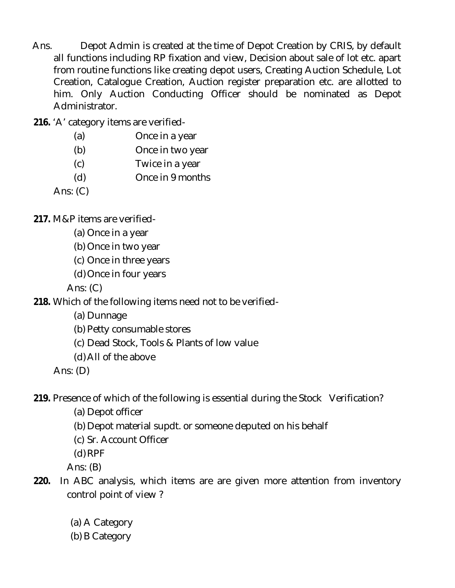- Ans. Depot Admin is created at the time of Depot Creation by CRIS, by default all functions including RP fixation and view, Decision about sale of lot etc. apart from routine functions like creating depot users, Creating Auction Schedule, Lot Creation, Catalogue Creation, Auction register preparation etc. are allotted to him. Only Auction Conducting Officer should be nominated as Depot Administrator.
- **216.** 'A' category items are verified-
	- (a) Once in a year
	- (b) Once in two year
	- (c) Twice in a year
	- (d) Once in 9 months

Ans:  $(C)$ 

**217.** M&P items are verified-

- (a) Once in a year
- (b) Once in two year
- (c) Once in three years
- (d) Once in four years

Ans: (C)

**218.** Which of the following items need not to be verified-

- (a) Dunnage
- (b) Petty consumable stores
- (c) Dead Stock, Tools & Plants of low value
- (d)All of the above

Ans: (D)

**219.** Presence of which of the following is essential during the Stock Verification?

- (a) Depot officer
- (b) Depot material supdt. or someone deputed on his behalf
- (c) Sr. Account Officer
- (d)RPF

Ans: (B)

- **220.** In ABC analysis, which items are are given more attention from inventory control point of view ?
	- (a) A Category
	- (b) B Category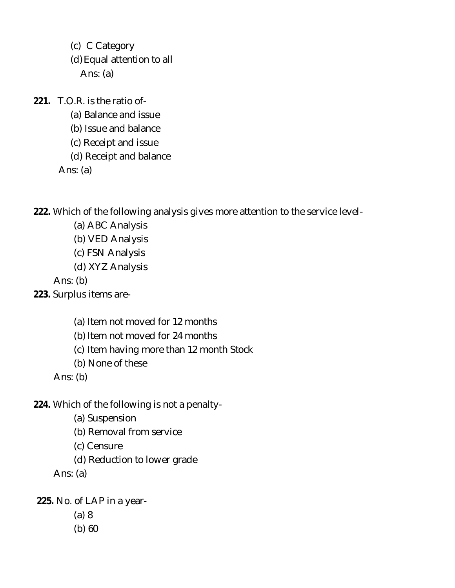(c) C Category (d)Equal attention to all Ans: (a)

**221.** T.O.R. is the ratio of-

(a) Balance and issue

(b) Issue and balance

(c) Receipt and issue

(d) Receipt and balance

Ans: (a)

**222.** Which of the following analysis gives more attention to the service level-

(a) ABC Analysis

(b) VED Analysis

(c) FSN Analysis

(d) XYZ Analysis

Ans: (b)

- **223.** Surplus items are-
	- (a) Item not moved for 12 months
	- (b) Item not moved for 24 months

(c) Item having more than 12 month Stock

(b) None of these

Ans: (b)

- **224.** Which of the following is not a penalty-
	- (a) Suspension

(b) Removal from service

(c) Censure

(d) Reduction to lower grade

Ans: (a)

**225.** No. of LAP in a year-

- (a) 8
- (b) 60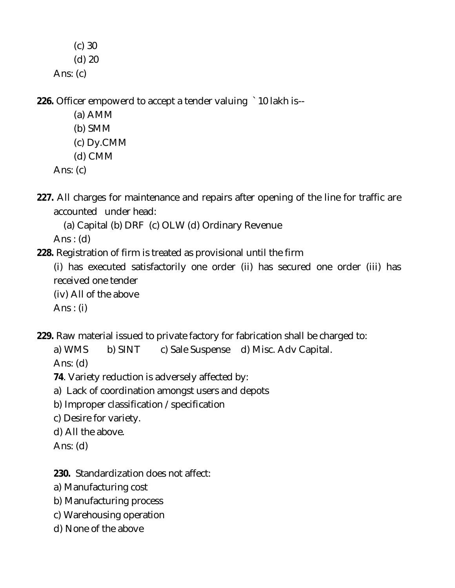- (c) 30
- (d) 20
- Ans: (c)

**226.** Officer empowerd to accept a tender valuing `10 lakh is--

- (a) AMM
- (b) SMM
- (c) Dy.CMM
- (d) CMM
- Ans:  $(c)$
- **227.** All charges for maintenance and repairs after opening of the line for traffic are accounted under head:
	- (a) Capital (b) DRF (c) OLW (d) Ordinary Revenue

Ans :  $(d)$ 

- **228.** Registration of firm is treated as provisional until the firm
	- (i) has executed satisfactorily one order (ii) has secured one order (iii) has received one tender
	- (iv) All of the above
	- Ans :  $(i)$
- **229.** Raw material issued to private factory for fabrication shall be charged to:
	- a) WMS b) SINT c) Sale Suspense d) Misc. Adv Capital.
	- Ans: (d)
	- **74**. Variety reduction is adversely affected by:
	- a) Lack of coordination amongst users and depots
	- b) Improper classification /specification
	- c) Desire for variety.
	- d) All the above.
	- Ans: (d)
	- **230.** Standardization does not affect:
	- a) Manufacturing cost
	- b) Manufacturing process
	- c) Warehousing operation
	- d) None of the above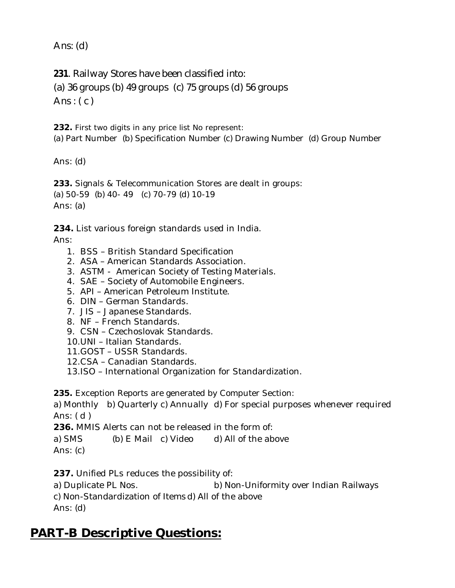Ans: (d)

**231**. Railway Stores have been classified into:

(a) 36 groups (b) 49 groups (c) 75 groups (d) 56 groups

Ans:  $(c)$ 

**232.** First two digits in any price list No represent:

(a) Part Number (b) Specification Number (c) Drawing Number (d) Group Number

Ans: (d)

**233.** Signals & Telecommunication Stores are dealt in groups: (a) 50-59 (b) 40- 49 (c) 70-79 (d) 10-19 Ans: (a)

**234.** List various foreign standards used in India.

Ans:

- 1. BSS British Standard Specification
- 2. ASA American Standards Association.
- 3. ASTM American Society of Testing Materials.
- 4. SAE Society of Automobile Engineers.
- 5. API American Petroleum Institute.
- 6. DIN German Standards.
- 7. JIS Japanese Standards.
- 8. NF French Standards.
- 9. CSN Czechoslovak Standards.
- 10.UNI Italian Standards.
- 11.GOST USSR Standards.
- 12.CSA Canadian Standards.
- 13.ISO International Organization for Standardization.

**235.** Exception Reports are generated by Computer Section:

a) Monthly b) Quarterly c) Annually d) For special purposes whenever required Ans: ( d )

**236.** MMIS Alerts can not be released in the form of:

a) SMS (b) E Mail c) Video d) All of the above Ans: (c)

**237.** Unified PLs reduces the possibility of:

a) Duplicate PL Nos. b) Non-Uniformity over Indian Railways c) Non-Standardization of Itemsd) All of the above Ans: (d)

# **PART-B Descriptive Questions:**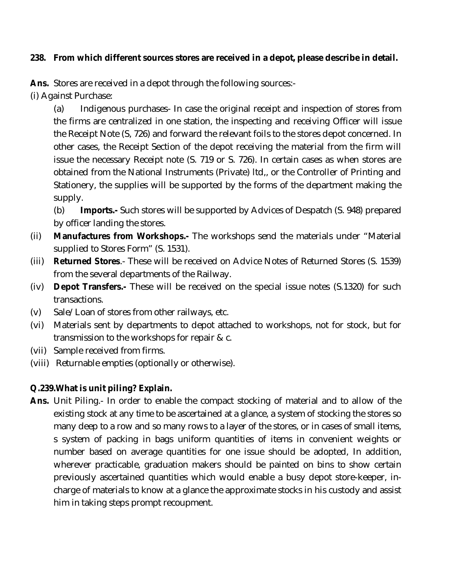#### **238. From which different sources stores are received in a depot, please describe in detail.**

**Ans.** Stores are received in a depot through the following sources:-

(i) Against Purchase:

(a) Indigenous purchases- In case the original receipt and inspection of stores from the firms are centralized in one station, the inspecting and receiving Officer will issue the Receipt Note (S, 726) and forward the relevant foils to the stores depot concerned. In other cases, the Receipt Section of the depot receiving the material from the firm will issue the necessary Receipt note (S. 719 or S. 726). In certain cases as when stores are obtained from the National Instruments (Private) ltd,, or the Controller of Printing and Stationery, the supplies will be supported by the forms of the department making the supply.

 (b) **Imports.-** Such stores will be supported by Advices of Despatch (S. 948) prepared by officer landing the stores.

- (ii) **Manufactures from Workshops.-** The workshops send the materials under "Material supplied to Stores Form" (S. 1531).
- (iii) **Returned Stores**.- These will be received on Advice Notes of Returned Stores (S. 1539) from the several departments of the Railway.
- (iv) **Depot Transfers.-** These will be received on the special issue notes (S.1320) for such transactions.
- (v) Sale/Loan of stores from other railways, etc.
- (vi) Materials sent by departments to depot attached to workshops, not for stock, but for transmission to the workshops for repair & c.
- (vii) Sample received from firms.
- (viii) Returnable empties (optionally or otherwise).

### **Q.239.What is unit piling? Explain.**

**Ans.** Unit Piling.- In order to enable the compact stocking of material and to allow of the existing stock at any time to be ascertained at a glance, a system of stocking the stores so many deep to a row and so many rows to a layer of the stores, or in cases of small items, s system of packing in bags uniform quantities of items in convenient weights or number based on average quantities for one issue should be adopted, In addition, wherever practicable, graduation makers should be painted on bins to show certain previously ascertained quantities which would enable a busy depot store-keeper, incharge of materials to know at a glance the approximate stocks in his custody and assist him in taking steps prompt recoupment.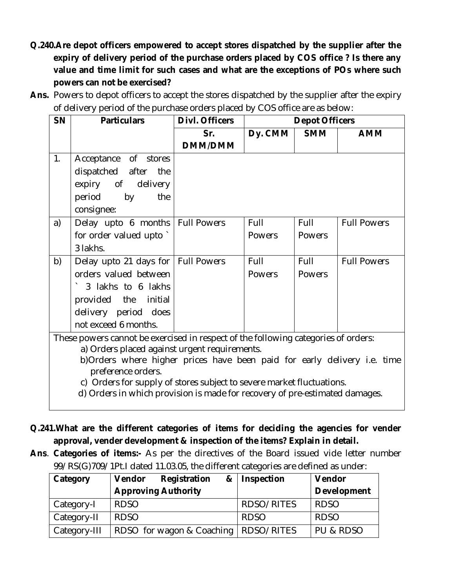- **Q.240.Are depot officers empowered to accept stores dispatched by the supplier after the expiry of delivery period of the purchase orders placed by COS office ? Is there any value and time limit for such cases and what are the exceptions of POs where such powers can not be exercised?**
- Ans. Powers to depot officers to accept the stores dispatched by the supplier after the expiry of delivery period of the purchase orders placed by COS office are as below:

| <b>SN</b> | <b>Particulars</b>                                                                 | Divl. Officers     | <b>Depot Officers</b> |               |                    |
|-----------|------------------------------------------------------------------------------------|--------------------|-----------------------|---------------|--------------------|
|           |                                                                                    | Sr.                | Dy. CMM               | <b>SMM</b>    | <b>AMM</b>         |
|           |                                                                                    | <b>DMM/DMM</b>     |                       |               |                    |
| 1.        | Acceptance of stores                                                               |                    |                       |               |                    |
|           | dispatched after<br>the                                                            |                    |                       |               |                    |
|           | expiry of delivery                                                                 |                    |                       |               |                    |
|           | period<br>by<br>the                                                                |                    |                       |               |                    |
|           | consignee:                                                                         |                    |                       |               |                    |
| a)        | Delay upto 6 months                                                                | <b>Full Powers</b> | Full                  | Full          | <b>Full Powers</b> |
|           | for order valued upto                                                              |                    | <b>Powers</b>         | Powers        |                    |
|           | 3 lakhs.                                                                           |                    |                       |               |                    |
| b)        | Delay upto 21 days for   Full Powers                                               |                    | Full                  | Full          | <b>Full Powers</b> |
|           | orders valued between                                                              |                    | <b>Powers</b>         | <b>Powers</b> |                    |
|           | 3 lakhs to 6 lakhs                                                                 |                    |                       |               |                    |
|           | provided the initial                                                               |                    |                       |               |                    |
|           | delivery period does                                                               |                    |                       |               |                    |
|           | not exceed 6 months.                                                               |                    |                       |               |                    |
|           | These powers cannot be exercised in respect of the following categories of orders: |                    |                       |               |                    |
|           | a) Orders placed against urgent requirements.                                      |                    |                       |               |                    |
|           | b)Orders where higher prices have been paid for early delivery i.e. time           |                    |                       |               |                    |

- preference orders.
- c) Orders for supply of stores subject to severe market fluctuations.
- d) Orders in which provision is made for recovery of pre-estimated damages.
- **Q.241.What are the different categories of items for deciding the agencies for vender approval, vender development & inspection of the items? Explain in detail.**
- **Ans**. **Categories of items:-** As per the directives of the Board issued vide letter number 99/RS(G)709/1Pt.I dated 11.03.05, the different categories are defined as under:

| Category     | Registration<br>Vendor<br>& | Inspection  | Vendor             |
|--------------|-----------------------------|-------------|--------------------|
|              | <b>Approving Authority</b>  |             | <b>Development</b> |
| Category-I   | <b>RDSO</b>                 | RDSO/RITES  | <b>RDSO</b>        |
| Category-II  | <b>RDSO</b>                 | <b>RDSO</b> | <b>RDSO</b>        |
| Category-III | RDSO for wagon & Coaching   | RDSO/RITES  | l pu & RDSO        |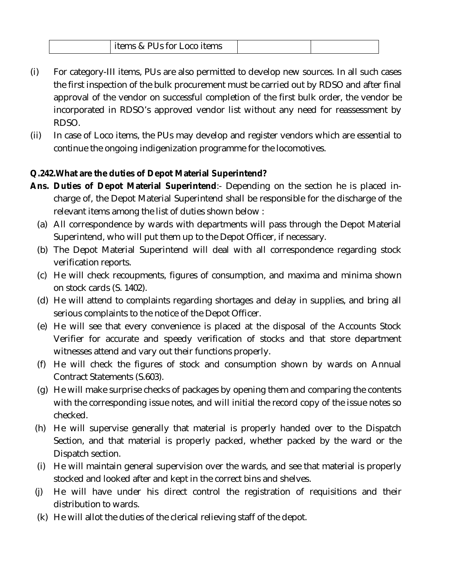- (i) For category-III items, PUs are also permitted to develop new sources. In all such cases the first inspection of the bulk procurement must be carried out by RDSO and after final approval of the vendor on successful completion of the first bulk order, the vendor be incorporated in RDSO's approved vendor list without any need for reassessment by RDSO.
- (ii) In case of Loco items, the PUs may develop and register vendors which are essential to continue the ongoing indigenization programme for the locomotives.

### **Q.242.What are the duties of Depot Material Superintend?**

- **Ans. Duties of Depot Material Superintend**:- Depending on the section he is placed incharge of, the Depot Material Superintend shall be responsible for the discharge of the relevant items among the list of duties shown below :
	- (a) All correspondence by wards with departments will pass through the Depot Material Superintend, who will put them up to the Depot Officer, if necessary.
	- (b) The Depot Material Superintend will deal with all correspondence regarding stock verification reports.
	- (c) He will check recoupments, figures of consumption, and maxima and minima shown on stock cards (S. 1402).
	- (d) He will attend to complaints regarding shortages and delay in supplies, and bring all serious complaints to the notice of the Depot Officer.
	- (e) He will see that every convenience is placed at the disposal of the Accounts Stock Verifier for accurate and speedy verification of stocks and that store department witnesses attend and vary out their functions properly.
	- (f) He will check the figures of stock and consumption shown by wards on Annual Contract Statements (S.603).
	- (g) He will make surprise checks of packages by opening them and comparing the contents with the corresponding issue notes, and will initial the record copy of the issue notes so checked.
- (h) He will supervise generally that material is properly handed over to the Dispatch Section, and that material is properly packed, whether packed by the ward or the Dispatch section.
- (i) He will maintain general supervision over the wards, and see that material is properly stocked and looked after and kept in the correct bins and shelves.
- (j) He will have under his direct control the registration of requisitions and their distribution to wards.
- (k) He will allot the duties of the clerical relieving staff of the depot.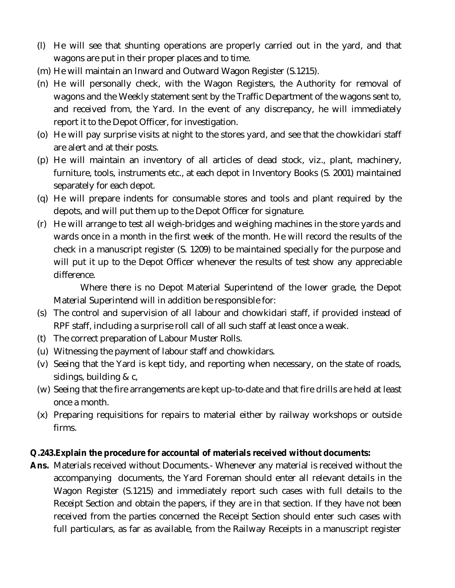- (l) He will see that shunting operations are properly carried out in the yard, and that wagons are put in their proper places and to time.
- (m) He will maintain an Inward and Outward Wagon Register (S.1215).
- (n) He will personally check, with the Wagon Registers, the Authority for removal of wagons and the Weekly statement sent by the Traffic Department of the wagons sent to, and received from, the Yard. In the event of any discrepancy, he will immediately report it to the Depot Officer, for investigation.
- (o) He will pay surprise visits at night to the stores yard, and see that the chowkidari staff are alert and at their posts.
- (p) He will maintain an inventory of all articles of dead stock, viz., plant, machinery, furniture, tools, instruments etc., at each depot in Inventory Books (S. 2001) maintained separately for each depot.
- (q) He will prepare indents for consumable stores and tools and plant required by the depots, and will put them up to the Depot Officer for signature.
- (r) He will arrange to test all weigh-bridges and weighing machines in the store yards and wards once in a month in the first week of the month. He will record the results of the check in a manuscript register (S. 1209) to be maintained specially for the purpose and will put it up to the Depot Officer whenever the results of test show any appreciable difference.

Where there is no Depot Material Superintend of the lower grade, the Depot Material Superintend will in addition be responsible for:

- (s) The control and supervision of all labour and chowkidari staff, if provided instead of RPF staff, including a surprise roll call of all such staff at least once a weak.
- (t) The correct preparation of Labour Muster Rolls.
- (u) Witnessing the payment of labour staff and chowkidars.
- (v) Seeing that the Yard is kept tidy, and reporting when necessary, on the state of roads, sidings, building & c,
- (w) Seeing that the fire arrangements are kept up-to-date and that fire drills are held at least once a month.
- (x) Preparing requisitions for repairs to material either by railway workshops or outside firms.

### **Q.243.Explain the procedure for accountal of materials received without documents:**

**Ans.** Materials received without Documents.- Whenever any material is received without the accompanying documents, the Yard Foreman should enter all relevant details in the Wagon Register (S.1215) and immediately report such cases with full details to the Receipt Section and obtain the papers, if they are in that section. If they have not been received from the parties concerned the Receipt Section should enter such cases with full particulars, as far as available, from the Railway Receipts in a manuscript register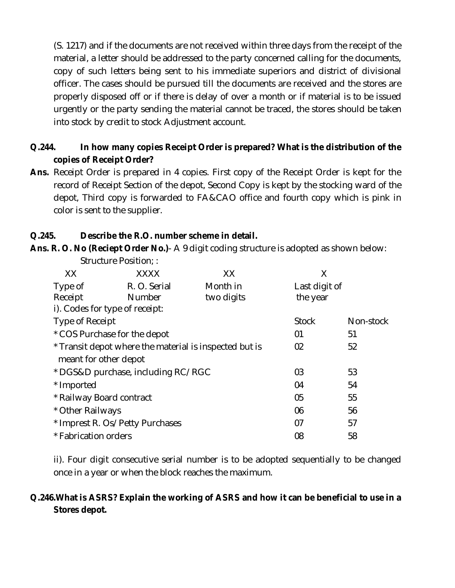(S. 1217) and if the documents are not received within three days from the receipt of the material, a letter should be addressed to the party concerned calling for the documents, copy of such letters being sent to his immediate superiors and district of divisional officer. The cases should be pursued till the documents are received and the stores are properly disposed off or if there is delay of over a month or if material is to be issued urgently or the party sending the material cannot be traced, the stores should be taken into stock by credit to stock Adjustment account.

## **Q.244. In how many copies Receipt Order is prepared? What is the distribution of the copies of Receipt Order?**

**Ans.** Receipt Order is prepared in 4 copies. First copy of the Receipt Order is kept for the record of Receipt Section of the depot, Second Copy is kept by the stocking ward of the depot, Third copy is forwarded to FA&CAO office and fourth copy which is pink in color is sent to the supplier.

## **Q.245. Describe the R.O. number scheme in detail.**

**Ans. R. O. No (Reciept Order No.)**- A 9 digit coding structure is adopted as shown below:

| <b>XXXX</b>                                            | XX         | Χ             |                |
|--------------------------------------------------------|------------|---------------|----------------|
| R. O. Serial                                           | Month in   | Last digit of |                |
| Number                                                 | two digits | the year      |                |
| i). Codes for type of receipt:                         |            |               |                |
| Type of Receipt                                        |            | <b>Stock</b>  | Non-stock      |
| * COS Purchase for the depot                           |            | 01            | 51             |
| * Transit depot where the material is inspected but is |            |               | 52             |
| meant for other depot                                  |            |               |                |
| * DGS&D purchase, including RC/RGC                     |            |               | 53             |
|                                                        |            | 04            | 54             |
| * Railway Board contract                               |            |               | 55             |
| * Other Railways                                       |            | 06            | 56             |
| * Imprest R. Os/Petty Purchases                        |            | 07            | 57             |
| * Fabrication orders                                   |            | 08            | 58             |
|                                                        |            |               | 02<br>03<br>05 |

Structure Position; :

ii). Four digit consecutive serial number is to be adopted sequentially to be changed once in a year or when the block reaches the maximum.

## **Q.246.What is ASRS? Explain the working of ASRS and how it can be beneficial to use in a Stores depot.**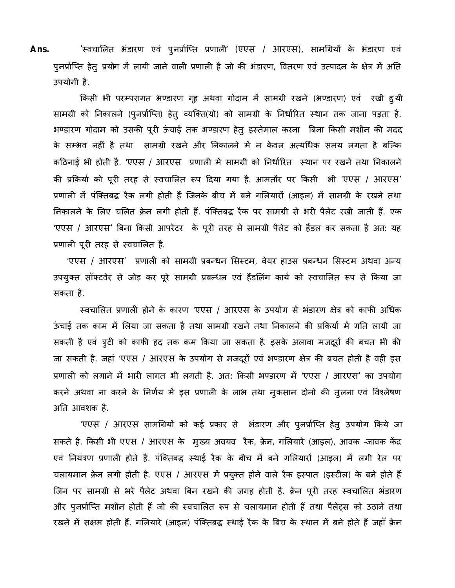Ans. 'स्वचालित भंडारण एवं पुनर्प्राप्ति प्रणाली' (एएस / आरएस), सामग्रियों के भंडारण एवं पुनर्प्राप्ति हेतु प्रयोग में लायी जाने वाली प्रणाली है जो की भंडारण, वितरण एवं उत्पादन के क्षेत्र में अति उपयोगी है.

किसी भी परम्परागत भण्डारण गृह अथवा गोदाम में सामग्री रखने (भण्डारण) एवं रखी हु यी सामग्री को निकालने (पुनर्प्राप्ति) हेतु व्यक्ति(यो) को सामग्री के निर्धारित स्थान तक जाना पड़ता है. भण्डारण गोदाम को उसकी पूरी ऊंचाई तक भण्डारण हेतु इस्तेमाल करना बिना किसी मशीन की मदद के सम्भव नहीं है तथा सामग्री रखने और निकालने में न केवल अत्यधिक समय लगता है बल्कि कठिनाई भी होती है. 'एएस / आरएस प्रणाली में सामग्री को निर्धारित स्थान पर रखने तथा निकालने की प्रकिर्या को पूरी तरह से स्वचालित रूप दिया गया है. आमतौर पर किसी भी 'एएस / आरएस' प्रणाली में पंक्तिबद्ध रैक लगी होती हैं जिनके बीच में बने गलियारों (आइल) में सामग्री के रखने तथा निकालने के लिए चलित क्रेन लगी होती हैं. पंक्तिबद्ध रैक पर सामग्री से भरी पैलेट रखी जाती हैं. एक 'एएस / आरएस' बिना किसी आपरेटर के पूरी तरह से सामग्री पैलेट को हैंडल कर सकता है अत: यह प्रणाली पूरी तरह से स्वचालित है.

'एएस / आरएस' प्रणाली को सामग्री प्रबन्धन सिस्टम, वेयर हाउस प्रबन्धन सिस्टम अथवा अन्य उपयुक्त सॉफ्टवेर से जोड़ कर पूरे सामग्री प्रबन्धन एवं हैंडलिंग कार्य को स्वचालित रूप से किया जा सकता है.

स्वचालित प्रणाली होने के कारण 'एएस / आरएस के उपयोग से भंडारण क्षेत्र को काफी अधिक ऊंचाई तक काम में लिया जा सकता है तथा सामग्री रखने तथा निकालने की प्रकिर्या में गति लायी जा सकती है एवं त्रुटी को काफी हद तक कम किया जा सकता है. इसके अलावा मजदूरों की बचत भी की जा सकती है. जहां 'एएस / आरएस के उपयोग से मजदूरों एवं भण्डारण क्षेत्र की बचत होती है वही इस प्रणाली को लगाने में भारी लागत भी लगती है. अत: किसी भण्डारण में 'एएस / आरएस' का उपयोग करने अथवा ना करने के निर्णय में इस प्रणाली के लाभ तथा नुकसान दोनो की तुलना एवं विश्लेषण अति आवशक है.

'एएस / आरएस सामग्रियों को कई प्रकार से भंडारण और पुनर्प्राप्ति हेतु उपयोग किये जा सकते है. किसी भी एएस / आरएस के मुख्य अवयव रैक, क्रेन, गलियारे (आइल), आवक -जावक केंद्र एवं नियंत्रण प्रणाली होते हैं. पंक्तिबद्ध स्थाई रैक के बीच में बने गलियारों (आइल) में लगी रेल पर चलायमान क्रेन लगी होती है. एएस / आरएस में प्रयुक्त होने वाले रैक इस्पात (इस्टील) के बने होते हैं जिन पर सामग्री से भरे पैलेट अथवा बिन रखने की जगह होती है. क्रेन पूरी तरह स्वचालित भंडारण और पुनर्प्राप्ति मशीन होती हैं जो की स्वचालित रूप से चलायमान होती हैं तथा पैलेट्स को उठाने तथा रखने में सक्षम होती हैं. गलियारे (आइल) पंक्तिबद्ध स्थाई रैक के बिच के स्थान में बने होते हैं जहाँ क्रेन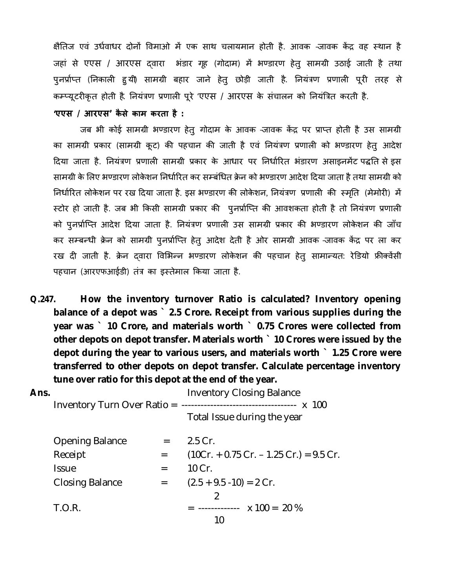क्षैतिज एवं उर्धवाधर दोनों विमाओ में एक साथ चलायमान होती है. आवक -जावक केंद्र वह स्थान है जहां से एएस / आरएस दवारा भंडार गृह (गोदाम) में भण्डारण हेतु सामग्री उठाई जाती है तथा पुनर्प्राप्त (निकाली हुयी) सामग्री बहार जाने हेतु छोड़ी जाती है. नियंत्रण प्रणाली पूरी तरह से कम्प्यूटरीकृत होती है. नियंत्रण प्रणाली पूरे 'एएस / आरएस के संचालन को नियंत्रित करती है.

**'एएस / आरएस' कै से काम करता है :**

जब भी कोई सामग्री भण्डारण हेतु गोदाम के आवक -जावक केंद्र पर प्राप्त होती है उस सामग्री का सामग्री प्रकार (सामग्री कूट) की पहचान की जाती है एवं नियंत्रण प्रणाली को भण्डारण हेतु आदेश दिया जाता है. नियंत्रण प्रणाली सामग्री प्रकार के आधार पर निर्धारित भंडारण असाइनमेंट पद्धति से इस सामग्री के लिए भण्डारण लोकेशन निर्धारित कर सम्बंधित क्रेन को भण्डारण आदेश दिया जाता है तथा सामग्री को निर्धारित लोकेशन पर रख दिया जाता है. इस भण्डारण की लोकेशन, नियंत्रण प्रणाली की *स्मृ*ति (मेमोरी) में स्टोर हो जाती है. जब भी किसी सामग्री प्रकार की पुनर्प्राप्ति की आवशकता होती है तो नियंत्रण प्रणाली को पुनर्प्राप्ति आदेश दिया जाता है. नियंत्रण प्रणाली उस सामग्री प्रकार की भण्डारण लोकेशन की जाँच कर सम्बन्धी क्रेन को सामग्री पुनर्प्राप्ति हेतु आदेश देती है ओर सामग्री आवक -जावक केंद्र पर ला कर रख दी जाती है. क्रेन दवारा विभिन्न भण्डारण लोकेशन की पहचान हेतु सामान्यत: रेडियो फ्रीक्वेंसी पहचान (आरएफआईडी) तंत्र का इस्तेमाल किया जाता है.

**Q.247. How the inventory turnover Ratio is calculated? Inventory opening balance of a depot was ` 2.5 Crore. Receipt from various supplies during the year was ` 10 Crore, and materials worth ` 0.75 Crores were collected from other depots on depot transfer. Materials worth ` 10 Crores were issued by the depot during the year to various users, and materials worth ` 1.25 Crore were transferred to other depots on depot transfer. Calculate percentage inventory tune over ratio for this depot at the end of the year.**

| Ans. |                        |     | <b>Inventory Closing Balance</b>          |  |
|------|------------------------|-----|-------------------------------------------|--|
|      |                        |     | Total Issue during the year               |  |
|      | <b>Opening Balance</b> | $=$ | $2.5$ Cr.                                 |  |
|      | Receipt                | $=$ | $(10Cr. + 0.75 Cr. - 1.25 Cr.) = 9.5 Cr.$ |  |
|      | <b>Issue</b>           | $=$ | 10 Cr.                                    |  |
|      | <b>Closing Balance</b> | $=$ | $(2.5 + 9.5 - 10) = 2 Cr.$                |  |
|      |                        |     | 2                                         |  |
|      | <b>T.O.R.</b>          |     | $=$ ------------- $\times$ 100 = 20 %     |  |
|      |                        |     | 10                                        |  |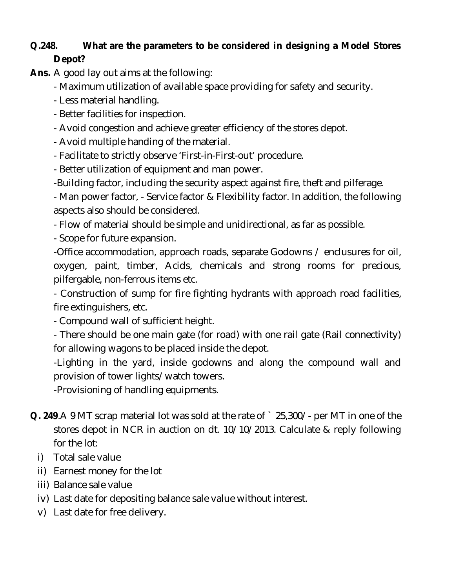# **Q.248. What are the parameters to be considered in designing a Model Stores Depot?**

**Ans.** A good lay out aims at the following:

- Maximum utilization of available space providing for safety and security.

- Less material handling.
- Better facilities for inspection.
- Avoid congestion and achieve greater efficiency of the stores depot.
- Avoid multiple handing of the material.
- Facilitate to strictly observe 'First-in-First-out' procedure.
- Better utilization of equipment and man power.
- -Building factor, including the security aspect against fire, theft and pilferage.

- Man power factor, - Service factor & Flexibility factor. In addition, the following aspects also should be considered.

- Flow of material should be simple and unidirectional, as far as possible.

- Scope for future expansion.

-Office accommodation, approach roads, separate Godowns / enclusures for oil, oxygen, paint, timber, Acids, chemicals and strong rooms for precious, pilfergable, non-ferrous items etc.

- Construction of sump for fire fighting hydrants with approach road facilities, fire extinguishers, etc.

- Compound wall of sufficient height.

- There should be one main gate (for road) with one rail gate (Rail connectivity) for allowing wagons to be placed inside the depot.

-Lighting in the yard, inside godowns and along the compound wall and provision of tower lights/watch towers.

-Provisioning of handling equipments.

- **Q. 249**.A 9 MT scrap material lot was sold at the rate of ` 25,300/- per MT in one of the stores depot in NCR in auction on dt. 10/10/2013. Calculate & reply following for the lot:
	- i) Total sale value
	- ii) Earnest money for the lot
	- iii) Balance sale value
	- iv) Last date for depositing balance sale value without interest.
	- v) Last date for free delivery.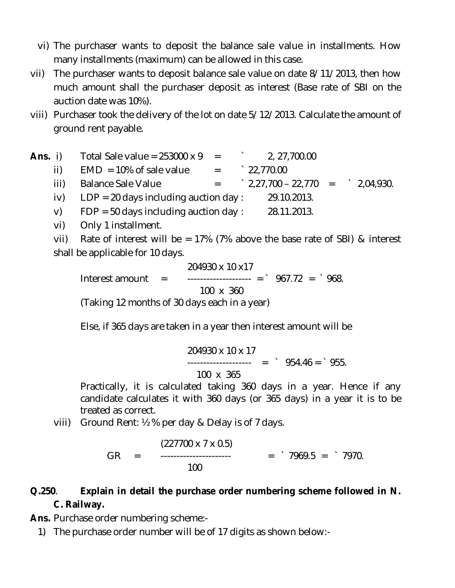- vi) The purchaser wants to deposit the balance sale value in installments. How many installments (maximum) can be allowed in this case.
- vii) The purchaser wants to deposit balance sale value on date 8/11/2013, then how much amount shall the purchaser deposit as interest (Base rate of SBI on the auction date was 10%).
- viii) Purchaser took the delivery of the lot on date 5/12/2013. Calculate the amount of ground rent payable.
- **Ans.** i) Total Sale value =  $253000 \times 9$  = 2, 27,700.00 ii)  $EMD = 10\%$  of sale value  $=$   $22,770.00$ iii) Balance Sale Value  $=$   $2,27,700 - 22,770 =$   $2,04,930$ . iv)  $LDP = 20$  days including auction day : 29.10.2013. v)  $FDP = 50$  days including auction day : 28.11.2013.
	- vi) Only 1 installment.
	- vii) Rate of interest will be = 17% (7% above the base rate of SBI) & interest shall be applicable for 10 days.

204930 x 10 x17 Interest amount =  $\frac{367.72}{3}$  =  $\frac{968.72}{3}$  100 x 360 (Taking 12 months of 30 days each in a year)

Else, if 365 days are taken in a year then interest amount will be

$$
204930 \times 10 \times 17
$$
  
........  
100 x 365 = 954.46 = 955.

Practically, it is calculated taking 360 days in a year. Hence if any candidate calculates it with 360 days (or 365 days) in a year it is to be treated as correct.

viii) Ground Rent: ½ % per day & Delay is of 7 days.

 $(227700 \times 7 \times 0.5)$ GR = ---------------------- = ` 7969.5 = ` 7970. 100

# **Q.250**. **Explain in detail the purchase order numbering scheme followed in N. C. Railway.**

- **Ans.** Purchase order numbering scheme:-
	- 1) The purchase order number will be of 17 digits as shown below:-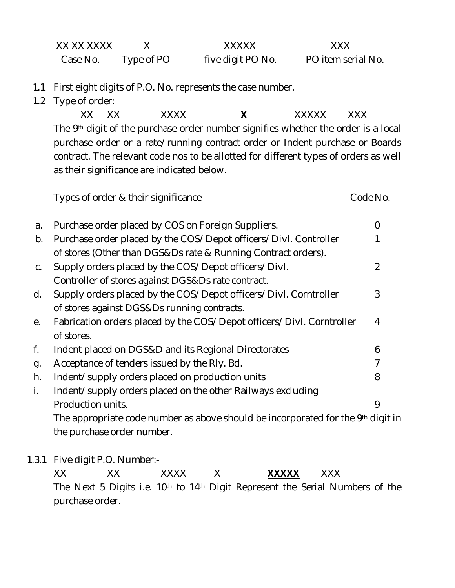| XX XX XXXX |            | XXXXX             | XXX                |
|------------|------------|-------------------|--------------------|
| Case No.   | Type of PO | five digit PO No. | PO item serial No. |

- 1.1 First eight digits of P.O. No. represents the case number.
- 1.2 Type of order:

XX XX XXXX **X** XXXXX XXX The 9<sup>th</sup> digit of the purchase order number signifies whether the order is a local purchase order or a rate/running contract order or Indent purchase or Boards contract. The relevant code nos to be allotted for different types of orders as well as their significance are indicated below.

Types of order & their significance Types of order & their significance

| a. | Purchase order placed by COS on Foreign Suppliers.                               | $\mathcal{O}$ |
|----|----------------------------------------------------------------------------------|---------------|
| b. | Purchase order placed by the COS/Depot officers/Divl. Controller                 |               |
|    | of stores (Other than DGS&Ds rate & Running Contract orders).                    |               |
| C. | Supply orders placed by the COS/Depot officers/Divl.                             | 2             |
|    | Controller of stores against DGS&Ds rate contract.                               |               |
| d. | Supply orders placed by the COS/Depot officers/Divl. Corntroller                 | 3             |
|    | of stores against DGS&Ds running contracts.                                      |               |
| е. | Fabrication orders placed by the COS/Depot officers/Divl. Corntroller            | 4             |
|    | of stores.                                                                       |               |
| f. | Indent placed on DGS&D and its Regional Directorates                             | 6             |
| g. | Acceptance of tenders issued by the RIy. Bd.                                     | 7             |
| h. | Indent/supply orders placed on production units                                  | 8             |
| i. | Indent/supply orders placed on the other Railways excluding                      |               |
|    | Production units.                                                                | 9             |
|    | The appropriate code number as above should be incorporated for the 9th digit in |               |
|    | the purchase order number.                                                       |               |
|    |                                                                                  |               |

1.3.1 Five digit P.O. Number:-

XX XX XXXX X **XXXXX** XXX The Next 5 Digits i.e. 10<sup>th</sup> to 14<sup>th</sup> Digit Represent the Serial Numbers of the purchase order.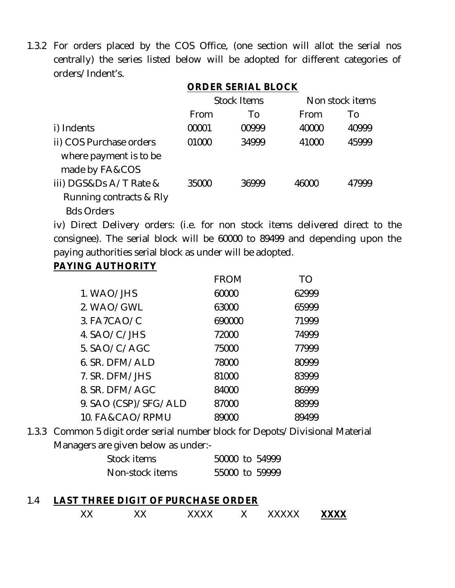1.3.2 For orders placed by the COS Office, (one section will allot the serial nos centrally) the series listed below will be adopted for different categories of orders/Indent's.

## **ORDER SERIAL BLOCK**

|                                                                        | <b>Stock Items</b> |       | Non stock items |       |
|------------------------------------------------------------------------|--------------------|-------|-----------------|-------|
|                                                                        | From               | To    | From            | Τo    |
| i) Indents                                                             | 00001              | 00999 | 40000           | 40999 |
| ii) COS Purchase orders<br>where payment is to be<br>made by FA&COS    | 01000              | 34999 | 41000           | 45999 |
| iii) DGS&Ds A/T Rate &<br>Running contracts & RIy<br><b>Bds Orders</b> | 35000              | 36999 | 46000           | 47999 |

iv) Direct Delivery orders: (i.e. for non stock items delivered direct to the consignee). The serial block will be 60000 to 89499 and depending upon the paying authorities serial block as under will be adopted.

## **PAYING AUTHORITY**

|                      | <b>FROM</b> | TΟ    |
|----------------------|-------------|-------|
| 1. WAO/JHS           | 60000       | 62999 |
| 2. WAO/GWL           | 63000       | 65999 |
| 3. FA7CAO/C          | 690000      | 71999 |
| 4. SAO/C/JHS         | 72000       | 74999 |
| 5. SAO/C/AGC         | 75000       | 77999 |
| 6. SR. DFM/ALD       | 78000       | 80999 |
| 7. SR. DFM/JHS       | 81000       | 83999 |
| 8. SR. DFM/AGC       | 84000       | 86999 |
| 9. SAO (CSP)/SFG/ALD | 87000       | 88999 |
| 10. FA&CAO/RPMU      | 89000       | 89499 |
|                      |             |       |

1.3.3 Common 5 digit order serial number block for Depots/Divisional Material Managers are given below as under:-

| Stock items     |  | 50000 to 54999 |
|-----------------|--|----------------|
| Non-stock items |  | 55000 to 59999 |

## 1.4 **LAST THREE DIGIT OF PURCHASE ORDER** XX XX XXXX X XXXXX **XXXX**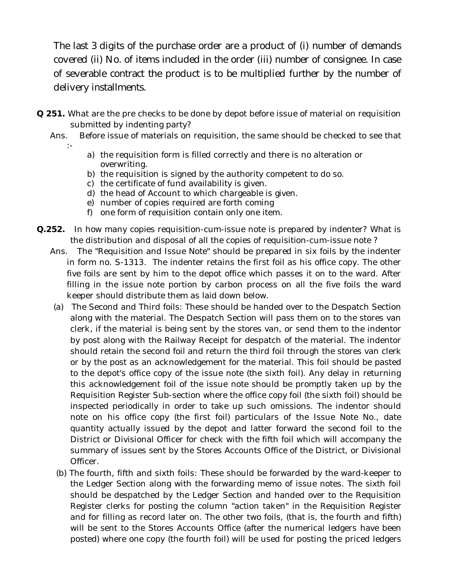The last 3 digits of the purchase order are a product of (i) number of demands covered (ii) No. of items included in the order (iii) number of consignee. In case of severable contract the product is to be multiplied further by the number of delivery installments.

- **Q 251.** What are the pre checks to be done by depot before issue of material on requisition submitted by indenting party?
	- Ans. Before issue of materials on requisition, the same should be checked to see that :
		- a) the requisition form is filled correctly and there is no alteration or overwriting.
		- b) the requisition is signed by the authority competent to do so.
		- c) the certificate of fund availability is given.
		- d) the head of Account to which chargeable is given.
		- e) number of copies required are forth coming
		- f) one form of requisition contain only one item.
- **Q.252.** In how many copies requisition-cum-issue note is prepared by indenter? What is the distribution and disposal of all the copies of requisition-cum-issue note ?
	- Ans. The "Requisition and Issue Note" should be prepared in six foils by the indenter in form no. S-1313. The indenter retains the first foil as his office copy. The other five foils are sent by him to the depot office which passes it on to the ward. After filling in the issue note portion by carbon process on all the five foils the ward keeper should distribute them as laid down below.
		- (a) The Second and Third foils: These should be handed over to the Despatch Section along with the material. The Despatch Section will pass them on to the stores van clerk, if the material is being sent by the stores van, or send them to the indentor by post along with the Railway Receipt for despatch of the material. The indentor should retain the second foil and return the third foil through the stores van clerk or by the post as an acknowledgement for the material. This foil should be pasted to the depot's office copy of the issue note (the sixth foil). Any delay in returning this acknowledgement foil of the issue note should be promptly taken up by the Requisition Register Sub-section where the office copy foil (the sixth foil) should be inspected periodically in order to take up such omissions. The indentor should note on his office copy (the first foil) particulars of the Issue Note No., date quantity actually issued by the depot and latter forward the second foil to the District or Divisional Officer for check with the fifth foil which will accompany the summary of issues sent by the Stores Accounts Office of the District, or Divisional Officer.
		- (b) The fourth, fifth and sixth foils: These should be forwarded by the ward-keeper to the Ledger Section along with the forwarding memo of issue notes. The sixth foil should be despatched by the Ledger Section and handed over to the Requisition Register clerks for posting the column "action taken" in the Requisition Register and for filling as record later on. The other two foils, (that is, the fourth and fifth) will be sent to the Stores Accounts Office (after the numerical ledgers have been posted) where one copy (the fourth foil) will be used for posting the priced ledgers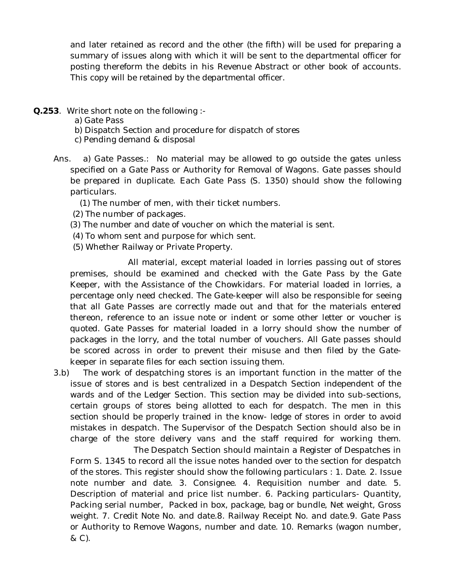and later retained as record and the other (the fifth) will be used for preparing a summary of issues along with which it will be sent to the departmental officer for posting thereform the debits in his Revenue Abstract or other book of accounts. This copy will be retained by the departmental officer.

- **Q.253**. Write short note on the following :
	- a) Gate Pass
	- b) Dispatch Section and procedure for dispatch of stores
	- c) Pending demand & disposal
	- Ans. a) Gate Passes.: No material may be allowed to go outside the gates unless specified on a Gate Pass or Authority for Removal of Wagons. Gate passes should be prepared in duplicate. Each Gate Pass (S. 1350) should show the following particulars.
		- (1) The number of men, with their ticket numbers.
		- (2) The number of packages.
		- (3) The number and date of voucher on which the material is sent.
		- (4) To whom sent and purpose for which sent.
		- (5) Whether Railway or Private Property.

 All material, except material loaded in lorries passing out of stores premises, should be examined and checked with the Gate Pass by the Gate Keeper, with the Assistance of the Chowkidars. For material loaded in lorries, a percentage only need checked. The Gate-keeper will also be responsible for seeing that all Gate Passes are correctly made out and that for the materials entered thereon, reference to an issue note or indent or some other letter or voucher is quoted. Gate Passes for material loaded in a lorry should show the number of packages in the lorry, and the total number of vouchers. All Gate passes should be scored across in order to prevent their misuse and then filed by the Gatekeeper in separate files for each section issuing them.

3.b) The work of despatching stores is an important function in the matter of the issue of stores and is best centralized in a Despatch Section independent of the wards and of the Ledger Section. This section may be divided into sub-sections, certain groups of stores being allotted to each for despatch. The men in this section should be properly trained in the know- ledge of stores in order to avoid mistakes in despatch. The Supervisor of the Despatch Section should also be in charge of the store delivery vans and the staff required for working them.

The Despatch Section should maintain a Register of Despatches in Form S. 1345 to record all the issue notes handed over to the section for despatch of the stores. This register should show the following particulars : 1. Date. 2. Issue note number and date. 3. Consignee. 4. Requisition number and date. 5. Description of material and price list number. 6. Packing particulars- Quantity, Packing serial number, Packed in box, package, bag or bundle, Net weight, Gross weight. 7. Credit Note No. and date.8. Railway Receipt No. and date.9. Gate Pass or Authority to Remove Wagons, number and date. 10. Remarks (wagon number, & C).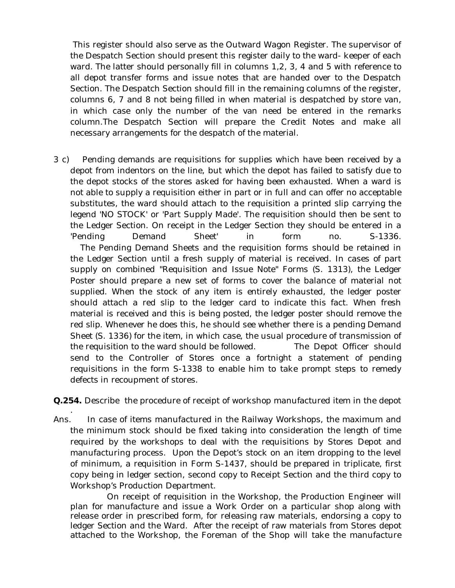This register should also serve as the Outward Wagon Register. The supervisor of the Despatch Section should present this register daily to the ward- keeper of each ward. The latter should personally fill in columns 1,2, 3, 4 and 5 with reference to all depot transfer forms and issue notes that are handed over to the Despatch Section. The Despatch Section should fill in the remaining columns of the register, columns 6, 7 and 8 not being filled in when material is despatched by store van, in which case only the number of the van need be entered in the remarks column.The Despatch Section will prepare the Credit Notes and make all necessary arrangements for the despatch of the material.

3 c) Pending demands are requisitions for supplies which have been received by a depot from indentors on the line, but which the depot has failed to satisfy due to the depot stocks of the stores asked for having been exhausted. When a ward is not able to supply a requisition either in part or in full and can offer no acceptable substitutes, the ward should attach to the requisition a printed slip carrying the legend 'NO STOCK' or 'Part Supply Made'. The requisition should then be sent to the Ledger Section. On receipt in the Ledger Section they should be entered in a 'Pending Demand Sheet' in form no. S-1336. The Pending Demand Sheets and the requisition forms should be retained in the Ledger Section until a fresh supply of material is received. In cases of part supply on combined "Requisition and Issue Note" Forms (S. 1313), the Ledger Poster should prepare a new set of forms to cover the balance of material not supplied. When the stock of any item is entirely exhausted, the ledger poster should attach a red slip to the ledger card to indicate this fact. When fresh material is received and this is being posted, the ledger poster should remove the red slip. Whenever he does this, he should see whether there is a pending Demand Sheet (S. 1336) for the item, in which case, the usual procedure of transmission of the requisition to the ward should be followed. The Depot Officer should send to the Controller of Stores once a fortnight a statement of pending requisitions in the form S-1338 to enable him to take prompt steps to remedy defects in recoupment of stores.

**Q.254.** Describe the procedure of receipt of workshop manufactured item in the depot

. Ans. In case of items manufactured in the Railway Workshops, the maximum and the minimum stock should be fixed taking into consideration the length of time required by the workshops to deal with the requisitions by Stores Depot and manufacturing process. Upon the Depot's stock on an item dropping to the level of minimum, a requisition in Form S-1437, should be prepared in triplicate, first copy being in ledger section, second copy to Receipt Section and the third copy to Workshop's Production Department.

On receipt of requisition in the Workshop, the Production Engineer will plan for manufacture and issue a Work Order on a particular shop along with release order in prescribed form, for releasing raw materials, endorsing a copy to ledger Section and the Ward. After the receipt of raw materials from Stores depot attached to the Workshop, the Foreman of the Shop will take the manufacture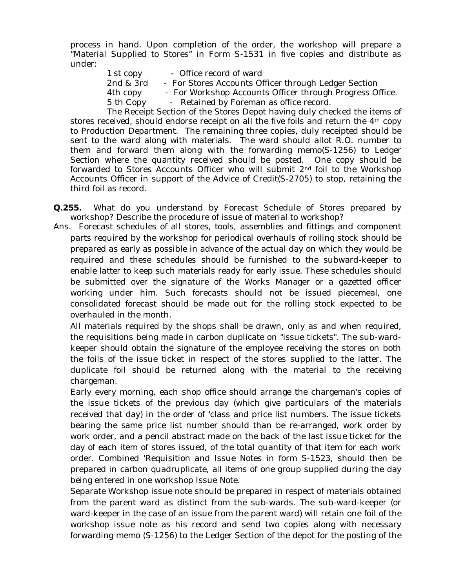process in hand. Upon completion of the order, the workshop will prepare a "Material Supplied to Stores" in Form S-1531 in five copies and distribute as under:

1 st copy - Office record of ward 2nd & 3rd - For Stores Accounts Officer through Ledger Section 4th copy - For Workshop Accounts Officer through Progress Office. 5 th Copy - Retained by Foreman as office record.

The Receipt Section of the Stores Depot having duly checked the items of stores received, should endorse receipt on all the five foils and return the 4th copy to Production Department. The remaining three copies, duly receipted should be sent to the ward along with materials. The ward should allot R.O. number to them and forward them along with the forwarding memo(S-1256) to Ledger Section where the quantity received should be posted. One copy should be forwarded to Stores Accounts Officer who will submit 2nd foil to the Workshop Accounts Officer in support of the Advice of Credit(S-2705) to stop, retaining the third foil as record.

- **Q.255.** What do you understand by Forecast Schedule of Stores prepared by workshop? Describe the procedure of issue of material to workshop?
- Ans. Forecast schedules of all stores, tools, assemblies and fittings and component parts required by the workshop for periodical overhauls of rolling stock should be prepared as early as possible in advance of the actual day on which they would be required and these schedules should be furnished to the subward-keeper to enable latter to keep such materials ready for early issue. These schedules should be submitted over the signature of the Works Manager or a gazetted officer working under him. Such forecasts should not be issued piecemeal, one consolidated forecast should be made out for the rolling stock expected to be overhauled in the month.

All materials required by the shops shall be drawn, only as and when required, the requisitions being made in carbon duplicate on "issue tickets". The sub-wardkeeper should obtain the signature of the employee receiving the stores on both the foils of the issue ticket in respect of the stores supplied to the latter. The duplicate foil should be returned along with the material to the receiving chargeman.

Early every morning, each shop office should arrange the chargeman's copies of the issue tickets of the previous day (which give particulars of the materials received that day) in the order of 'class and price list numbers. The issue tickets bearing the same price list number should than be re-arranged, work order by work order, and a pencil abstract made on the back of the last issue ticket for the day of each item of stores issued, of the total quantity of that item for each work order. Combined 'Requisition and Issue Notes in form S-1523, should then be prepared in carbon quadruplicate, all items of one group supplied during the day being entered in one workshop Issue Note.

Separate Workshop issue note should be prepared in respect of materials obtained from the parent ward as distinct from the sub-wards. The sub-ward-keeper (or ward-keeper in the case of an issue from the parent ward) will retain one foil of the workshop issue note as his record and send two copies along with necessary forwarding memo (S-1256) to the Ledger Section of the depot for the posting of the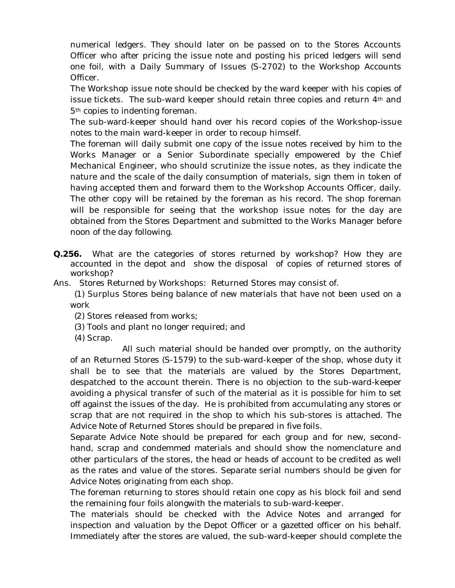numerical ledgers. They should later on be passed on to the Stores Accounts Officer who after pricing the issue note and posting his priced ledgers will send one foil, with a Daily Summary of Issues (S-2702) to the Workshop Accounts Officer.

The Workshop issue note should be checked by the ward keeper with his copies of issue tickets. The sub-ward keeper should retain three copies and return  $4<sup>th</sup>$  and 5th copies to indenting foreman.

 The sub-ward-keeper should hand over his record copies of the Workshop-issue notes to the main ward-keeper in order to recoup himself.

The foreman will daily submit one copy of the issue notes received by him to the Works Manager or a Senior Subordinate specially empowered by the Chief Mechanical Engineer, who should scrutinize the issue notes, as they indicate the nature and the scale of the daily consumption of materials, sign them in token of having accepted them and forward them to the Workshop Accounts Officer, daily. The other copy will be retained by the foreman as his record. The shop foreman will be responsible for seeing that the workshop issue notes for the day are obtained from the Stores Department and submitted to the Works Manager before noon of the day following.

**Q.256.** What are the categories of stores returned by workshop? How they are accounted in the depot and show the disposal of copies of returned stores of workshop?

Ans. Stores Returned by Workshops: Returned Stores may consist of.

 (1) Surplus Stores being balance of new materials that have not been used on a work

(2) Stores released from works;

- (3) Tools and plant no longer required; and
- (4) Scrap.

 All such material should be handed over promptly, on the authority of an Returned Stores (S-1579) to the sub-ward-keeper of the shop, whose duty it shall be to see that the materials are valued by the Stores Department, despatched to the account therein. There is no objection to the sub-ward-keeper avoiding a physical transfer of such of the material as it is possible for him to set off against the issues of the day. He is prohibited from accumulating any stores or scrap that are not required in the shop to which his sub-stores is attached. The Advice Note of Returned Stores should be prepared in five foils.

Separate Advice Note should be prepared for each group and for new, secondhand, scrap and condemmed materials and should show the nomenclature and other particulars of the stores, the head or heads of account to be credited as well as the rates and value of the stores. Separate serial numbers should be given for Advice Notes originating from each shop.

The foreman returning to stores should retain one copy as his block foil and send the remaining four foils alongwith the materials to sub-ward-keeper.

The materials should be checked with the Advice Notes and arranged for inspection and valuation by the Depot Officer or a gazetted officer on his behalf. Immediately after the stores are valued, the sub-ward-keeper should complete the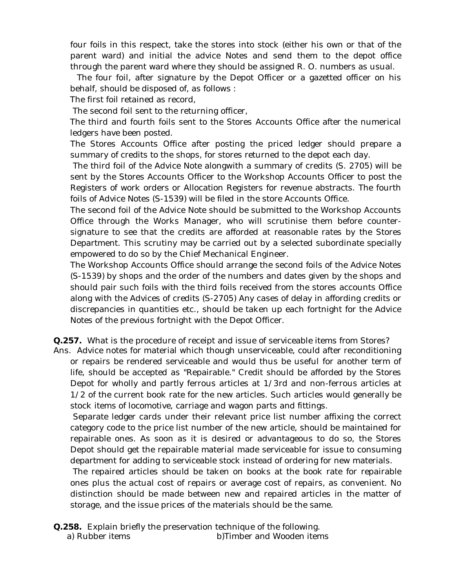four foils in this respect, take the stores into stock (either his own or that of the parent ward) and initial the advice Notes and send them to the depot office through the parent ward where they should be assigned R. O. numbers as usual.

 The four foil, after signature by the Depot Officer or a gazetted officer on his behalf, should be disposed of, as follows :

The first foil retained as record,

The second foil sent to the returning officer,

The third and fourth foils sent to the Stores Accounts Office after the numerical ledgers have been posted.

The Stores Accounts Office after posting the priced ledger should prepare a summary of credits to the shops, for stores returned to the depot each day.

The third foil of the Advice Note alongwith a summary of credits (S. 2705) will be sent by the Stores Accounts Officer to the Workshop Accounts Officer to post the Registers of work orders or Allocation Registers for revenue abstracts. The fourth foils of Advice Notes (S-1539) will be filed in the store Accounts Office.

The second foil of the Advice Note should be submitted to the Workshop Accounts Office through the Works Manager, who will scrutinise them before countersignature to see that the credits are afforded at reasonable rates by the Stores Department. This scrutiny may be carried out by a selected subordinate specially empowered to do so by the Chief Mechanical Engineer.

The Workshop Accounts Office should arrange the second foils of the Advice Notes (S-1539) by shops and the order of the numbers and dates given by the shops and should pair such foils with the third foils received from the stores accounts Office along with the Advices of credits (S-2705) Any cases of delay in affording credits or discrepancies in quantities etc., should be taken up each fortnight for the Advice Notes of the previous fortnight with the Depot Officer.

**Q.257.** What is the procedure of receipt and issue of serviceable items from Stores?

Ans. Advice notes for material which though unserviceable, could after reconditioning or repairs be rendered serviceable and would thus be useful for another term of life, should be accepted as "Repairable." Credit should be afforded by the Stores Depot for wholly and partly ferrous articles at 1/3rd and non-ferrous articles at 1/2 of the current book rate for the new articles. Such articles would generally be stock items of locomotive, carriage and wagon parts and fittings.

Separate ledger cards under their relevant price list number affixing the correct category code to the price list number of the new article, should be maintained for repairable ones. As soon as it is desired or advantageous to do so, the Stores Depot should get the repairable material made serviceable for issue to consuming department for adding to serviceable stock instead of ordering for new materials.

The repaired articles should be taken on books at the book rate for repairable ones plus the actual cost of repairs or average cost of repairs, as convenient. No distinction should be made between new and repaired articles in the matter of storage, and the issue prices of the materials should be the same.

**Q.258.** Explain briefly the preservation technique of the following. a) Rubber items b)Timber and Wooden items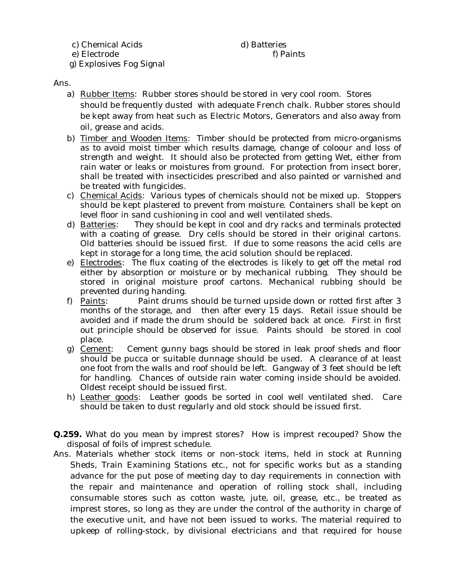c) Chemical Acids (a) Batteries

#### e) Electrode f) Paints

g) Explosives Fog Signal

Ans.

- a) Rubber Items: Rubber stores should be stored in very cool room. Stores should be frequently dusted with adequate French chalk. Rubber stores should be kept away from heat such as Electric Motors, Generators and also away from oil, grease and acids.
- b) Timber and Wooden Items: Timber should be protected from micro-organisms as to avoid moist timber which results damage, change of coloour and loss of strength and weight. It should also be protected from getting Wet, either from rain water or leaks or moistures from ground. For protection from insect borer, shall be treated with insecticides prescribed and also painted or varnished and be treated with fungicides.
- c) Chemical Acids: Various types of chemicals should not be mixed up. Stoppers should be kept plastered to prevent from moisture. Containers shall be kept on level floor in sand cushioning in cool and well ventilated sheds.
- d) Batteries: They should be kept in cool and dry racks and terminals protected with a coating of grease. Dry cells should be stored in their original cartons. Old batteries should be issued first. If due to some reasons the acid cells are kept in storage for a long time, the acid solution should be replaced.
- e) Electrodes: The flux coating of the electrodes is likely to get off the metal rod either by absorption or moisture or by mechanical rubbing. They should be stored in original moisture proof cartons. Mechanical rubbing should be prevented during handing.<br>f) Paints: Paint drums
- Paint drums should be turned upside down or rotted first after 3 months of the storage, and then after every 15 days. Retail issue should be avoided and if made the drum should be soldered back at once. First in first out principle should be observed for issue. Paints should be stored in cool
- place.<br>g) Cement: Cement gunny bags should be stored in leak proof sheds and floor should be pucca or suitable dunnage should be used. A clearance of at least one foot from the walls and roof should be left. Gangway of 3 feet should be left for handling. Chances of outside rain water coming inside should be avoided. Oldest receipt should be issued first.
- h) Leather goods: Leather goods be sorted in cool well ventilated shed. Care should be taken to dust regularly and old stock should be issued first.
- **Q.259.** What do you mean by imprest stores? How is imprest recouped? Show the disposal of foils of imprest schedule.
- Ans. Materials whether stock items or non-stock items, held in stock at Running Sheds, Train Examining Stations etc., not for specific works but as a standing advance for the put pose of meeting day to day requirements in connection with the repair and maintenance and operation of rolling stock shall, including consumable stores such as cotton waste, jute, oil, grease, etc., be treated as imprest stores, so long as they are under the control of the authority in charge of the executive unit, and have not been issued to works. The material required to upkeep of rolling-stock, by divisional electricians and that required for house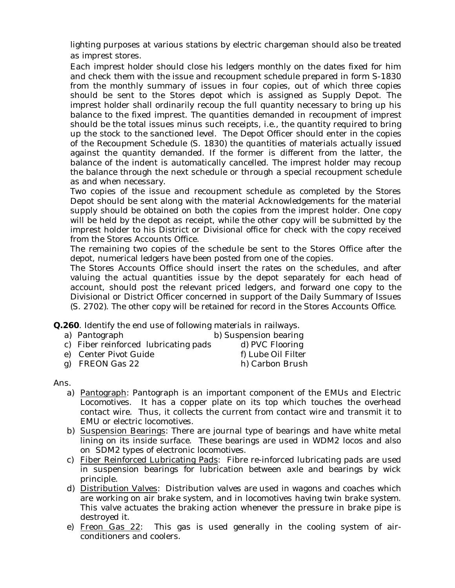lighting purposes at various stations by electric chargeman should also be treated as imprest stores.

Each imprest holder should close his ledgers monthly on the dates fixed for him and check them with the issue and recoupment schedule prepared in form S-1830 from the monthly summary of issues in four copies, out of which three copies should be sent to the Stores depot which is assigned as Supply Depot. The imprest holder shall ordinarily recoup the full quantity necessary to bring up his balance to the fixed imprest. The quantities demanded in recoupment of imprest should be the total issues minus such receipts, i.e., the quantity required to bring up the stock to the sanctioned level. The Depot Officer should enter in the copies of the Recoupment Schedule (S. 1830) the quantities of materials actually issued against the quantity demanded. If the former is different from the latter, the balance of the indent is automatically cancelled. The imprest holder may recoup the balance through the next schedule or through a special recoupment schedule as and when necessary.

Two copies of the issue and recoupment schedule as completed by the Stores Depot should be sent along with the material Acknowledgements for the material supply should be obtained on both the copies from the imprest holder. One copy will be held by the depot as receipt, while the other copy will be submitted by the imprest holder to his District or Divisional office for check with the copy received from the Stores Accounts Office.

The remaining two copies of the schedule be sent to the Stores Office after the depot, numerical ledgers have been posted from one of the copies.

 The Stores Accounts Office should insert the rates on the schedules, and after valuing the actual quantities issue by the depot separately for each head of account, should post the relevant priced ledgers, and forward one copy to the Divisional or District Officer concerned in support of the Daily Summary of Issues (S. 2702). The other copy will be retained for record in the Stores Accounts Office.

**Q.260**. Identify the end use of following materials in railways.

| a) Pantograph                        | b) Suspension bearing |
|--------------------------------------|-----------------------|
| c) Fiber reinforced lubricating pads | d) PVC Flooring       |
| e) Center Pivot Guide                | f) Lube Oil Filter    |
|                                      |                       |

g) FREON Gas 22 h) Carbon Brush

#### Ans.

- a) Pantograph: Pantograph is an important component of the EMUs and Electric Locomotives. It has a copper plate on its top which touches the overhead contact wire. Thus, it collects the current from contact wire and transmit it to EMU or electric locomotives.
- b) Suspension Bearings: There are journal type of bearings and have white metal lining on its inside surface. These bearings are used in WDM2 locos and also on SDM2 types of electronic locomotives.
- c) Fiber Reinforced Lubricating Pads: Fibre re-inforced lubricating pads are used in suspension bearings for lubrication between axle and bearings by wick principle.
- d) Distribution Valves: Distribution valves are used in wagons and coaches which are working on air brake system, and in locomotives having twin brake system. This valve actuates the braking action whenever the pressure in brake pipe is destroyed it.
- e) Freon Gas 22: This gas is used generally in the cooling system of airconditioners and coolers.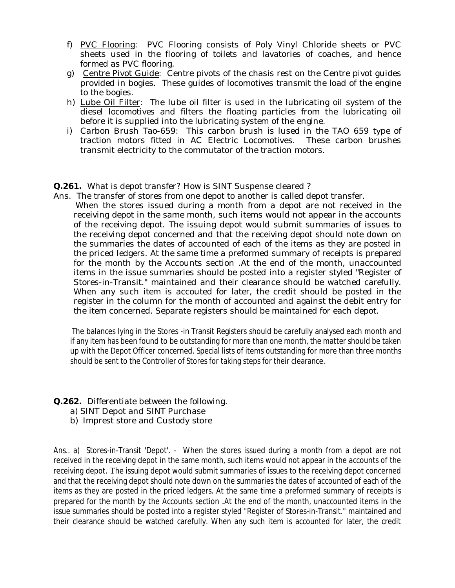- f) PVC Flooring: PVC Flooring consists of Poly Vinyl Chloride sheets or PVC sheets used in the flooring of toilets and lavatories of coaches, and hence formed as PVC flooring.
- g) Centre Pivot Guide: Centre pivots of the chasis rest on the Centre pivot guides provided in bogies. These guides of locomotives transmit the load of the engine to the bogies.
- h) Lube Oil Filter: The lube oil filter is used in the lubricating oil system of the diesel locomotives and filters the floating particles from the lubricating oil before it is supplied into the lubricating system of the engine.
- i) Carbon Brush Tao-659: This carbon brush is lused in the TAO 659 type of traction motors fitted in AC Electric Locomotives. These carbon brushes transmit electricity to the commutator of the traction motors.

**Q.261.** What is depot transfer? How is SINT Suspense cleared ?

Ans. The transfer of stores from one depot to another is called depot transfer.

 When the stores issued during a month from a depot are not received in the receiving depot in the same month, such items would not appear in the accounts of the receiving depot. The issuing depot would submit summaries of issues to the receiving depot concerned and that the receiving depot should note down on the summaries the dates of accounted of each of the items as they are posted in the priced ledgers. At the same time a preformed summary of receipts is prepared for the month by the Accounts section .At the end of the month, unaccounted items in the issue summaries should be posted into a register styled "Register of Stores-in-Transit." maintained and their clearance should be watched carefully. When any such item is accouted for later, the credit should be posted in the register in the column for the month of accounted and against the debit entry for the item concerned. Separate registers should be maintained for each depot.

 The balances lying in the Stores -in Transit Registers should be carefully analysed each month and if any item has been found to be outstanding for more than one month, the matter should be taken up with the Depot Officer concerned. Special lists of items outstanding for more than three months should be sent to the Controller of Stores for taking steps for their clearance.

- **Q.262.** Differentiate between the following.
	- a) SINT Depot and SINT Purchase
	- b) Imprest store and Custody store

Ans.. a) Stores-in-Transit 'Depot'. - When the stores issued during a month from a depot are not received in the receiving depot in the same month, such items would not appear in the accounts of the receiving depot. The issuing depot would submit summaries of issues to the receiving depot concerned and that the receiving depot should note down on the summaries the dates of accounted of each of the items as they are posted in the priced ledgers. At the same time a preformed summary of receipts is prepared for the month by the Accounts section .At the end of the month, unaccounted items in the issue summaries should be posted into a register styled "Register of Stores-in-Transit." maintained and their clearance should be watched carefully. When any such item is accounted for later, the credit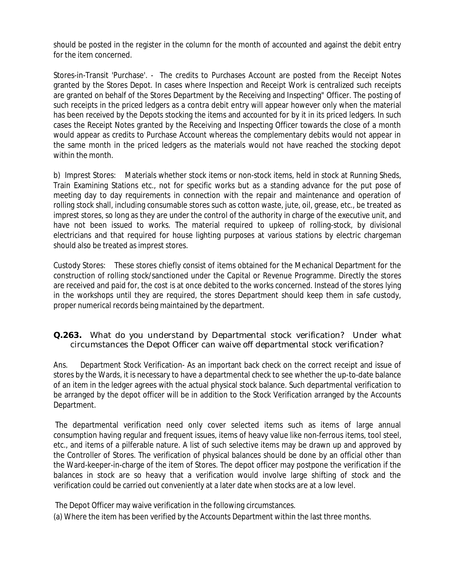should be posted in the register in the column for the month of accounted and against the debit entry for the item concerned.

Stores-in-Transit 'Purchase'. - The credits to Purchases Account are posted from the Receipt Notes granted by the Stores Depot. In cases where Inspection and Receipt Work is centralized such receipts are granted on behalf of the Stores Department by the Receiving and Inspecting" Officer. The posting of such receipts in the priced ledgers as a contra debit entry will appear however only when the material has been received by the Depots stocking the items and accounted for by it in its priced ledgers. In such cases the Receipt Notes granted by the Receiving and Inspecting Officer towards the close of a month would appear as credits to Purchase Account whereas the complementary debits would not appear in the same month in the priced ledgers as the materials would not have reached the stocking depot within the month.

b) Imprest Stores: Materials whether stock items or non-stock items, held in stock at Running Sheds, Train Examining Stations etc., not for specific works but as a standing advance for the put pose of meeting day to day requirements in connection with the repair and maintenance and operation of rolling stock shall, including consumable stores such as cotton waste, jute, oil, grease, etc., be treated as imprest stores, so long as they are under the control of the authority in charge of the executive unit, and have not been issued to works. The material required to upkeep of rolling-stock, by divisional electricians and that required for house lighting purposes at various stations by electric chargeman should also be treated as imprest stores.

Custody Stores: These stores chiefly consist of items obtained for the Mechanical Department for the construction of rolling stock/sanctioned under the Capital or Revenue Programme. Directly the stores are received and paid for, the cost is at once debited to the works concerned. Instead of the stores lying in the workshops until they are required, the stores Department should keep them in safe custody, proper numerical records being maintained by the department.

**Q.263.** What do you understand by Departmental stock verification? Under what circumstances the Depot Officer can waive off departmental stock verification?

Ans. Department Stock Verification- As an important back check on the correct receipt and issue of stores by the Wards, it is necessary to have a departmental check to see whether the up-to-date balance of an item in the ledger agrees with the actual physical stock balance. Such departmental verification to be arranged by the depot officer will be in addition to the Stock Verification arranged by the Accounts Department.

The departmental verification need only cover selected items such as items of large annual consumption having regular and frequent issues, items of heavy value like non-ferrous items, tool steel, etc., and items of a pilferable nature. A list of such selective items may be drawn up and approved by the Controller of Stores. The verification of physical balances should be done by an official other than the Ward-keeper-in-charge of the item of Stores. The depot officer may postpone the verification if the balances in stock are so heavy that a verification would involve large shifting of stock and the verification could be carried out conveniently at a later date when stocks are at a low level.

The Depot Officer may waive verification in the following circumstances.

(a) Where the item has been verified by the Accounts Department within the last three months.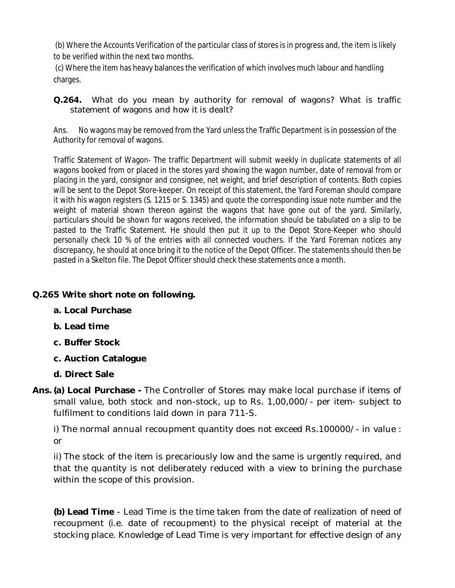(b) Where the Accounts Verification of the particular class of stores is in progress and, the item is likely to be verified within the next two months.

(c) Where the item has heavy balances the verification of which involves much labour and handling charges.

**Q.264.** What do you mean by authority for removal of wagons? What is traffic statement of wagons and how it is dealt?

Ans. No wagons may be removed from the Yard unless the Traffic Department is in possession of the Authority for removal of wagons.

Traffic Statement of Wagon- The traffic Department will submit weekly in duplicate statements of all wagons booked from or placed in the stores yard showing the wagon number, date of removal from or placing in the yard, consignor and consignee, net weight, and brief description of contents. Both copies will be sent to the Depot Store-keeper. On receipt of this statement, the Yard Foreman should compare it with his wagon registers (S. 1215 or S. 1345) and quote the corresponding issue note number and the weight of material shown thereon against the wagons that have gone out of the yard. Similarly, particulars should be shown for wagons received, the information should be tabulated on a slip to be pasted to the Traffic Statement. He should then put it up to the Depot Store-Keeper who should personally check 10 % of the entries with all connected vouchers. If the Yard Foreman notices any discrepancy, he should at once bring it to the notice of the Depot Officer. The statements should then be pasted in a Skelton file. The Depot Officer should check these statements once a month.

## **Q.265 Write short note on following.**

- **a. Local Purchase**
- **b. Lead time**
- **c. Buffer Stock**
- **c. Auction Catalogue**
- **d. Direct Sale**
- **Ans. (a) Local Purchase -** The Controller of Stores may make local purchase if items of small value, both stock and non-stock, up to Rs. 1,00,000/- per item- subject to fulfilment to conditions laid down in para 711-S.

i) The normal annual recoupment quantity does not exceed Rs.100000/- in value : or

ii) The stock of the item is precariously low and the same is urgently required, and that the quantity is not deliberately reduced with a view to brining the purchase within the scope of this provision.

**(b) Lead Time** - Lead Time is the time taken from the date of realization of need of recoupment (i.e. date of recoupment) to the physical receipt of material at the stocking place. Knowledge of Lead Time is very important for effective design of any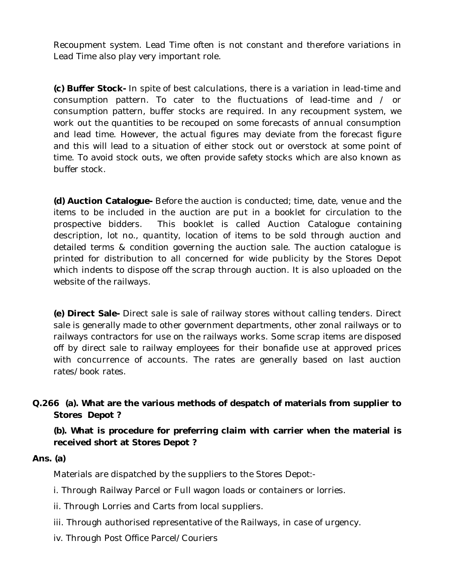Recoupment system. Lead Time often is not constant and therefore variations in Lead Time also play very important role.

**(c) Buffer Stock-** In spite of best calculations, there is a variation in lead-time and consumption pattern. To cater to the fluctuations of lead-time and / or consumption pattern, buffer stocks are required. In any recoupment system, we work out the quantities to be recouped on some forecasts of annual consumption and lead time. However, the actual figures may deviate from the forecast figure and this will lead to a situation of either stock out or overstock at some point of time. To avoid stock outs, we often provide safety stocks which are also known as buffer stock.

**(d) Auction Catalogue-** Before the auction is conducted; time, date, venue and the items to be included in the auction are put in a booklet for circulation to the prospective bidders. This booklet is called Auction Catalogue containing description, lot no., quantity, location of items to be sold through auction and detailed terms & condition governing the auction sale. The auction catalogue is printed for distribution to all concerned for wide publicity by the Stores Depot which indents to dispose off the scrap through auction. It is also uploaded on the website of the railways.

**(e) Direct Sale-** Direct sale is sale of railway stores without calling tenders. Direct sale is generally made to other government departments, other zonal railways or to railways contractors for use on the railways works. Some scrap items are disposed off by direct sale to railway employees for their bonafide use at approved prices with concurrence of accounts. The rates are generally based on last auction rates/book rates.

**Q.266 (a). What are the various methods of despatch of materials from supplier to Stores Depot ?**

**(b). What is procedure for preferring claim with carrier when the material is received short at Stores Depot ?**

#### **Ans. (a)**

Materials are dispatched by the suppliers to the Stores Depot:-

- i. Through Railway Parcel or Full wagon loads or containers or lorries.
- ii. Through Lorries and Carts from local suppliers.
- iii. Through authorised representative of the Railways, in case of urgency.
- iv. Through Post Office Parcel/Couriers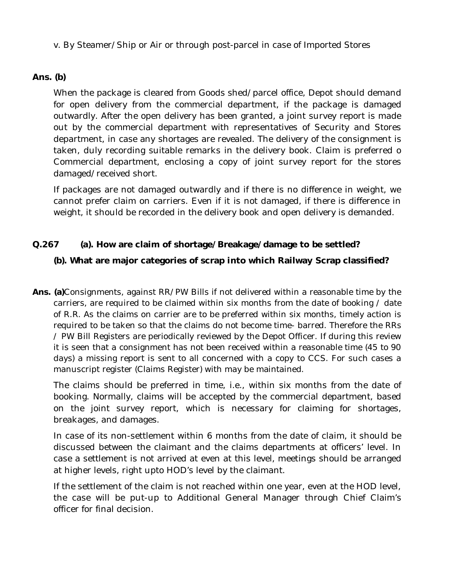v. By Steamer/Ship or Air or through post-parcel in case of Imported Stores

## **Ans. (b)**

When the package is cleared from Goods shed/parcel office, Depot should demand for open delivery from the commercial department, if the package is damaged outwardly. After the open delivery has been granted, a joint survey report is made out by the commercial department with representatives of Security and Stores department, in case any shortages are revealed. The delivery of the consignment is taken, duly recording suitable remarks in the delivery book. Claim is preferred o Commercial department, enclosing a copy of joint survey report for the stores damaged/received short.

If packages are not damaged outwardly and if there is no difference in weight, we cannot prefer claim on carriers. Even if it is not damaged, if there is difference in weight, it should be recorded in the delivery book and open delivery is demanded.

## **Q.267 (a). How are claim of shortage/Breakage/damage to be settled?**

## **(b). What are major categories of scrap into which Railway Scrap classified?**

**Ans. (a)**Consignments, against RR/PW Bills if not delivered within a reasonable time by the carriers, are required to be claimed within six months from the date of booking / date of R.R. As the claims on carrier are to be preferred within six months, timely action is required to be taken so that the claims do not become time- barred. Therefore the RRs / PW Bill Registers are periodically reviewed by the Depot Officer. If during this review it is seen that a consignment has not been received within a reasonable time (45 to 90 days) a missing report is sent to all concerned with a copy to CCS. For such cases a manuscript register (Claims Register) with may be maintained.

The claims should be preferred in time, i.e., within six months from the date of booking. Normally, claims will be accepted by the commercial department, based on the joint survey report, which is necessary for claiming for shortages, breakages, and damages.

In case of its non-settlement within 6 months from the date of claim, it should be discussed between the claimant and the claims departments at officers' level. In case a settlement is not arrived at even at this level, meetings should be arranged at higher levels, right upto HOD's level by the claimant.

If the settlement of the claim is not reached within one year, even at the HOD level, the case will be put-up to Additional General Manager through Chief Claim's officer for final decision.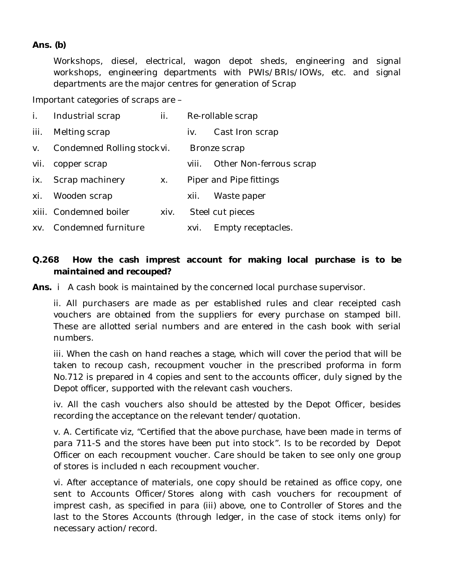#### **Ans. (b)**

Workshops, diesel, electrical, wagon depot sheds, engineering and signal workshops, engineering departments with PWIs/BRIs/IOWs, etc. and signal departments are the major centres for generation of Scrap

Important categories of scraps are –

| i.   | Industrial scrap           | ii.  |       | Re-rollable scrap       |
|------|----------------------------|------|-------|-------------------------|
| iii. | Melting scrap              |      | IV.   | Cast Iron scrap         |
| V.   | Condemned Rolling stockvi. |      |       | Bronze scrap            |
| vii. | copper scrap               |      | VIII. | Other Non-ferrous scrap |
| ix.  | Scrap machinery            | Х.   |       | Piper and Pipe fittings |
| xi.  | Wooden scrap               |      | XII.  | Waste paper             |
|      | xiii. Condemned boiler     | XIV. |       | Steel cut pieces        |
| XV.  | Condemned furniture        |      | XVİ.  | Empty receptacles.      |

## **Q.268 How the cash imprest account for making local purchase is to be maintained and recouped?**

**Ans.** i A cash book is maintained by the concerned local purchase supervisor.

ii. All purchasers are made as per established rules and clear receipted cash vouchers are obtained from the suppliers for every purchase on stamped bill. These are allotted serial numbers and are entered in the cash book with serial numbers.

iii. When the cash on hand reaches a stage, which will cover the period that will be taken to recoup cash, recoupment voucher in the prescribed proforma in form No.712 is prepared in 4 copies and sent to the accounts officer, duly signed by the Depot officer, supported with the relevant cash vouchers.

iv. All the cash vouchers also should be attested by the Depot Officer, besides recording the acceptance on the relevant tender/quotation.

v. A. Certificate viz, "Certified that the above purchase, have been made in terms of para 711-S and the stores have been put into stock". Is to be recorded by Depot Officer on each recoupment voucher. Care should be taken to see only one group of stores is included n each recoupment voucher.

vi. After acceptance of materials, one copy should be retained as office copy, one sent to Accounts Officer/Stores along with cash vouchers for recoupment of imprest cash, as specified in para (iii) above, one to Controller of Stores and the last to the Stores Accounts (through ledger, in the case of stock items only) for necessary action/record.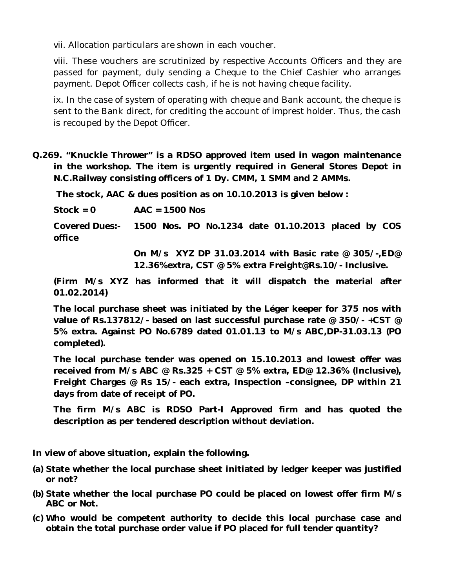vii. Allocation particulars are shown in each voucher.

viii. These vouchers are scrutinized by respective Accounts Officers and they are passed for payment, duly sending a Cheque to the Chief Cashier who arranges payment. Depot Officer collects cash, if he is not having cheque facility.

ix. In the case of system of operating with cheque and Bank account, the cheque is sent to the Bank direct, for crediting the account of imprest holder. Thus, the cash is recouped by the Depot Officer.

**Q.269. "Knuckle Thrower" is a RDSO approved item used in wagon maintenance in the workshop. The item is urgently required in General Stores Depot in N.C.Railway consisting officers of 1 Dy. CMM, 1 SMM and 2 AMMs.**

**The stock, AAC & dues position as on 10.10.2013 is given below :** 

**Stock = 0 AAC = 1500 Nos**

**Covered Dues:- 1500 Nos. PO No.1234 date 01.10.2013 placed by COS office** 

> **On M/s XYZ DP 31.03.2014 with Basic rate @ 305/-,ED@ 12.36%extra, CST @ 5% extra Freight@Rs.10/- Inclusive.**

**(Firm M/s XYZ has informed that it will dispatch the material after 01.02.2014)**

**The local purchase sheet was initiated by the Léger keeper for 375 nos with value of Rs.137812/- based on last successful purchase rate @ 350/- +CST @ 5% extra. Against PO No.6789 dated 01.01.13 to M/s ABC,DP-31.03.13 (PO completed).** 

**The local purchase tender was opened on 15.10.2013 and lowest offer was received from M/s ABC @ Rs.325 + CST @ 5% extra, ED@ 12.36% (Inclusive), Freight Charges @ Rs 15/- each extra, Inspection –consignee, DP within 21 days from date of receipt of PO.** 

**The firm M/s ABC is RDSO Part-I Approved firm and has quoted the description as per tendered description without deviation.**

**In view of above situation, explain the following.**

- **(a) State whether the local purchase sheet initiated by ledger keeper was justified or not?**
- **(b) State whether the local purchase PO could be placed on lowest offer firm M/s ABC or Not.**
- **(c) Who would be competent authority to decide this local purchase case and obtain the total purchase order value if PO placed for full tender quantity?**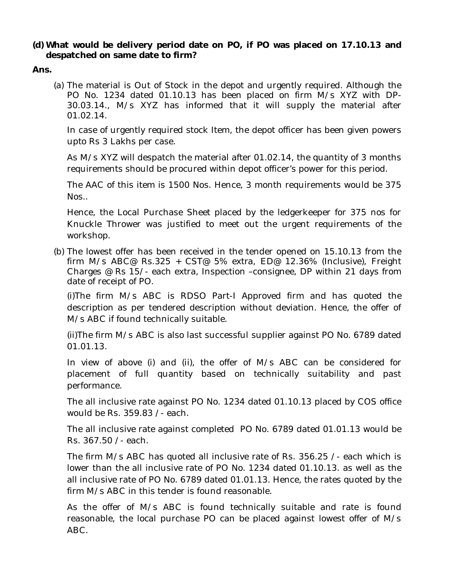#### **(d) What would be delivery period date on PO, if PO was placed on 17.10.13 and despatched on same date to firm?**

**Ans.** 

(a) The material is Out of Stock in the depot and urgently required. Although the PO No. 1234 dated 01.10.13 has been placed on firm M/s XYZ with DP-30.03.14., M/s XYZ has informed that it will supply the material after 01.02.14.

In case of urgently required stock Item, the depot officer has been given powers upto Rs 3 Lakhs per case.

As M/s XYZ will despatch the material after 01.02.14, the quantity of 3 months requirements should be procured within depot officer's power for this period.

The AAC of this item is 1500 Nos. Hence, 3 month requirements would be 375 Nos..

Hence, the Local Purchase Sheet placed by the ledgerkeeper for 375 nos for Knuckle Thrower was justified to meet out the urgent requirements of the workshop.

(b) The lowest offer has been received in the tender opened on 15.10.13 from the firm M/s ABC@ Rs.325 + CST@ 5% extra, ED@ 12.36% (Inclusive), Freight Charges @ Rs 15/- each extra, Inspection –consignee, DP within 21 days from date of receipt of PO.

(i)The firm M/s ABC is RDSO Part-I Approved firm and has quoted the description as per tendered description without deviation. Hence, the offer of M/s ABC if found technically suitable.

(ii)The firm M/s ABC is also last successful supplier against PO No. 6789 dated 01.01.13.

In view of above (i) and (ii), the offer of M/s ABC can be considered for placement of full quantity based on technically suitability and past performance.

The all inclusive rate against PO No. 1234 dated 01.10.13 placed by COS office would be Rs. 359.83 /- each.

The all inclusive rate against completed PO No. 6789 dated 01.01.13 would be Rs. 367.50 /- each.

The firm M/s ABC has quoted all inclusive rate of Rs. 356.25 /- each which is lower than the all inclusive rate of PO No. 1234 dated 01.10.13. as well as the all inclusive rate of PO No. 6789 dated 01.01.13. Hence, the rates quoted by the firm M/s ABC in this tender is found reasonable.

As the offer of M/s ABC is found technically suitable and rate is found reasonable, the local purchase PO can be placed against lowest offer of M/s ABC.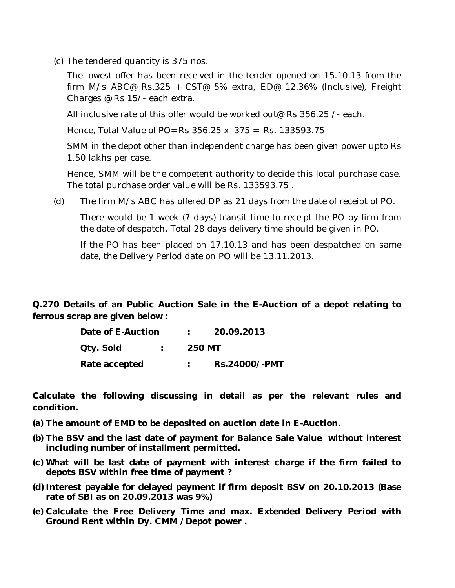(c) The tendered quantity is 375 nos.

The lowest offer has been received in the tender opened on 15.10.13 from the firm M/s ABC@ Rs.325 + CST@ 5% extra, ED@ 12.36% (Inclusive), Freight Charges @ Rs 15/- each extra.

All inclusive rate of this offer would be worked out@ Rs 356.25 /- each.

Hence, Total Value of PO= Rs 356.25 x 375 = Rs. 133593.75

SMM in the depot other than independent charge has been given power upto Rs 1.50 lakhs per case.

Hence, SMM will be the competent authority to decide this local purchase case. The total purchase order value will be Rs. 133593.75 .

(d) The firm M/s ABC has offered DP as 21 days from the date of receipt of PO.

There would be 1 week (7 days) transit time to receipt the PO by firm from the date of despatch. Total 28 days delivery time should be given in PO.

If the PO has been placed on 17.10.13 and has been despatched on same date, the Delivery Period date on PO will be 13.11.2013.

**Q.270 Details of an Public Auction Sale in the E-Auction of a depot relating to ferrous scrap are given below :** 

| Date of E-Auction | 20.09.2013    |
|-------------------|---------------|
| Qty. Sold         | <b>250 MT</b> |
| Rate accepted     | Rs.24000/-PMT |

**Calculate the following discussing in detail as per the relevant rules and condition.** 

- **(a) The amount of EMD to be deposited on auction date in E-Auction.**
- **(b) The BSV and the last date of payment for Balance Sale Value without interest including number of installment permitted.**
- **(c) What will be last date of payment with interest charge if the firm failed to depots BSV within free time of payment ?**
- **(d) Interest payable for delayed payment if firm deposit BSV on 20.10.2013 (Base rate of SBI as on 20.09.2013 was 9%)**
- **(e) Calculate the Free Delivery Time and max. Extended Delivery Period with Ground Rent within Dy. CMM /Depot power .**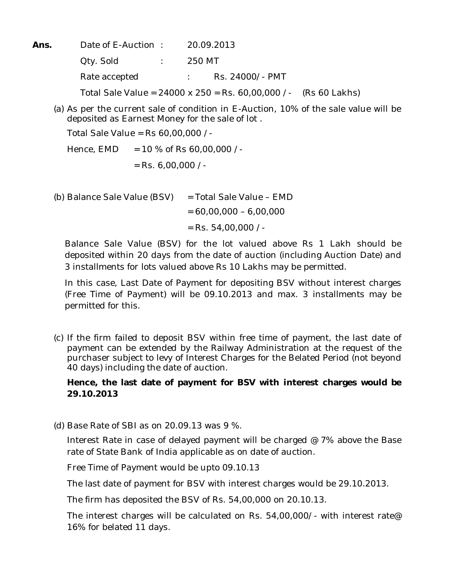**Ans.** Date of E-Auction : 20.09.2013 Qty. Sold : 250 MT Rate accepted : Rs. 24000/- PMT Total Sale Value = 24000 x 250 = Rs. 60,00,000 /- (Rs 60 Lakhs)

(a) As per the current sale of condition in E-Auction, 10% of the sale value will be deposited as Earnest Money for the sale of lot .

Total Sale Value = Rs 60,00,000 /-

Hence,  $EMD = 10 %$  of Rs 60,00,000 /- $=$  Rs. 6,00,000 /-

(b) Balance Sale Value (BSV) = Total Sale Value – EMD

 $= 60,00,000 - 6,00,000$ 

 $=$  Rs. 54,00,000 /-

Balance Sale Value (BSV) for the lot valued above Rs 1 Lakh should be deposited within 20 days from the date of auction (including Auction Date) and 3 installments for lots valued above Rs 10 Lakhs may be permitted.

In this case, Last Date of Payment for depositing BSV without interest charges (Free Time of Payment) will be 09.10.2013 and max. 3 installments may be permitted for this.

(c) If the firm failed to deposit BSV within free time of payment, the last date of payment can be extended by the Railway Administration at the request of the purchaser subject to levy of Interest Charges for the Belated Period (not beyond 40 days) including the date of auction.

## **Hence, the last date of payment for BSV with interest charges would be 29.10.2013**

(d) Base Rate of SBI as on 20.09.13 was 9 %.

Interest Rate in case of delayed payment will be charged @ 7% above the Base rate of State Bank of India applicable as on date of auction.

Free Time of Payment would be upto 09.10.13

The last date of payment for BSV with interest charges would be 29.10.2013.

The firm has deposited the BSV of Rs. 54,00,000 on 20.10.13.

The interest charges will be calculated on Rs. 54,00,000/- with interest rate@ 16% for belated 11 days.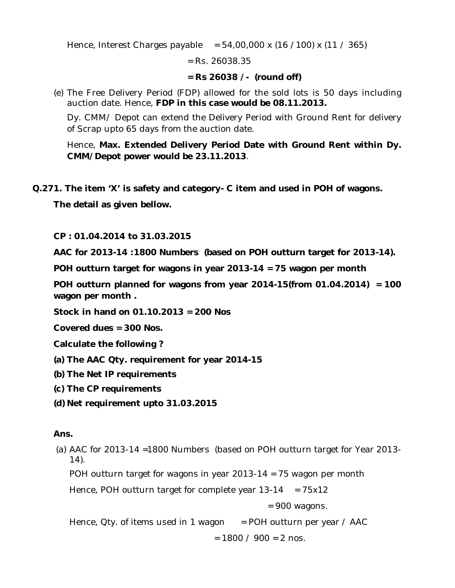Hence, Interest Charges payable =  $54,00,000 \times (16 / 100) \times (11 / 365)$ 

 $=$  Rs. 26038.35

### **= Rs 26038 /- (round off)**

(e) The Free Delivery Period (FDP) allowed for the sold lots is 50 days including auction date. Hence, **FDP in this case would be 08.11.2013.**

Dy. CMM/ Depot can extend the Delivery Period with Ground Rent for delivery of Scrap upto 65 days from the auction date.

Hence, **Max. Extended Delivery Period Date with Ground Rent within Dy. CMM/Depot power would be 23.11.2013**.

**Q.271. The item 'X' is safety and category- C item and used in POH of wagons.** 

**The detail as given bellow.** 

**CP : 01.04.2014 to 31.03.2015**

**AAC for 2013-14 :1800 Numbers (based on POH outturn target for 2013-14).**

**POH outturn target for wagons in year 2013-14 = 75 wagon per month**

**POH outturn planned for wagons from year 2014-15(from 01.04.2014) = 100 wagon per month .**

**Stock in hand on 01.10.2013 = 200 Nos**

**Covered dues = 300 Nos.**

**Calculate the following ?**

**(a) The AAC Qty. requirement for year 2014-15**

- **(b) The Net IP requirements**
- **(c) The CP requirements**
- **(d) Net requirement upto 31.03.2015**

## **Ans.**

(a) AAC for 2013-14 =1800 Numbers (based on POH outturn target for Year 2013- 14).

POH outturn target for wagons in year 2013-14 = 75 wagon per month

Hence, POH outturn target for complete year  $13-14 = 75x12$ 

= 900 wagons.

Hence, Qty. of items used in 1 wagon  $=$  POH outturn per year / AAC

 $= 1800 / 900 = 2$  nos.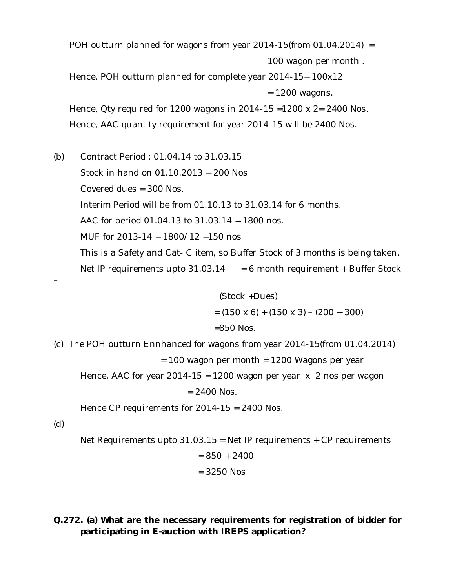POH outturn planned for wagons from year 2014-15(from 01.04.2014) =

100 wagon per month .

Hence, POH outturn planned for complete year 2014-15= 100x12  $= 1200$  wagons.

Hence, Qty required for 1200 wagons in 2014-15 =1200 x 2= 2400 Nos. Hence, AAC quantity requirement for year 2014-15 will be 2400 Nos.

(b) Contract Period : 01.04.14 to 31.03.15 Stock in hand on 01.10.2013 = 200 Nos Covered dues = 300 Nos. Interim Period will be from 01.10.13 to 31.03.14 for 6 months. AAC for period 01.04.13 to 31.03.14 = 1800 nos. MUF for 2013-14 = 1800/12 =150 nos This is a Safety and Cat- C item, so Buffer Stock of 3 months is being taken. Net IP requirements upto  $31.03.14 = 6$  month requirement + Buffer Stock

$$
(Stock + Dues)
$$
  
= (150 x 6) + (150 x 3) – (200 + 300)  
=850 Nos.

(c) The POH outturn Ennhanced for wagons from year 2014-15(from 01.04.2014)

 $= 100$  wagon per month  $= 1200$  Wagons per year

Hence, AAC for year 2014-15 = 1200 wagon per year  $\times$  2 nos per wagon

 $= 2400$  Nos.

Hence CP requirements for 2014-15 = 2400 Nos.

(d)

–

Net Requirements upto 31.03.15 = Net IP requirements + CP requirements

= 850 + 2400

 $= 3250$  Nos

**Q.272. (a) What are the necessary requirements for registration of bidder for participating in E-auction with IREPS application?**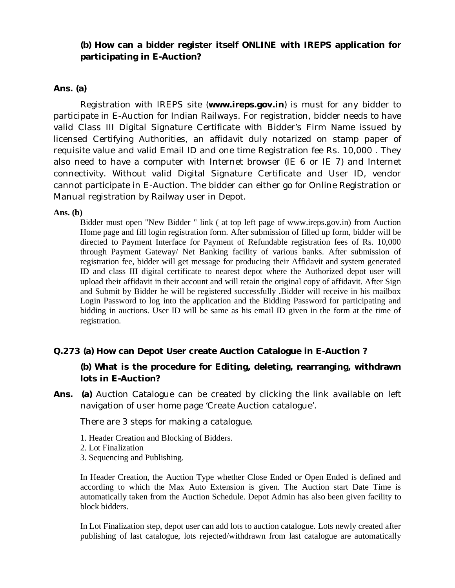## **(b) How can a bidder register itself ONLINE with IREPS application for participating in E-Auction?**

#### **Ans. (a)**

Registration with IREPS site (**www.ireps.gov.in**) is must for any bidder to participate in E-Auction for Indian Railways. For registration, bidder needs to have valid Class III Digital Signature Certificate with Bidder's Firm Name issued by licensed Certifying Authorities, an affidavit duly notarized on stamp paper of requisite value and valid Email ID and one time Registration fee Rs. 10,000 . They also need to have a computer with Internet browser (IE 6 or IE 7) and Internet connectivity. Without valid Digital Signature Certificate and User ID, vendor cannot participate in E-Auction. The bidder can either go for Online Registration or Manual registration by Railway user in Depot.

#### **Ans. (b)**

Bidder must open "New Bidder " link ( at top left page of www.ireps.gov.in) from Auction Home page and fill login registration form. After submission of filled up form, bidder will be directed to Payment Interface for Payment of Refundable registration fees of Rs. 10,000 through Payment Gateway/ Net Banking facility of various banks. After submission of registration fee, bidder will get message for producing their Affidavit and system generated ID and class III digital certificate to nearest depot where the Authorized depot user will upload their affidavit in their account and will retain the original copy of affidavit. After Sign and Submit by Bidder he will be registered successfully .Bidder will receive in his mailbox Login Password to log into the application and the Bidding Password for participating and bidding in auctions. User ID will be same as his email ID given in the form at the time of registration.

#### **Q.273 (a) How can Depot User create Auction Catalogue in E-Auction ?**

### **(b) What is the procedure for Editing, deleting, rearranging, withdrawn lots in E-Auction?**

**Ans. (a)** Auction Catalogue can be created by clicking the link available on left navigation of user home page 'Create Auction catalogue'.

There are 3 steps for making a catalogue.

- 1. Header Creation and Blocking of Bidders.
- 2. Lot Finalization
- 3. Sequencing and Publishing.

In Header Creation, the Auction Type whether Close Ended or Open Ended is defined and according to which the Max Auto Extension is given. The Auction start Date Time is automatically taken from the Auction Schedule. Depot Admin has also been given facility to block bidders.

In Lot Finalization step, depot user can add lots to auction catalogue. Lots newly created after publishing of last catalogue, lots rejected/withdrawn from last catalogue are automatically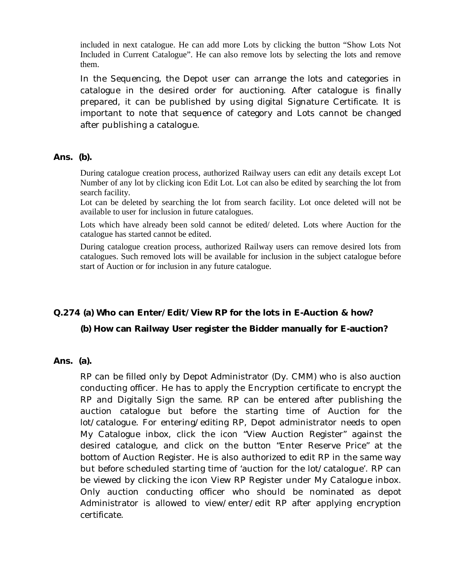included in next catalogue. He can add more Lots by clicking the button "Show Lots Not Included in Current Catalogue". He can also remove lots by selecting the lots and remove them.

In the Sequencing, the Depot user can arrange the lots and categories in catalogue in the desired order for auctioning. After catalogue is finally prepared, it can be published by using digital Signature Certificate. It is important to note that sequence of category and Lots cannot be changed after publishing a catalogue.

#### **Ans. (b).**

During catalogue creation process, authorized Railway users can edit any details except Lot Number of any lot by clicking icon Edit Lot. Lot can also be edited by searching the lot from search facility.

Lot can be deleted by searching the lot from search facility. Lot once deleted will not be available to user for inclusion in future catalogues.

Lots which have already been sold cannot be edited/ deleted. Lots where Auction for the catalogue has started cannot be edited.

During catalogue creation process, authorized Railway users can remove desired lots from catalogues. Such removed lots will be available for inclusion in the subject catalogue before start of Auction or for inclusion in any future catalogue.

## **Q.274 (a) Who can Enter/Edit/View RP for the lots in E-Auction & how?**

#### **(b) How can Railway User register the Bidder manually for E-auction?**

## **Ans. (a).**

RP can be filled only by Depot Administrator (Dy. CMM) who is also auction conducting officer. He has to apply the Encryption certificate to encrypt the RP and Digitally Sign the same. RP can be entered after publishing the auction catalogue but before the starting time of Auction for the lot/catalogue. For entering/editing RP, Depot administrator needs to open My Catalogue inbox, click the icon "View Auction Register" against the desired catalogue, and click on the button "Enter Reserve Price" at the bottom of Auction Register. He is also authorized to edit RP in the same way but before scheduled starting time of 'auction for the lot/catalogue'. RP can be viewed by clicking the icon View RP Register under My Catalogue inbox. Only auction conducting officer who should be nominated as depot Administrator is allowed to view/enter/edit RP after applying encryption certificate.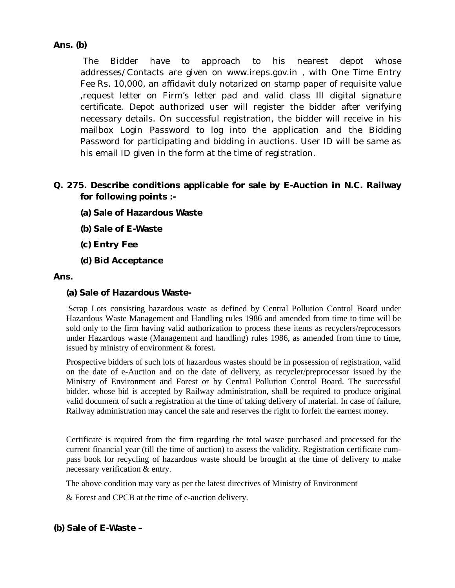## **Ans. (b)**

The Bidder have to approach to his nearest depot whose addresses/Contacts are given on www.ireps.gov.in , with One Time Entry Fee Rs. 10,000, an affidavit duly notarized on stamp paper of requisite value ,request letter on Firm's letter pad and valid class III digital signature certificate. Depot authorized user will register the bidder after verifying necessary details. On successful registration, the bidder will receive in his mailbox Login Password to log into the application and the Bidding Password for participating and bidding in auctions. User ID will be same as his email ID given in the form at the time of registration.

## **Q. 275. Describe conditions applicable for sale by E-Auction in N.C. Railway for following points :-**

- **(a) Sale of Hazardous Waste**
- **(b) Sale of E-Waste**
- **(c) Entry Fee**
- **(d) Bid Acceptance**

#### **Ans.**

#### **(a) Sale of Hazardous Waste-**

Scrap Lots consisting hazardous waste as defined by Central Pollution Control Board under Hazardous Waste Management and Handling rules 1986 and amended from time to time will be sold only to the firm having valid authorization to process these items as recyclers/reprocessors under Hazardous waste (Management and handling) rules 1986, as amended from time to time, issued by ministry of environment & forest.

Prospective bidders of such lots of hazardous wastes should be in possession of registration, valid on the date of e-Auction and on the date of delivery, as recycler/preprocessor issued by the Ministry of Environment and Forest or by Central Pollution Control Board. The successful bidder, whose bid is accepted by Railway administration, shall be required to produce original valid document of such a registration at the time of taking delivery of material. In case of failure, Railway administration may cancel the sale and reserves the right to forfeit the earnest money.

Certificate is required from the firm regarding the total waste purchased and processed for the current financial year (till the time of auction) to assess the validity. Registration certificate cumpass book for recycling of hazardous waste should be brought at the time of delivery to make necessary verification & entry.

The above condition may vary as per the latest directives of Ministry of Environment

& Forest and CPCB at the time of e-auction delivery.

**(b) Sale of E-Waste –**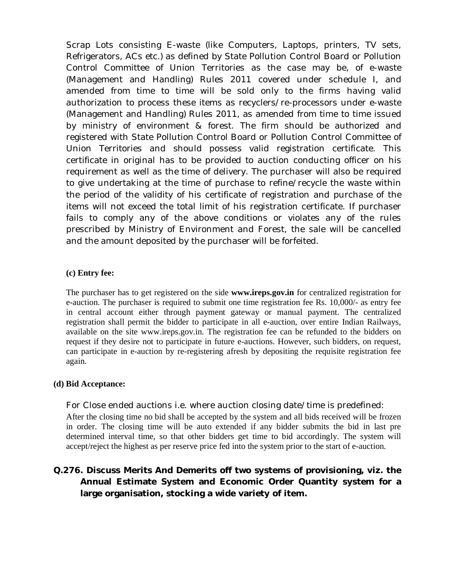Scrap Lots consisting E-waste (like Computers, Laptops, printers, TV sets, Refrigerators, ACs etc.) as defined by State Pollution Control Board or Pollution Control Committee of Union Territories as the case may be, of e-waste (Management and Handling) Rules 2011 covered under schedule I, and amended from time to time will be sold only to the firms having valid authorization to process these items as recyclers/re-processors under e-waste (Management and Handling) Rules 2011, as amended from time to time issued by ministry of environment & forest. The firm should be authorized and registered with State Pollution Control Board or Pollution Control Committee of Union Territories and should possess valid registration certificate. This certificate in original has to be provided to auction conducting officer on his requirement as well as the time of delivery. The purchaser will also be required to give undertaking at the time of purchase to refine/recycle the waste within the period of the validity of his certificate of registration and purchase of the items will not exceed the total limit of his registration certificate. If purchaser fails to comply any of the above conditions or violates any of the rules prescribed by Ministry of Environment and Forest, the sale will be cancelled and the amount deposited by the purchaser will be forfeited.

#### **(c) Entry fee:**

The purchaser has to get registered on the side **www.ireps.gov.in** for centralized registration for e-auction. The purchaser is required to submit one time registration fee Rs. 10,000/- as entry fee in central account either through payment gateway or manual payment. The centralized registration shall permit the bidder to participate in all e-auction, over entire Indian Railways, available on the site www.ireps.gov.in. The registration fee can be refunded to the bidders on request if they desire not to participate in future e-auctions. However, such bidders, on request, can participate in e-auction by re-registering afresh by depositing the requisite registration fee again.

#### **(d) Bid Acceptance:**

For Close ended auctions i.e. where auction closing date/time is predefined: After the closing time no bid shall be accepted by the system and all bids received will be frozen in order. The closing time will be auto extended if any bidder submits the bid in last pre determined interval time, so that other bidders get time to bid accordingly. The system will accept/reject the highest as per reserve price fed into the system prior to the start of e-auction.

## **Q.276. Discuss Merits And Demerits off two systems of provisioning, viz. the Annual Estimate System and Economic Order Quantity system for a large organisation, stocking a wide variety of item.**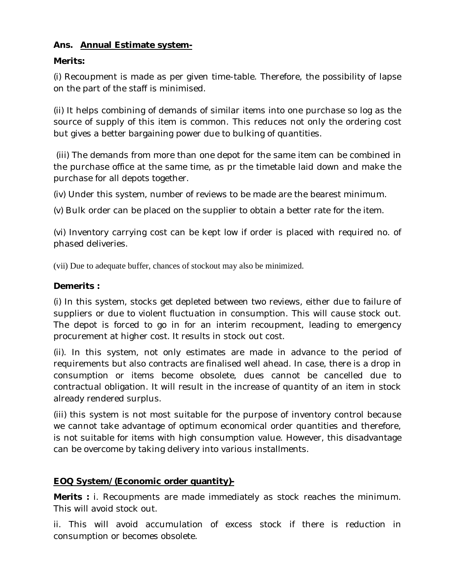## **Ans. Annual Estimate system-**

## **Merits:**

(i) Recoupment is made as per given time-table. Therefore, the possibility of lapse on the part of the staff is minimised.

(ii) It helps combining of demands of similar items into one purchase so log as the source of supply of this item is common. This reduces not only the ordering cost but gives a better bargaining power due to bulking of quantities.

(iii) The demands from more than one depot for the same item can be combined in the purchase office at the same time, as pr the timetable laid down and make the purchase for all depots together.

(iv) Under this system, number of reviews to be made are the bearest minimum.

(v) Bulk order can be placed on the supplier to obtain a better rate for the item.

(vi) Inventory carrying cost can be kept low if order is placed with required no. of phased deliveries.

(vii) Due to adequate buffer, chances of stockout may also be minimized.

## **Demerits :**

(i) In this system, stocks get depleted between two reviews, either due to failure of suppliers or due to violent fluctuation in consumption. This will cause stock out. The depot is forced to go in for an interim recoupment, leading to emergency procurement at higher cost. It results in stock out cost.

(ii). In this system, not only estimates are made in advance to the period of requirements but also contracts are finalised well ahead. In case, there is a drop in consumption or items become obsolete, dues cannot be cancelled due to contractual obligation. It will result in the increase of quantity of an item in stock already rendered surplus.

(iii) this system is not most suitable for the purpose of inventory control because we cannot take advantage of optimum economical order quantities and therefore, is not suitable for items with high consumption value. However, this disadvantage can be overcome by taking delivery into various installments.

## **EOQ System/(Economic order quantity)-**

**Merits :** i. Recoupments are made immediately as stock reaches the minimum. This will avoid stock out.

ii. This will avoid accumulation of excess stock if there is reduction in consumption or becomes obsolete.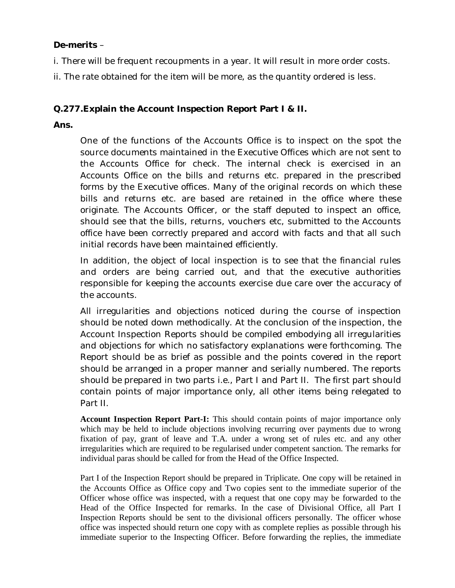## **De-merits** –

i. There will be frequent recoupments in a year. It will result in more order costs.

ii. The rate obtained for the item will be more, as the quantity ordered is less.

## **Q.277.Explain the Account Inspection Report Part I & II.**

**Ans.** 

One of the functions of the Accounts Office is to inspect on the spot the source documents maintained in the Executive Offices which are not sent to the Accounts Office for check. The internal check is exercised in an Accounts Office on the bills and returns etc. prepared in the prescribed forms by the Executive offices. Many of the original records on which these bills and returns etc. are based are retained in the office where these originate. The Accounts Officer, or the staff deputed to inspect an office, should see that the bills, returns, vouchers etc, submitted to the Accounts office have been correctly prepared and accord with facts and that all such initial records have been maintained efficiently.

In addition, the object of local inspection is to see that the financial rules and orders are being carried out, and that the executive authorities responsible for keeping the accounts exercise due care over the accuracy of the accounts.

All irregularities and objections noticed during the course of inspection should be noted down methodically. At the conclusion of the inspection, the Account Inspection Reports should be compiled embodying all irregularities and objections for which no satisfactory explanations were forthcoming. The Report should be as brief as possible and the points covered in the report should be arranged in a proper manner and serially numbered. The reports should be prepared in two parts i.e., Part I and Part II. The first part should contain points of major importance only, all other items being relegated to Part II.

**Account Inspection Report Part-I:** This should contain points of major importance only which may be held to include objections involving recurring over payments due to wrong fixation of pay, grant of leave and T.A. under a wrong set of rules etc. and any other irregularities which are required to be regularised under competent sanction. The remarks for individual paras should be called for from the Head of the Office Inspected.

Part I of the Inspection Report should be prepared in Triplicate. One copy will be retained in the Accounts Office as Office copy and Two copies sent to the immediate superior of the Officer whose office was inspected, with a request that one copy may be forwarded to the Head of the Office Inspected for remarks. In the case of Divisional Office, all Part I Inspection Reports should be sent to the divisional officers personally. The officer whose office was inspected should return one copy with as complete replies as possible through his immediate superior to the Inspecting Officer. Before forwarding the replies, the immediate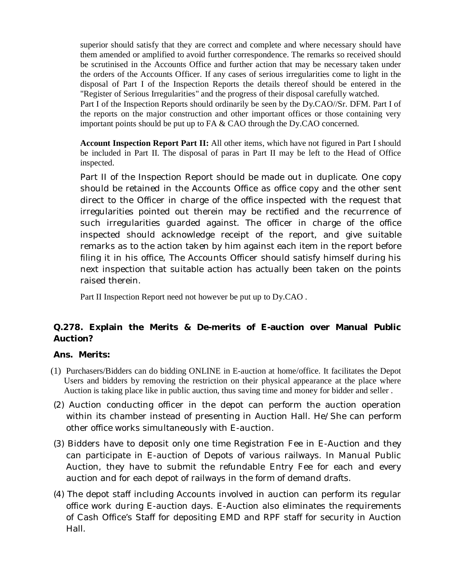superior should satisfy that they are correct and complete and where necessary should have them amended or amplified to avoid further correspondence. The remarks so received should be scrutinised in the Accounts Office and further action that may be necessary taken under the orders of the Accounts Officer. If any cases of serious irregularities come to light in the disposal of Part I of the Inspection Reports the details thereof should be entered in the "Register of Serious Irregularities" and the progress of their disposal carefully watched.

Part I of the Inspection Reports should ordinarily be seen by the Dy.CAO//Sr. DFM. Part I of the reports on the major construction and other important offices or those containing very important points should be put up to FA & CAO through the Dy.CAO concerned.

**Account Inspection Report Part II:** All other items, which have not figured in Part I should be included in Part II. The disposal of paras in Part II may be left to the Head of Office inspected.

Part II of the Inspection Report should be made out in duplicate. One copy should be retained in the Accounts Office as office copy and the other sent direct to the Officer in charge of the office inspected with the request that irregularities pointed out therein may be rectified and the recurrence of such irregularities guarded against. The officer in charge of the office inspected should acknowledge receipt of the report, and give suitable remarks as to the action taken by him against each item in the report before filing it in his office, The Accounts Officer should satisfy himself during his next inspection that suitable action has actually been taken on the points raised therein.

Part II Inspection Report need not however be put up to Dy.CAO .

## **Q.278. Explain the Merits & De-merits of E-auction over Manual Public Auction?**

#### **Ans. Merits:**

- (1) Purchasers/Bidders can do bidding ONLINE in E-auction at home/office. It facilitates the Depot Users and bidders by removing the restriction on their physical appearance at the place where Auction is taking place like in public auction, thus saving time and money for bidder and seller .
- (2) Auction conducting officer in the depot can perform the auction operation within its chamber instead of presenting in Auction Hall. He/She can perform other office works simultaneously with E-auction.
- (3) Bidders have to deposit only one time Registration Fee in E-Auction and they can participate in E-auction of Depots of various railways. In Manual Public Auction, they have to submit the refundable Entry Fee for each and every auction and for each depot of railways in the form of demand drafts.
- (4) The depot staff including Accounts involved in auction can perform its regular office work during E-auction days. E-Auction also eliminates the requirements of Cash Office's Staff for depositing EMD and RPF staff for security in Auction Hall.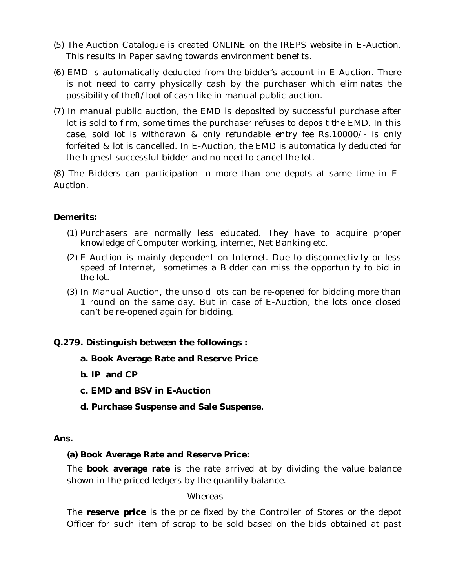- (5) The Auction Catalogue is created ONLINE on the IREPS website in E-Auction. This results in Paper saving towards environment benefits.
- (6) EMD is automatically deducted from the bidder's account in E-Auction. There is not need to carry physically cash by the purchaser which eliminates the possibility of theft/loot of cash like in manual public auction.
- (7) In manual public auction, the EMD is deposited by successful purchase after lot is sold to firm, some times the purchaser refuses to deposit the EMD. In this case, sold lot is withdrawn & only refundable entry fee Rs.10000/- is only forfeited & lot is cancelled. In E-Auction, the EMD is automatically deducted for the highest successful bidder and no need to cancel the lot.

(8) The Bidders can participation in more than one depots at same time in E-Auction.

## **Demerits:**

- (1) Purchasers are normally less educated. They have to acquire proper knowledge of Computer working, internet, Net Banking etc.
- (2) E-Auction is mainly dependent on Internet. Due to disconnectivity or less speed of Internet, sometimes a Bidder can miss the opportunity to bid in the lot.
- (3) In Manual Auction, the unsold lots can be re-opened for bidding more than 1 round on the same day. But in case of E-Auction, the lots once closed can't be re-opened again for bidding.

## **Q.279. Distinguish between the followings :**

- **a. Book Average Rate and Reserve Price**
- **b. IP and CP**
- **c. EMD and BSV in E-Auction**
- **d. Purchase Suspense and Sale Suspense.**

#### **Ans.**

#### **(a) Book Average Rate and Reserve Price:**

The **book average rate** is the rate arrived at by dividing the value balance shown in the priced ledgers by the quantity balance.

#### **Whereas**

The **reserve price** is the price fixed by the Controller of Stores or the depot Officer for such item of scrap to be sold based on the bids obtained at past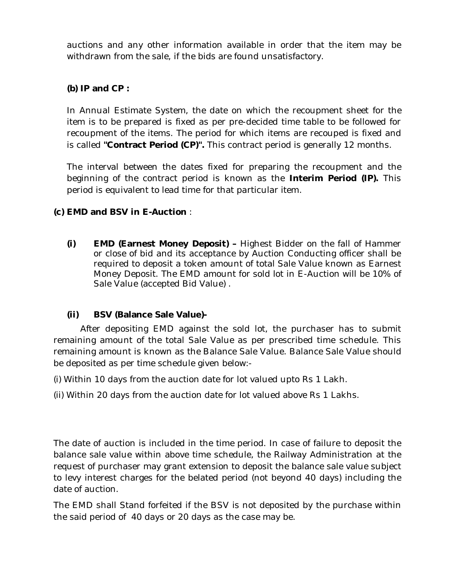auctions and any other information available in order that the item may be withdrawn from the sale, if the bids are found unsatisfactory.

## **(b) IP and CP :**

In Annual Estimate System, the date on which the recoupment sheet for the item is to be prepared is fixed as per pre-decided time table to be followed for recoupment of the items. The period for which items are recouped is fixed and is called **"Contract Period (CP)".** This contract period is generally 12 months.

The interval between the dates fixed for preparing the recoupment and the beginning of the contract period is known as the **Interim Period (IP).** This period is equivalent to lead time for that particular item.

## **(c) EMD and BSV in E-Auction** :

**(i) EMD (Earnest Money Deposit) –** Highest Bidder on the fall of Hammer or close of bid and its acceptance by Auction Conducting officer shall be required to deposit a token amount of total Sale Value known as Earnest Money Deposit. The EMD amount for sold lot in E-Auction will be 10% of Sale Value (accepted Bid Value) .

## **(ii) BSV (Balance Sale Value)-**

After depositing EMD against the sold lot, the purchaser has to submit remaining amount of the total Sale Value as per prescribed time schedule. This remaining amount is known as the Balance Sale Value. Balance Sale Value should be deposited as per time schedule given below:-

(i) Within 10 days from the auction date for lot valued upto Rs 1 Lakh.

(ii) Within 20 days from the auction date for lot valued above Rs 1 Lakhs.

The date of auction is included in the time period. In case of failure to deposit the balance sale value within above time schedule, the Railway Administration at the request of purchaser may grant extension to deposit the balance sale value subject to levy interest charges for the belated period (not beyond 40 days) including the date of auction.

The EMD shall Stand forfeited if the BSV is not deposited by the purchase within the said period of 40 days or 20 days as the case may be.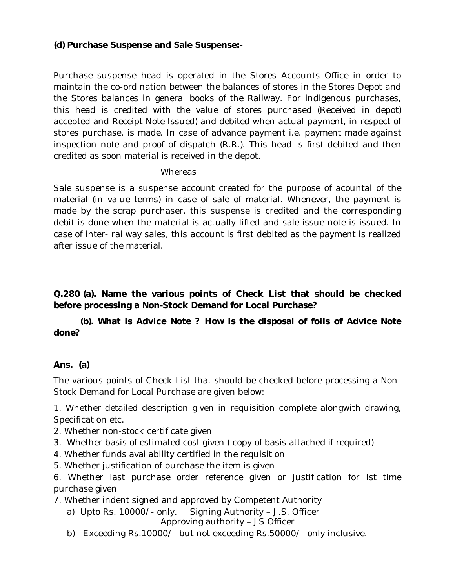## **(d) Purchase Suspense and Sale Suspense:-**

Purchase suspense head is operated in the Stores Accounts Office in order to maintain the co-ordination between the balances of stores in the Stores Depot and the Stores balances in general books of the Railway. For indigenous purchases, this head is credited with the value of stores purchased (Received in depot) accepted and Receipt Note Issued) and debited when actual payment, in respect of stores purchase, is made. In case of advance payment i.e. payment made against inspection note and proof of dispatch (R.R.). This head is first debited and then credited as soon material is received in the depot.

### Whereas

Sale suspense is a suspense account created for the purpose of acountal of the material (in value terms) in case of sale of material. Whenever, the payment is made by the scrap purchaser, this suspense is credited and the corresponding debit is done when the material is actually lifted and sale issue note is issued. In case of inter- railway sales, this account is first debited as the payment is realized after issue of the material.

**Q.280 (a). Name the various points of Check List that should be checked before processing a Non-Stock Demand for Local Purchase?**

**(b). What is Advice Note ? How is the disposal of foils of Advice Note done?**

## **Ans. (a)**

The various points of Check List that should be checked before processing a Non-Stock Demand for Local Purchase are given below:

1. Whether detailed description given in requisition complete alongwith drawing, Specification etc.

- 2. Whether non-stock certificate given
- 3. Whether basis of estimated cost given ( copy of basis attached if required)
- 4. Whether funds availability certified in the requisition
- 5. Whether justification of purchase the item is given

6. Whether last purchase order reference given or justification for Ist time purchase given

7. Whether indent signed and approved by Competent Authority

a) Upto Rs. 10000/- only. Signing Authority – J.S. Officer

Approving authority – JS Officer

b) Exceeding Rs.10000/- but not exceeding Rs.50000/- only inclusive.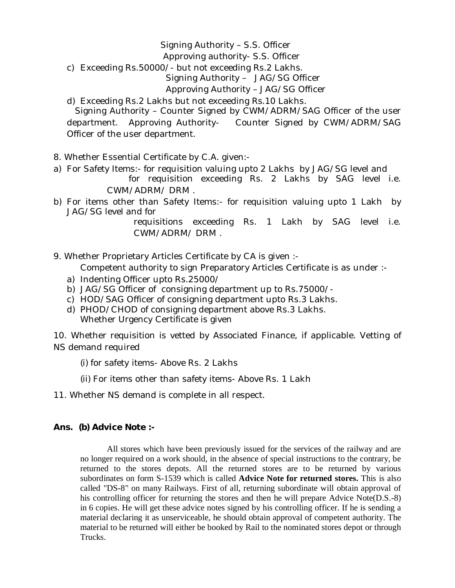## Signing Authority – S.S. Officer

### Approving authority- S.S. Officer

c) Exceeding Rs.50000/- but not exceeding Rs.2 Lakhs.

## Signing Authority – JAG/SG Officer

### Approving Authority – JAG/SG Officer

d) Exceeding Rs.2 Lakhs but not exceeding Rs.10 Lakhs.

 Signing Authority – Counter Signed by CWM/ADRM/SAG Officer of the user department. Approving Authority- Counter Signed by CWM/ADRM/SAG Officer of the user department.

- 8. Whether Essential Certificate by C.A. given:-
- a) For Safety Items:- for requisition valuing upto 2 Lakhs by JAG/SG level and for requisition exceeding Rs. 2 Lakhs by SAG level i.e. CWM/ADRM/ DRM .
- b) For items other than Safety Items:- for requisition valuing upto 1 Lakh by JAG/SG level and for

requisitions exceeding Rs. 1 Lakh by SAG level i.e. CWM/ADRM/ DRM .

- 9. Whether Proprietary Articles Certificate by CA is given :-
	- Competent authority to sign Preparatory Articles Certificate is as under :-
	- a) Indenting Officer upto Rs.25000/
	- b) JAG/SG Officer of consigning department up to Rs.75000/-
	- c) HOD/SAG Officer of consigning department upto Rs.3 Lakhs.
	- d) PHOD/CHOD of consigning department above Rs.3 Lakhs. Whether Urgency Certificate is given

10. Whether requisition is vetted by Associated Finance, if applicable. Vetting of NS demand required

- (i) for safety items- Above Rs. 2 Lakhs
- (ii) For items other than safety items- Above Rs. 1 Lakh
- 11. Whether NS demand is complete in all respect.

## **Ans. (b) Advice Note :-**

All stores which have been previously issued for the services of the railway and are no longer required on a work should, in the absence of special instructions to the contrary, be returned to the stores depots. All the returned stores are to be returned by various subordinates on form S-1539 which is called **Advice Note for returned stores.** This is also called "DS-8" on many Railways. First of all, returning subordinate will obtain approval of his controlling officer for returning the stores and then he will prepare Advice Note(D.S.-8) in 6 copies. He will get these advice notes signed by his controlling officer. If he is sending a material declaring it as unserviceable, he should obtain approval of competent authority. The material to be returned will either be booked by Rail to the nominated stores depot or through Trucks.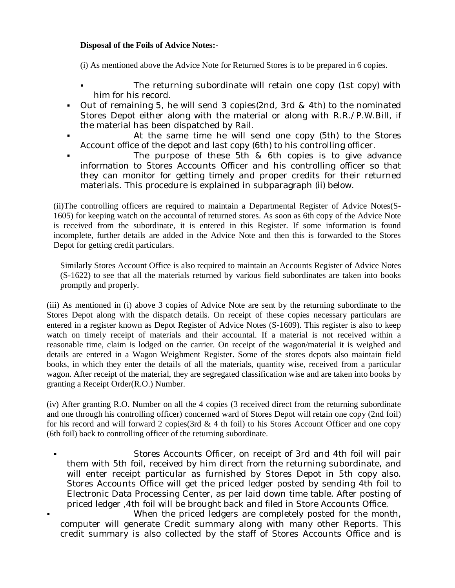#### **Disposal of the Foils of Advice Notes:-**

(i) As mentioned above the Advice Note for Returned Stores is to be prepared in 6 copies.

- The returning subordinate will retain one copy (1st copy) with him for his record.
- Out of remaining 5, he will send 3 copies(2nd, 3rd & 4th) to the nominated Stores Depot either along with the material or along with R.R./P.W.Bill, if the material has been dispatched by Rail.
- At the same time he will send one copy (5th) to the Stores Account office of the depot and last copy (6th) to his controlling officer.
- The purpose of these 5th & 6th copies is to give advance information to Stores Accounts Officer and his controlling officer so that they can monitor for getting timely and proper credits for their returned materials. This procedure is explained in subparagraph (ii) below.

(ii)The controlling officers are required to maintain a Departmental Register of Advice Notes(S-1605) for keeping watch on the accountal of returned stores. As soon as 6th copy of the Advice Note is received from the subordinate, it is entered in this Register. If some information is found incomplete, further details are added in the Advice Note and then this is forwarded to the Stores Depot for getting credit particulars.

Similarly Stores Account Office is also required to maintain an Accounts Register of Advice Notes (S-1622) to see that all the materials returned by various field subordinates are taken into books promptly and properly.

(iii) As mentioned in (i) above 3 copies of Advice Note are sent by the returning subordinate to the Stores Depot along with the dispatch details. On receipt of these copies necessary particulars are entered in a register known as Depot Register of Advice Notes (S-1609). This register is also to keep watch on timely receipt of materials and their accountal. If a material is not received within a reasonable time, claim is lodged on the carrier. On receipt of the wagon/material it is weighed and details are entered in a Wagon Weighment Register. Some of the stores depots also maintain field books, in which they enter the details of all the materials, quantity wise, received from a particular wagon. After receipt of the material, they are segregated classification wise and are taken into books by granting a Receipt Order(R.O.) Number.

(iv) After granting R.O. Number on all the 4 copies (3 received direct from the returning subordinate and one through his controlling officer) concerned ward of Stores Depot will retain one copy (2nd foil) for his record and will forward 2 copies(3rd  $\& 4$  th foil) to his Stores Account Officer and one copy (6th foil) back to controlling officer of the returning subordinate.

- Stores Accounts Officer, on receipt of 3rd and 4th foil will pair them with 5th foil, received by him direct from the returning subordinate, and will enter receipt particular as furnished by Stores Depot in 5th copy also. Stores Accounts Office will get the priced ledger posted by sending 4th foil to Electronic Data Processing Center, as per laid down time table. After posting of priced ledger ,4th foil will be brought back and filed in Store Accounts Office.
- When the priced ledgers are completely posted for the month, computer will generate Credit summary along with many other Reports. This credit summary is also collected by the staff of Stores Accounts Office and is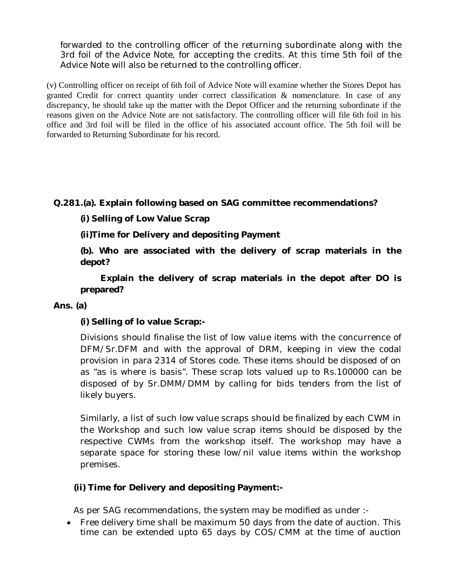forwarded to the controlling officer of the returning subordinate along with the 3rd foil of the Advice Note, for accepting the credits. At this time 5th foil of the Advice Note will also be returned to the controlling officer.

(v) Controlling officer on receipt of 6th foil of Advice Note will examine whether the Stores Depot has granted Credit for correct quantity under correct classification & nomenclature. In case of any discrepancy, he should take up the matter with the Depot Officer and the returning subordinate if the reasons given on the Advice Note are not satisfactory. The controlling officer will file 6th foil in his office and 3rd foil will be filed in the office of his associated account office. The 5th foil will be forwarded to Returning Subordinate for his record.

**Q.281.(a). Explain following based on SAG committee recommendations?**

**(i) Selling of Low Value Scrap**

**(ii)Time for Delivery and depositing Payment**

**(b). Who are associated with the delivery of scrap materials in the depot?** 

 **Explain the delivery of scrap materials in the depot after DO is prepared?**

## **Ans. (a)**

## **(i) Selling of lo value Scrap:-**

Divisions should finalise the list of low value items with the concurrence of DFM/Sr.DFM and with the approval of DRM, keeping in view the codal provision in para 2314 of Stores code. These items should be disposed of on as "as is where is basis". These scrap lots valued up to Rs.100000 can be disposed of by Sr.DMM/DMM by calling for bids tenders from the list of likely buyers.

Similarly, a list of such low value scraps should be finalized by each CWM in the Workshop and such low value scrap items should be disposed by the respective CWMs from the workshop itself. The workshop may have a separate space for storing these low/nil value items within the workshop premises.

## **(ii) Time for Delivery and depositing Payment:-**

As per SAG recommendations, the system may be modified as under :-

 Free delivery time shall be maximum 50 days from the date of auction. This time can be extended upto 65 days by COS/CMM at the time of auction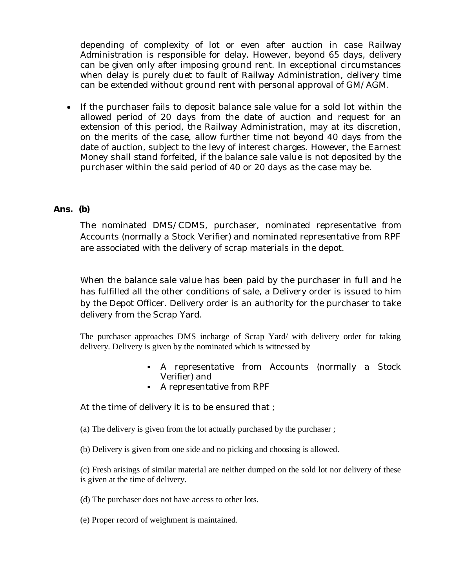depending of complexity of lot or even after auction in case Railway Administration is responsible for delay. However, beyond 65 days, delivery can be given only after imposing ground rent. In exceptional circumstances when delay is purely duet to fault of Railway Administration, delivery time can be extended without ground rent with personal approval of GM/AGM.

• If the purchaser fails to deposit balance sale value for a sold lot within the allowed period of 20 days from the date of auction and request for an extension of this period, the Railway Administration, may at its discretion, on the merits of the case, allow further time not beyond 40 days from the date of auction, subject to the levy of interest charges. However, the Earnest Money shall stand forfeited, if the balance sale value is not deposited by the purchaser within the said period of 40 or 20 days as the case may be.

### **Ans. (b)**

The nominated DMS/CDMS, purchaser, nominated representative from Accounts (normally a Stock Verifier) and nominated representative from RPF are associated with the delivery of scrap materials in the depot.

When the balance sale value has been paid by the purchaser in full and he has fulfilled all the other conditions of sale, a Delivery order is issued to him by the Depot Officer. Delivery order is an authority for the purchaser to take delivery from the Scrap Yard.

The purchaser approaches DMS incharge of Scrap Yard/ with delivery order for taking delivery. Delivery is given by the nominated which is witnessed by

- A representative from Accounts (normally a Stock Verifier) and
- A representative from RPF

At the time of delivery it is to be ensured that ;

(a) The delivery is given from the lot actually purchased by the purchaser ;

(b) Delivery is given from one side and no picking and choosing is allowed.

(c) Fresh arisings of similar material are neither dumped on the sold lot nor delivery of these is given at the time of delivery.

- (d) The purchaser does not have access to other lots.
- (e) Proper record of weighment is maintained.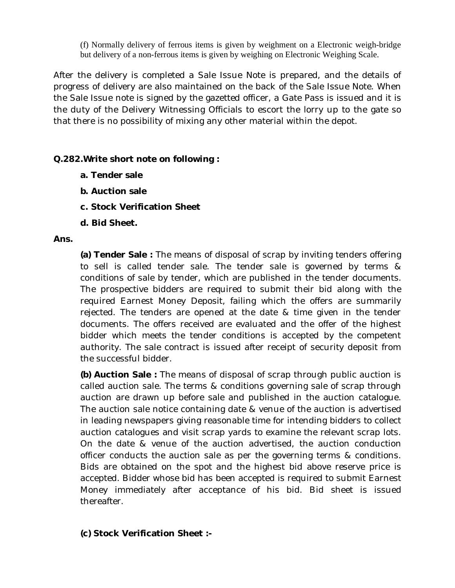(f) Normally delivery of ferrous items is given by weighment on a Electronic weigh-bridge but delivery of a non-ferrous items is given by weighing on Electronic Weighing Scale.

After the delivery is completed a Sale Issue Note is prepared, and the details of progress of delivery are also maintained on the back of the Sale Issue Note. When the Sale Issue note is signed by the gazetted officer, a Gate Pass is issued and it is the duty of the Delivery Witnessing Officials to escort the lorry up to the gate so that there is no possibility of mixing any other material within the depot.

### **Q.282.Write short note on following :**

- **a. Tender sale**
- **b. Auction sale**
- **c. Stock Verification Sheet**
- **d. Bid Sheet.**

### **Ans.**

**(a) Tender Sale :** The means of disposal of scrap by inviting tenders offering to sell is called tender sale. The tender sale is governed by terms & conditions of sale by tender, which are published in the tender documents. The prospective bidders are required to submit their bid along with the required Earnest Money Deposit, failing which the offers are summarily rejected. The tenders are opened at the date & time given in the tender documents. The offers received are evaluated and the offer of the highest bidder which meets the tender conditions is accepted by the competent authority. The sale contract is issued after receipt of security deposit from the successful bidder.

**(b) Auction Sale :** The means of disposal of scrap through public auction is called auction sale. The terms & conditions governing sale of scrap through auction are drawn up before sale and published in the auction catalogue. The auction sale notice containing date & venue of the auction is advertised in leading newspapers giving reasonable time for intending bidders to collect auction catalogues and visit scrap yards to examine the relevant scrap lots. On the date & venue of the auction advertised, the auction conduction officer conducts the auction sale as per the governing terms & conditions. Bids are obtained on the spot and the highest bid above reserve price is accepted. Bidder whose bid has been accepted is required to submit Earnest Money immediately after acceptance of his bid. Bid sheet is issued thereafter.

## **(c) Stock Verification Sheet :-**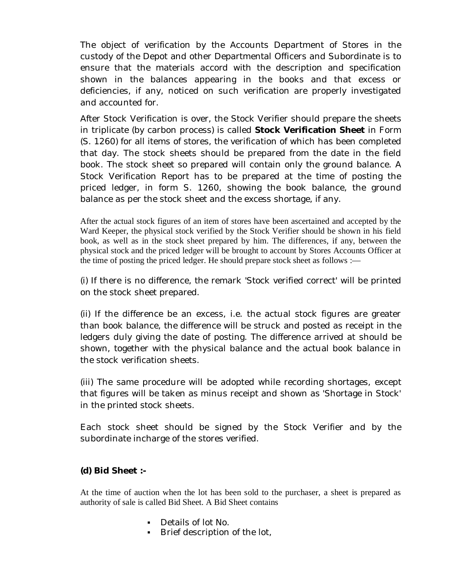The object of verification by the Accounts Department of Stores in the custody of the Depot and other Departmental Officers and Subordinate is to ensure that the materials accord with the description and specification shown in the balances appearing in the books and that excess or deficiencies, if any, noticed on such verification are properly investigated and accounted for.

After Stock Verification is over, the Stock Verifier should prepare the sheets in triplicate (by carbon process) is called **Stock Verification Sheet** in Form (S. 1260) for all items of stores, the verification of which has been completed that day. The stock sheets should be prepared from the date in the field book. The stock sheet so prepared will contain only the ground balance. A Stock Verification Report has to be prepared at the time of posting the priced ledger, in form S. 1260, showing the book balance, the ground balance as per the stock sheet and the excess shortage, if any.

After the actual stock figures of an item of stores have been ascertained and accepted by the Ward Keeper, the physical stock verified by the Stock Verifier should be shown in his field book, as well as in the stock sheet prepared by him. The differences, if any, between the physical stock and the priced ledger will be brought to account by Stores Accounts Officer at the time of posting the priced ledger. He should prepare stock sheet as follows :—

(i) If there is no difference, the remark 'Stock verified correct' will be printed on the stock sheet prepared.

(ii) If the difference be an excess, i.e. the actual stock figures are greater than book balance, the difference will be struck and posted as receipt in the ledgers duly giving the date of posting. The difference arrived at should be shown, together with the physical balance and the actual book balance in the stock verification sheets.

(iii) The same procedure will be adopted while recording shortages, except that figures will be taken as minus receipt and shown as 'Shortage in Stock' in the printed stock sheets.

Each stock sheet should be signed by the Stock Verifier and by the subordinate incharge of the stores verified.

### **(d) Bid Sheet :-**

At the time of auction when the lot has been sold to the purchaser, a sheet is prepared as authority of sale is called Bid Sheet. A Bid Sheet contains

- Details of lot No.
- **Brief description of the lot,**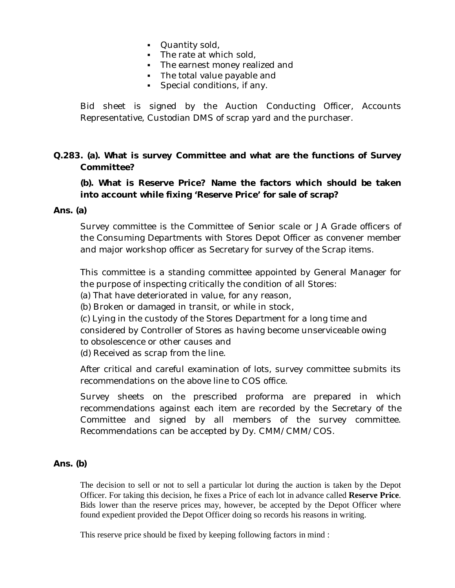- **Quantity sold,**
- $\blacksquare$  The rate at which sold,
- The earnest money realized and
- The total value payable and
- **Special conditions, if any.**

Bid sheet is signed by the Auction Conducting Officer, Accounts Representative, Custodian DMS of scrap yard and the purchaser.

## **Q.283. (a). What is survey Committee and what are the functions of Survey Committee?**

**(b). What is Reserve Price? Name the factors which should be taken into account while fixing 'Reserve Price' for sale of scrap?**

#### **Ans. (a)**

Survey committee is the Committee of Senior scale or JA Grade officers of the Consuming Departments with Stores Depot Officer as convener member and major workshop officer as Secretary for survey of the Scrap items.

This committee is a standing committee appointed by General Manager for the purpose of inspecting critically the condition of all Stores:

(a) That have deteriorated in value, for any reason,

(b) Broken or damaged in transit, or while in stock,

(c) Lying in the custody of the Stores Department for a long time and considered by Controller of Stores as having become unserviceable owing to obsolescence or other causes and

(d) Received as scrap from the line.

After critical and careful examination of lots, survey committee submits its recommendations on the above line to COS office.

Survey sheets on the prescribed proforma are prepared in which recommendations against each item are recorded by the Secretary of the Committee and signed by all members of the survey committee. Recommendations can be accepted by Dy. CMM/CMM/COS.

#### **Ans. (b)**

The decision to sell or not to sell a particular lot during the auction is taken by the Depot Officer. For taking this decision, he fixes a Price of each lot in advance called **Reserve Price**. Bids lower than the reserve prices may, however, be accepted by the Depot Officer where found expedient provided the Depot Officer doing so records his reasons in writing.

This reserve price should be fixed by keeping following factors in mind :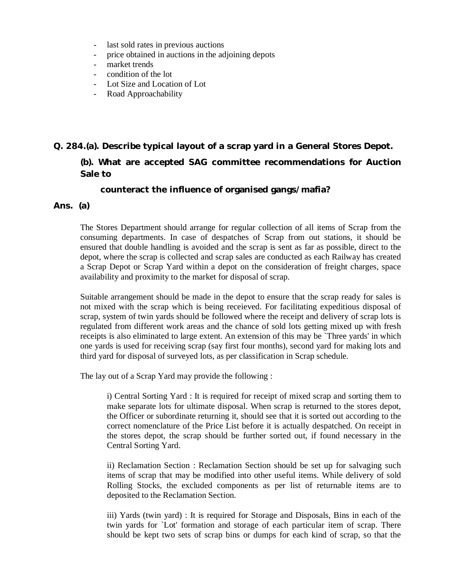- last sold rates in previous auctions
- price obtained in auctions in the adjoining depots
- market trends
- condition of the lot
- Lot Size and Location of Lot
- Road Approachability

#### **Q. 284.(a). Describe typical layout of a scrap yard in a General Stores Depot.**

**(b). What are accepted SAG committee recommendations for Auction Sale to** 

 **counteract the influence of organised gangs/mafia?** 

#### **Ans. (a)**

The Stores Department should arrange for regular collection of all items of Scrap from the consuming departments. In case of despatches of Scrap from out stations, it should be ensured that double handling is avoided and the scrap is sent as far as possible, direct to the depot, where the scrap is collected and scrap sales are conducted as each Railway has created a Scrap Depot or Scrap Yard within a depot on the consideration of freight charges, space availability and proximity to the market for disposal of scrap.

Suitable arrangement should be made in the depot to ensure that the scrap ready for sales is not mixed with the scrap which is being receieved. For facilitating expeditious disposal of scrap, system of twin yards should be followed where the receipt and delivery of scrap lots is regulated from different work areas and the chance of sold lots getting mixed up with fresh receipts is also eliminated to large extent. An extension of this may be `Three yards' in which one yards is used for receiving scrap (say first four months), second yard for making lots and third yard for disposal of surveyed lots, as per classification in Scrap schedule.

The lay out of a Scrap Yard may provide the following :

i) Central Sorting Yard : It is required for receipt of mixed scrap and sorting them to make separate lots for ultimate disposal. When scrap is returned to the stores depot, the Officer or subordinate returning it, should see that it is sorted out according to the correct nomenclature of the Price List before it is actually despatched. On receipt in the stores depot, the scrap should be further sorted out, if found necessary in the Central Sorting Yard.

ii) Reclamation Section : Reclamation Section should be set up for salvaging such items of scrap that may be modified into other useful items. While delivery of sold Rolling Stocks, the excluded components as per list of returnable items are to deposited to the Reclamation Section.

iii) Yards (twin yard) : It is required for Storage and Disposals, Bins in each of the twin yards for `Lot' formation and storage of each particular item of scrap. There should be kept two sets of scrap bins or dumps for each kind of scrap, so that the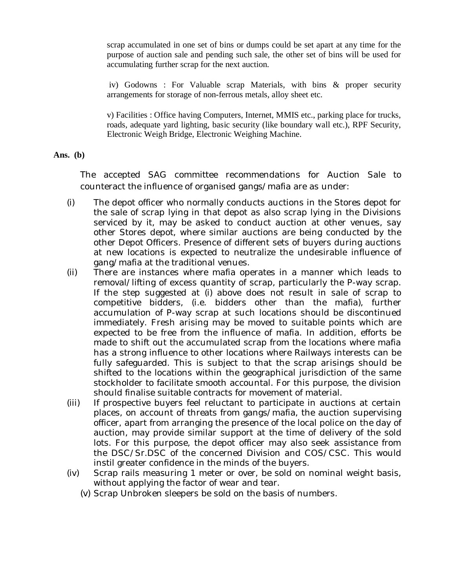scrap accumulated in one set of bins or dumps could be set apart at any time for the purpose of auction sale and pending such sale, the other set of bins will be used for accumulating further scrap for the next auction.

iv) Godowns : For Valuable scrap Materials, with bins & proper security arrangements for storage of non-ferrous metals, alloy sheet etc.

v) Facilities : Office having Computers, Internet, MMIS etc., parking place for trucks, roads, adequate yard lighting, basic security (like boundary wall etc.), RPF Security, Electronic Weigh Bridge, Electronic Weighing Machine.

#### **Ans. (b)**

The accepted SAG committee recommendations for Auction Sale to counteract the influence of organised gangs/mafia are as under:

- (i) The depot officer who normally conducts auctions in the Stores depot for the sale of scrap lying in that depot as also scrap lying in the Divisions serviced by it, may be asked to conduct auction at other venues, say other Stores depot, where similar auctions are being conducted by the other Depot Officers. Presence of different sets of buyers during auctions at new locations is expected to neutralize the undesirable influence of gang/mafia at the traditional venues.
- (ii) There are instances where mafia operates in a manner which leads to removal/lifting of excess quantity of scrap, particularly the P-way scrap. If the step suggested at (i) above does not result in sale of scrap to competitive bidders, (i.e. bidders other than the mafia), further accumulation of P-way scrap at such locations should be discontinued immediately. Fresh arising may be moved to suitable points which are expected to be free from the influence of mafia. In addition, efforts be made to shift out the accumulated scrap from the locations where mafia has a strong influence to other locations where Railways interests can be fully safeguarded. This is subject to that the scrap arisings should be shifted to the locations within the geographical jurisdiction of the same stockholder to facilitate smooth accountal. For this purpose, the division should finalise suitable contracts for movement of material.
- (iii) If prospective buyers feel reluctant to participate in auctions at certain places, on account of threats from gangs/mafia, the auction supervising officer, apart from arranging the presence of the local police on the day of auction, may provide similar support at the time of delivery of the sold lots. For this purpose, the depot officer may also seek assistance from the DSC/Sr.DSC of the concerned Division and COS/CSC. This would instil greater confidence in the minds of the buyers.
- (iv) Scrap rails measuring 1 meter or over, be sold on nominal weight basis, without applying the factor of wear and tear.
	- (v) Scrap Unbroken sleepers be sold on the basis of numbers.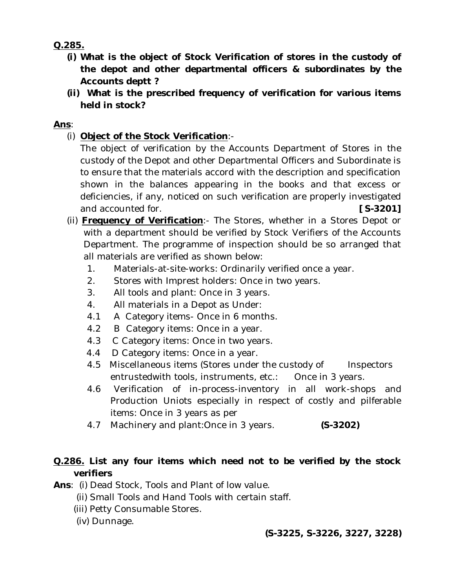**Q.285.**

- **(i) What is the object of Stock Verification of stores in the custody of the depot and other departmental officers & subordinates by the Accounts deptt ?**
- **(ii) What is the prescribed frequency of verification for various items held in stock?**

## **Ans**:

(i) **Object of the Stock Verification**:-

The object of verification by the Accounts Department of Stores in the custody of the Depot and other Departmental Officers and Subordinate is to ensure that the materials accord with the description and specification shown in the balances appearing in the books and that excess or deficiencies, if any, noticed on such verification are properly investigated and accounted for. **[S-3201]** 

- (ii) **Frequency of Verification**:- The Stores, whether in a Stores Depot or with a department should be verified by Stock Verifiers of the Accounts Department. The programme of inspection should be so arranged that all materials are verified as shown below:
	- 1. Materials-at-site-works: Ordinarily verified once a year.
	- 2. Stores with Imprest holders: Once in two years.
	- 3. All tools and plant: Once in 3 years.
	- 4. All materials in a Depot as Under:
	- 4.1 A Category items- Once in 6 months.
	- 4.2 B Category items: Once in a year.
	- 4.3 C Category items: Once in two years.
	- 4.4 D Category items: Once in a year.
	- 4.5 Miscellaneous items (Stores under the custody of lnspectors entrustedwith tools, instruments, etc.: Once in 3 years.
	- 4.6 Verification of in-process-inventory in all work-shops and Production Uniots especially in respect of costly and pilferable items: Once in 3 years as per
	- 4.7 Machinery and plant:Once in 3 years. **(S-3202)**

# **Q.286. List any four items which need not to be verified by the stock verifiers**

- **Ans**: (i) Dead Stock, Tools and Plant of low value.
	- (ii) Small Tools and Hand Tools with certain staff.
	- (iii) Petty Consumable Stores.
	- (iv) Dunnage.

## **(S-3225, S-3226, 3227, 3228)**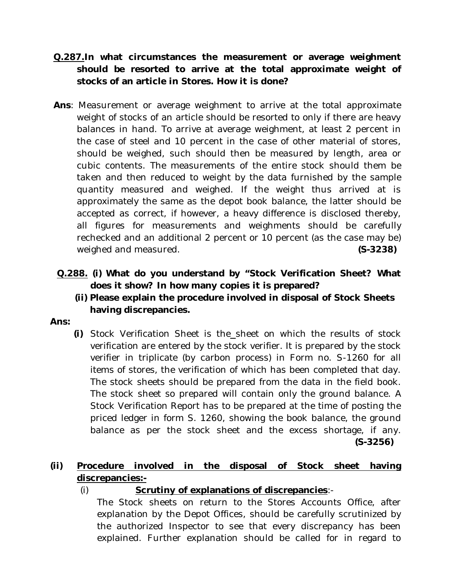- **Q.287.In what circumstances the measurement or average weighment should be resorted to arrive at the total approximate weight of stocks of an article in Stores. How it is done?**
- **Ans**: Measurement or average weighment to arrive at the total approximate weight of stocks of an article should be resorted to only if there are heavy balances in hand. To arrive at average weighment, at least 2 percent in the case of steel and 10 percent in the case of other material of stores, should be weighed, such should then be measured by length, area or cubic contents. The measurements of the entire stock should them be taken and then reduced to weight by the data furnished by the sample quantity measured and weighed. If the weight thus arrived at is approximately the same as the depot book balance, the latter should be accepted as correct, if however, a heavy difference is disclosed thereby, all figures for measurements and weighments should be carefully rechecked and an additional 2 percent or 10 percent (as the case may be) weighed and measured. **(S-3238)**
- **Q.288. (i) What do you understand by "Stock Verification Sheet? What does it show? In how many copies it is prepared?**
	- **(ii) Please explain the procedure involved in disposal of Stock Sheets having discrepancies.**

### **Ans:**

**(i)** Stock Verification Sheet is the sheet on which the results of stock verification are entered by the stock verifier. It is prepared by the stock verifier in triplicate (by carbon process) in Form no. S-1260 for all items of stores, the verification of which has been completed that day. The stock sheets should be prepared from the data in the field book. The stock sheet so prepared will contain only the ground balance. A Stock Verification Report has to be prepared at the time of posting the priced ledger in form S. 1260, showing the book balance, the ground balance as per the stock sheet and the excess shortage, if any. **(S-3256)**

## **(ii) Procedure involved in the disposal of Stock sheet having discrepancies:-**

(i) **Scrutiny of explanations of discrepancies**:-

The Stock sheets on return to the Stores Accounts Office, after explanation by the Depot Offices, should be carefully scrutinized by the authorized Inspector to see that every discrepancy has been explained. Further explanation should be called for in regard to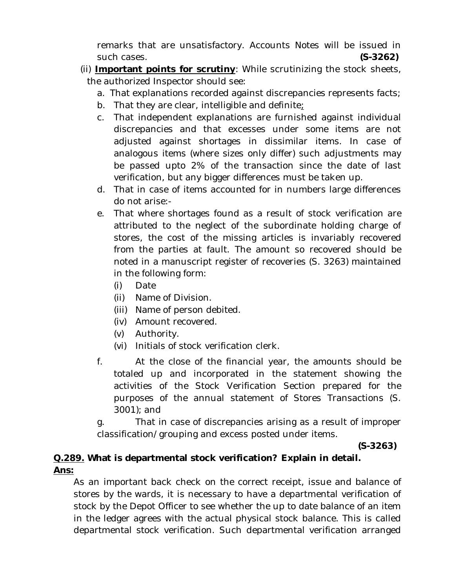remarks that are unsatisfactory. Accounts Notes will be issued in such cases. **(S-3262)**

- (ii) **Important points for scrutiny**: While scrutinizing the stock sheets, the authorized Inspector should see:
	- a. That explanations recorded against discrepancies represents facts;
	- b. That they are clear, intelligible and definite;
	- c. That independent explanations are furnished against individual discrepancies and that excesses under some items are not adjusted against shortages in dissimilar items. In case of analogous items (where sizes only differ) such adjustments may be passed upto 2% of the transaction since the date of last verification, but any bigger differences must be taken up.
	- d. That in case of items accounted for in numbers large differences do not arise:-
	- e. That where shortages found as a result of stock verification are attributed to the neglect of the subordinate holding charge of stores, the cost of the missing articles is invariably recovered from the parties at fault. The amount so recovered should be noted in a manuscript register of recoveries (S. 3263) maintained in the following form:
		- (i) Date
		- (ii) Name of Division.
		- (iii) Name of person debited.
		- (iv) Amount recovered.
		- (v) Authority.
		- (vi) Initials of stock verification clerk.
	- f. At the close of the financial year, the amounts should be totaled up and incorporated in the statement showing the activities of the Stock Verification Section prepared for the purposes of the annual statement of Stores Transactions (S. 3001); and

g. That in case of discrepancies arising as a result of improper classification/grouping and excess posted under items.

 **(S-3263)**

## **Q.289. What is departmental stock verification? Explain in detail. Ans:**

As an important back check on the correct receipt, issue and balance of stores by the wards, it is necessary to have a departmental verification of stock by the Depot Officer to see whether the up to date balance of an item in the ledger agrees with the actual physical stock balance. This is called departmental stock verification. Such departmental verification arranged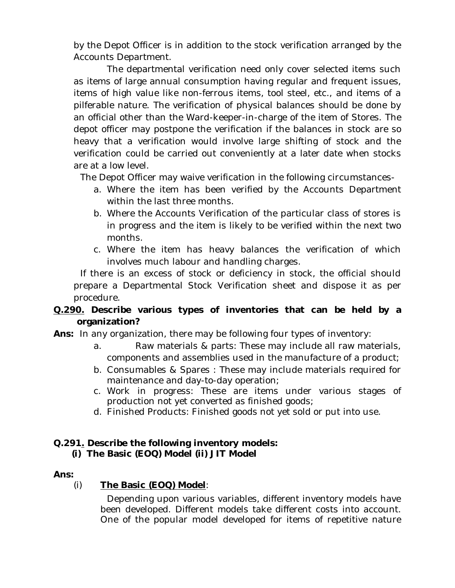by the Depot Officer is in addition to the stock verification arranged by the Accounts Department.

The departmental verification need only cover selected items such as items of large annual consumption having regular and frequent issues, items of high value like non-ferrous items, tool steel, etc., and items of a pilferable nature. The verification of physical balances should be done by an official other than the Ward-keeper-in-charge of the item of Stores. The depot officer may postpone the verification if the balances in stock are so heavy that a verification would involve large shifting of stock and the verification could be carried out conveniently at a later date when stocks are at a low level.

The Depot Officer may waive verification in the following circumstances-

- a. Where the item has been verified by the Accounts Department within the last three months.
- b. Where the Accounts Verification of the particular class of stores is in progress and the item is likely to be verified within the next two months.
- c. Where the item has heavy balances the verification of which involves much labour and handling charges.

If there is an excess of stock or deficiency in stock, the official should prepare a Departmental Stock Verification sheet and dispose it as per procedure.

## **Q.290. Describe various types of inventories that can be held by a organization?**

**Ans:** In any organization, there may be following four types of inventory:

- a. Raw materials & parts: These may include all raw materials, components and assemblies used in the manufacture of a product;
- b. Consumables & Spares : These may include materials required for maintenance and day-to-day operation;
- c. Work in progress: These are items under various stages of production not yet converted as finished goods;
- d. Finished Products: Finished goods not yet sold or put into use.

## **Q.291. Describe the following inventory models:**

 **(i) The Basic (EOQ) Model (ii) JIT Model**

## **Ans:**

## (i) **The Basic (EOQ) Model**:

Depending upon various variables, different inventory models have been developed. Different models take different costs into account. One of the popular model developed for items of repetitive nature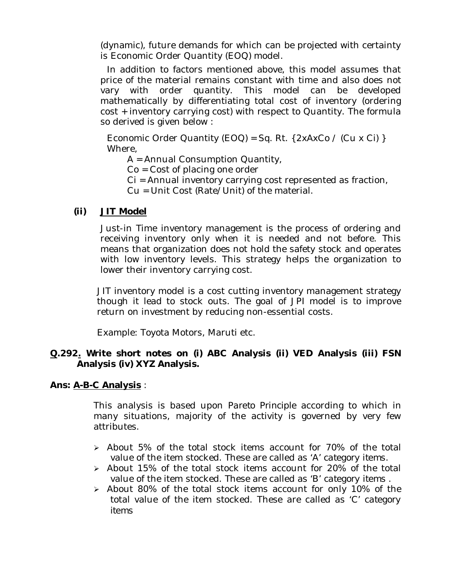(dynamic), future demands for which can be projected with certainty is Economic Order Quantity (EOQ) model.

In addition to factors mentioned above, this model assumes that price of the material remains constant with time and also does not vary with order quantity. This model can be developed mathematically by differentiating total cost of inventory (ordering cost + inventory carrying cost) with respect to Quantity. The formula so derived is given below :

Economic Order Quantity (EOQ) = Sq. Rt. {  $2xAxCo / (Cu \times Ci)$  } Where,

A = Annual Consumption Quantity,

Co = Cost of placing one order

Ci = Annual inventory carrying cost represented as fraction,

Cu = Unit Cost (Rate/Unit) of the material.

## **(ii) JIT Model**

Just-in Time inventory management is the process of ordering and receiving inventory only when it is needed and not before. This means that organization does not hold the safety stock and operates with low inventory levels. This strategy helps the organization to lower their inventory carrying cost.

JIT inventory model is a cost cutting inventory management strategy though it lead to stock outs. The goal of JPI model is to improve return on investment by reducing non-essential costs.

Example: Toyota Motors, Maruti etc.

## **Q.292. Write short notes on (i) ABC Analysis (ii) VED Analysis (iii) FSN Analysis (iv) XYZ Analysis.**

## **Ans: A-B-C Analysis** :

This analysis is based upon *Pareto Principle* according to which in many situations, majority of the activity is governed by very few attributes.

- $\geq$  About 5% of the total stock items account for 70% of the total value of the item stocked. These are called as '*A' category items.*
- $\ge$  About 15% of the total stock items account for 20% of the total value of the item stocked. These are called as '*B' category items .*
- About 80% of the total stock items account for only 10% of the total value of the item stocked. These are called as '*C' category items*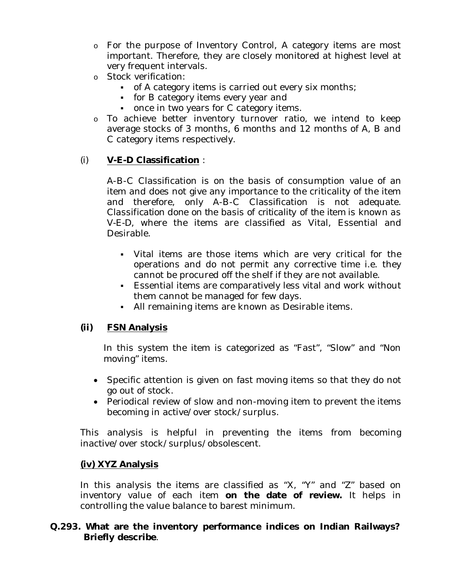- o For the purpose of Inventory Control, A category items are most important. Therefore, they are closely monitored at highest level at very frequent intervals.
- o Stock verification:
	- of A category items is carried out every six months;
	- for B category items every year and
	- once in two years for C category items.
- o To achieve better inventory turnover ratio, we intend to keep average stocks of 3 months, 6 months and 12 months of A, B and C category items respectively.

## (i) **V-E-D Classification** :

A-B-C Classification is on the basis of consumption value of an item and does not give any importance to the criticality of the item and therefore, only A-B-C Classification is not adequate. *Classification done on the basis of criticality of the item is known as V-E-D,* where the items are classified as Vital, Essential and Desirable.

- Vital items are those items which are very critical for the operations and do not permit any corrective time i.e. they cannot be procured off the shelf if they are not available.
- Essential items are comparatively less vital and work without them cannot be managed for few days.
- All remaining items are known as Desirable items.

## **(ii) FSN Analysis**

In this system the item is categorized as "Fast", "Slow" and "Non moving" items.

- Specific attention is given on fast moving items so that they do not go out of stock.
- Periodical review of slow and non-moving item to prevent the items becoming in active/over stock/surplus.

This analysis is helpful in preventing the items from becoming inactive/over stock/surplus/obsolescent.

## **(iv) XYZ Analysis**

In this analysis the items are classified as "X, "Y" and "Z" based on inventory value of each item **on the date of review.** It helps in controlling the value balance to barest minimum.

## **Q.293. What are the inventory performance indices on Indian Railways? Briefly describe**.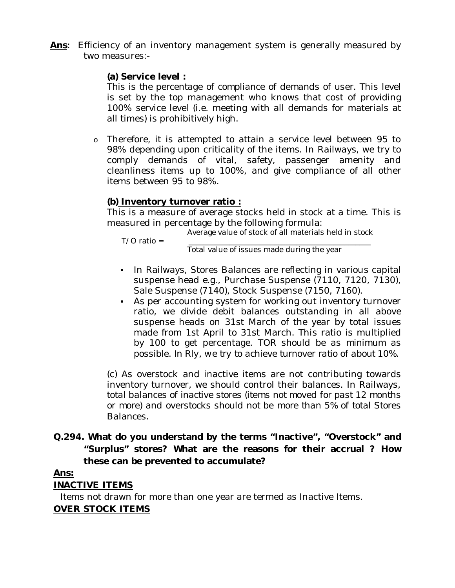**Ans**: Efficiency of an inventory management system is generally measured by two measures:-

## **(a) Service level :**

*This is the percentage of compliance of demands of user.* This level is set by the top management who knows that cost of providing 100% service level (i.e. meeting with all demands for materials at all times) is prohibitively high.

o Therefore, it is attempted to attain a service level between 95 to 98% depending upon criticality of the items. In Railways, we try to comply demands of vital, safety, passenger amenity and cleanliness items up to 100%, and give compliance of all other items between 95 to 98%.

## **(b) Inventory turnover ratio :**

This is a measure of average stocks held in stock at a time. This is measured in percentage by the following formula:

 $T/O$  ratio =

Average value of stock of all materials held in stock

Total value of issues made during the year

- In Railways, Stores Balances are reflecting in various capital suspense head e.g., Purchase Suspense (7110, 7120, 7130), Sale Suspense (7140), Stock Suspense (7150, 7160).
- As per accounting system for working out inventory turnover ratio, we divide debit balances outstanding in all above suspense heads on 31st March of the year by total issues made from 1st April to 31st March. This ratio is multiplied by 100 to get percentage. *TOR should be as minimum as possible. In Rly, we try to achieve turnover ratio of about 10%.*

(c) As overstock and inactive items are not contributing towards inventory turnover, we should control their balances. In Railways, *total balances of inactive stores (items not moved for past 12 months or more) and overstocks should not be more than 5% of total Stores Balances.*

## **Q.294. What do you understand by the terms "Inactive", "Overstock" and "Surplus" stores? What are the reasons for their accrual ? How these can be prevented to accumulate?**

## **Ans:**

## **INACTIVE ITEMS**

Items not drawn for more than one year are termed as Inactive Items.

## **OVER STOCK ITEMS**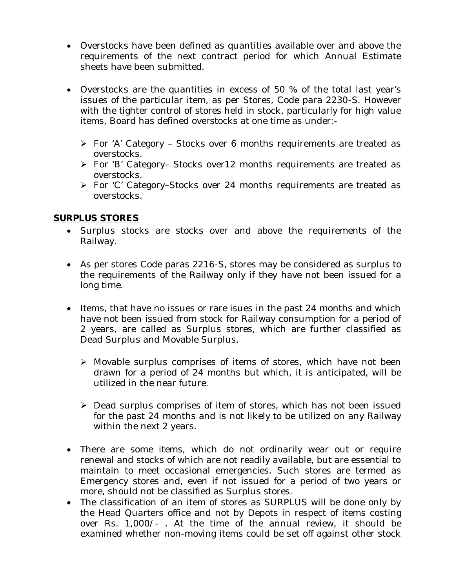- Overstocks have been defined as quantities available over and above the requirements of the next contract period for which Annual Estimate sheets have been submitted.
- Overstocks are the quantities in excess of 50 % of the total last year's issues of the particular item, as per Stores, Code para 2230-S. However with the tighter control of stores held in stock, particularly for high value items, Board has defined overstocks at one time as under:-
	- For 'A' Category Stocks over 6 months requirements are treated as overstocks.
	- For 'B' Category– Stocks over12 months requirements are treated as overstocks.
	- For 'C' Category–Stocks over 24 months requirements are treated as overstocks.

## **SURPLUS STORES**

- Surplus stocks are stocks over and above the requirements of the Railway.
- As per stores Code paras 2216-S, stores may be considered as surplus to the requirements of the Railway only if they have not been issued for a long time.
- Items, that have no issues or rare isues in the past 24 months and which have not been issued from stock for Railway consumption for a period of 2 years, are called as Surplus stores, which are further classified as Dead Surplus and Movable Surplus.
	- Movable surplus comprises of items of stores, which have not been drawn for a period of 24 months but which, it is anticipated, will be utilized in the near future.
	- ▶ Dead surplus comprises of item of stores, which has not been issued for the past 24 months and is not likely to be utilized on any Railway within the next 2 years.
- There are some items, which do not ordinarily wear out or require renewal and stocks of which are not readily available, but are essential to maintain to meet occasional emergencies. Such stores are termed as Emergency stores and, even if not issued for a period of two years or more, should not be classified as Surplus stores.
- The classification of an item of stores as SURPLUS will be done only by the Head Quarters office and not by Depots in respect of items costing over Rs. 1,000/- . At the time of the annual review, it should be examined whether non-moving items could be set off against other stock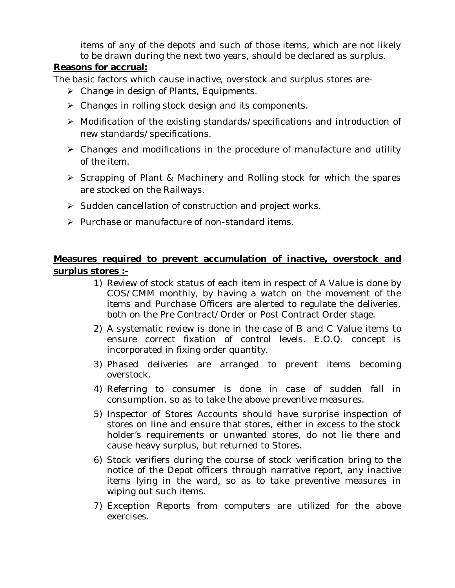items of any of the depots and such of those items, which are not likely to be drawn during the next two years, should be declared as surplus.

## **Reasons for accrual:**

The basic factors which cause inactive, overstock and surplus stores are-

- Change in design of Plants, Equipments.
- Changes in rolling stock design and its components.
- Modification of the existing standards/specifications and introduction of new standards/specifications.
- Changes and modifications in the procedure of manufacture and utility of the item.
- Scrapping of Plant & Machinery and Rolling stock for which the spares are stocked on the Railways.
- $\triangleright$  Sudden cancellation of construction and project works.
- $\triangleright$  Purchase or manufacture of non-standard items.

## **Measures required to prevent accumulation of inactive, overstock and surplus stores :-**

- 1) Review of stock status of each item in respect of A Value is done by COS/CMM monthly, by having a watch on the movement of the items and Purchase Officers are alerted to regulate the deliveries, both on the Pre Contract/Order or Post Contract Order stage.
- 2) A systematic review is done in the case of B and C Value items to ensure correct fixation of control levels. E.O.Q. concept is incorporated in fixing order quantity.
- 3) Phased deliveries are arranged to prevent items becoming overstock.
- 4) Referring to consumer is done in case of sudden fall in consumption, so as to take the above preventive measures.
- 5) Inspector of Stores Accounts should have surprise inspection of stores on line and ensure that stores, either in excess to the stock holder's requirements or unwanted stores, do not lie there and cause heavy surplus, but returned to Stores.
- 6) Stock verifiers during the course of stock verification bring to the notice of the Depot officers through narrative report, any inactive items lying in the ward, so as to take preventive measures in wiping out such items.
- 7) Exception Reports from computers are utilized for the above exercises.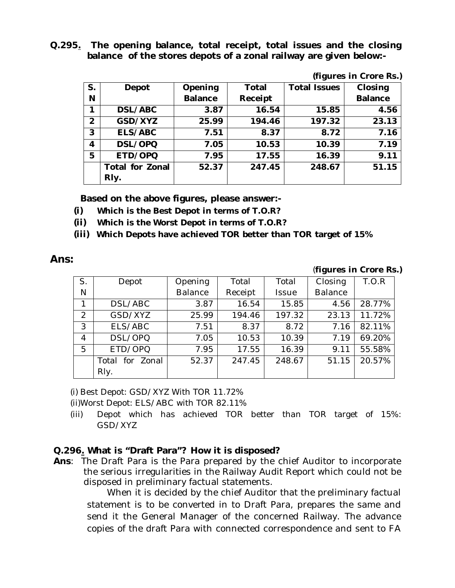**Q.295. The opening balance, total receipt, total issues and the closing balance of the stores depots of a zonal railway are given below:-**

| S. | Depot                  | Opening        | Total   | v J<br><b>Total Issues</b> | Closing        |
|----|------------------------|----------------|---------|----------------------------|----------------|
| N  |                        | <b>Balance</b> | Receipt |                            | <b>Balance</b> |
| 1  | DSL/ABC                | 3.87           | 16.54   | 15.85                      | 4.56           |
| 2  | GSD/XYZ                | 25.99          | 194.46  | 197.32                     | 23.13          |
| 3  | ELS/ABC                | 7.51           | 8.37    | 8.72                       | 7.16           |
| 4  | DSL/OPQ                | 7.05           | 10.53   | 10.39                      | 7.19           |
| 5  | ETD/OPQ                | 7.95           | 17.55   | 16.39                      | 9.11           |
|    | <b>Total for Zonal</b> | 52.37          | 247.45  | 248.67                     | 51.15          |
|    | Rly.                   |                |         |                            |                |

**Based on the above figures, please answer:-**

- **(i) Which is the Best Depot in terms of T.O.R?**
- **(ii) Which is the Worst Depot in terms of T.O.R?**
- **(iii) Which Depots have achieved TOR better than TOR target of 15%**

### **Ans:**

#### (*figures in Crore Rs.)*

**(***figures in Crore Rs.)*

| S. | Depot           | Opening        | Total   | Total        | Closing        | T.O.R  |
|----|-----------------|----------------|---------|--------------|----------------|--------|
| Ν  |                 | <b>Balance</b> | Receipt | <b>Issue</b> | <b>Balance</b> |        |
| 1  | DSL/ABC         | 3.87           | 16.54   | 15.85        | 4.56           | 28.77% |
| 2  | GSD/XYZ         | 25.99          | 194.46  | 197.32       | 23.13          | 11.72% |
| 3  | ELS/ABC         | 7.51           | 8.37    | 8.72         | 7.16           | 82.11% |
| 4  | DSL/OPQ         | 7.05           | 10.53   | 10.39        | 7.19           | 69.20% |
| 5  | ETD/OPQ         | 7.95           | 17.55   | 16.39        | 9.11           | 55.58% |
|    | Total for Zonal | 52.37          | 247.45  | 248.67       | 51.15          | 20.57% |
|    | Rly.            |                |         |              |                |        |

(i) Best Depot: GSD/XYZ With TOR 11.72%

(ii)Worst Depot: ELS/ABC with TOR 82.11%

(iii) Depot which has achieved TOR better than TOR target of 15%: GSD/XYZ

## **Q.296. What is "Draft Para"? How it is disposed?**

**Ans**: The Draft Para is the Para prepared by the chief Auditor to incorporate the serious irregularities in the Railway Audit Report which could not be disposed in preliminary factual statements.

When it is decided by the chief Auditor that the preliminary factual statement is to be converted in to Draft Para, prepares the same and send it the General Manager of the concerned Railway. The advance copies of the draft Para with connected correspondence and sent to FA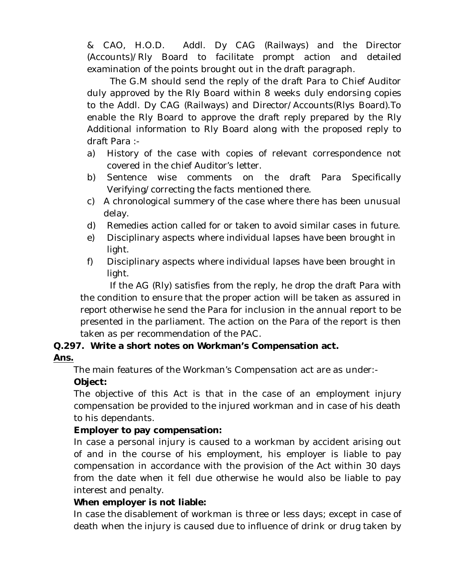& CAO, H.O.D. Addl. Dy CAG (Railways) and the Director (Accounts)/Rly Board to facilitate prompt action and detailed examination of the points brought out in the draft paragraph.

The G.M should send the reply of the draft Para to Chief Auditor duly approved by the Rly Board within 8 weeks duly endorsing copies to the Addl. Dy CAG (Railways) and Director/Accounts(Rlys Board).To enable the Rly Board to approve the draft reply prepared by the Rly Additional information to Rly Board along with the proposed reply to draft Para :-

- a) History of the case with copies of relevant correspondence not covered in the chief Auditor's letter.
- b) Sentence wise comments on the draft Para Specifically Verifying/correcting the facts mentioned there.
- c) A chronological summery of the case where there has been unusual delay.
- d) Remedies action called for or taken to avoid similar cases in future.
- e) Disciplinary aspects where individual lapses have been brought in light.
- f) Disciplinary aspects where individual lapses have been brought in light.

If the AG (Rly) satisfies from the reply, he drop the draft Para with the condition to ensure that the proper action will be taken as assured in report otherwise he send the Para for inclusion in the annual report to be presented in the parliament. The action on the Para of the report is then taken as per recommendation of the PAC.

### **Q.297. Write a short notes on Workman's Compensation act. Ans.**

The main features of the Workman's Compensation act are as under:-

## **Object:**

The objective of this Act is that in the case of an employment injury compensation be provided to the injured workman and in case of his death to his dependants.

## **Employer to pay compensation:**

In case a personal injury is caused to a workman by accident arising out of and in the course of his employment, his employer is liable to pay compensation in accordance with the provision of the Act within 30 days from the date when it fell due otherwise he would also be liable to pay interest and penalty.

## **When employer is not liable:**

In case the disablement of workman is three or less days; except in case of death when the injury is caused due to influence of drink or drug taken by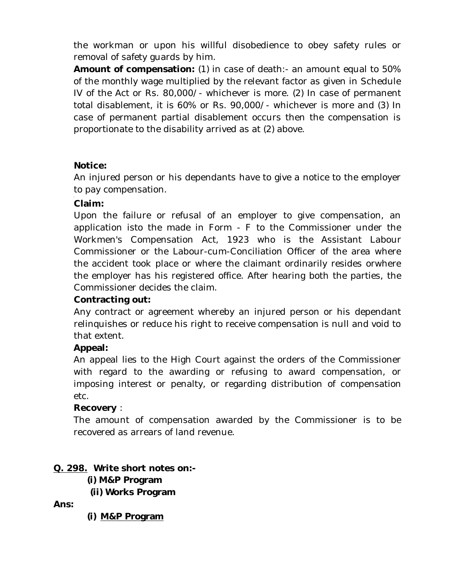the workman or upon his willful disobedience to obey safety rules or removal of safety guards by him.

**Amount of compensation:** (1) in case of death:- an amount equal to 50% of the monthly wage multiplied by the relevant factor as given in Schedule IV of the Act or Rs. 80,000/- whichever is more. (2) In case of permanent total disablement, it is 60% or Rs. 90,000/- whichever is more and (3) In case of permanent partial disablement occurs then the compensation is proportionate to the disability arrived as at (2) above.

## **Notice:**

An injured person or his dependants have to give a notice to the employer to pay compensation.

## **Claim:**

Upon the failure or refusal of an employer to give compensation, an application isto the made in Form - F to the Commissioner under the Workmen's Compensation Act, 1923 who is the Assistant Labour Commissioner or the Labour-cum-Conciliation Officer of the area where the accident took place or where the claimant ordinarily resides orwhere the employer has his registered office. After hearing both the parties, the Commissioner decides the claim.

## **Contracting out:**

Any contract or agreement whereby an injured person or his dependant relinquishes or reduce his right to receive compensation is null and void to that extent.

## **Appeal:**

An appeal lies to the High Court against the orders of the Commissioner with regard to the awarding or refusing to award compensation, or imposing interest or penalty, or regarding distribution of compensation etc.

## **Recovery** :

The amount of compensation awarded by the Commissioner is to be recovered as arrears of land revenue.

## **Q. 298. Write short notes on:-**

- **(i) M&P Program**
- **(ii) Works Program**

**Ans:** 

**(i) M&P Program**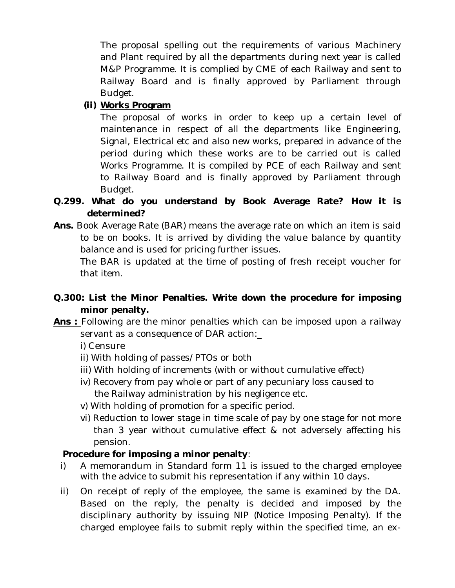The proposal spelling out the requirements of various Machinery and Plant required by all the departments during next year is called M&P Programme. It is complied by CME of each Railway and sent to Railway Board and is finally approved by Parliament through Budget.

## **(ii) Works Program**

The proposal of works in order to keep up a certain level of maintenance in respect of all the departments like Engineering, Signal, Electrical etc and also new works, prepared in advance of the period during which these works are to be carried out is called Works Programme. It is compiled by PCE of each Railway and sent to Railway Board and is finally approved by Parliament through Budget.

- **Q.299. What do you understand by Book Average Rate? How it is determined?**
- **Ans.** Book Average Rate (BAR) means the average rate on which an item is said to be on books. It is arrived by dividing the value balance by quantity balance and is used for pricing further issues.

The BAR is updated at the time of posting of fresh receipt voucher for that item.

## **Q.300: List the Minor Penalties. Write down the procedure for imposing minor penalty.**

**Ans :** Following are the minor penalties which can be imposed upon a railway servant as a consequence of DAR action:\_

i) Censure

- ii) With holding of passes/PTOs or both
- iii) With holding of increments (with or without cumulative effect)
- iv) Recovery from pay whole or part of any pecuniary loss caused to the Railway administration by his negligence etc.
- v) With holding of promotion for a specific period.
- vi) Reduction to lower stage in time scale of pay by one stage for not more than 3 year without cumulative effect & not adversely affecting his pension.

## **Procedure for imposing a minor penalty**:

- i) A memorandum in Standard form 11 is issued to the charged employee with the advice to submit his representation if any within 10 days.
- ii) On receipt of reply of the employee, the same is examined by the DA. Based on the reply, the penalty is decided and imposed by the disciplinary authority by issuing NIP (Notice Imposing Penalty). If the charged employee fails to submit reply within the specified time, an ex-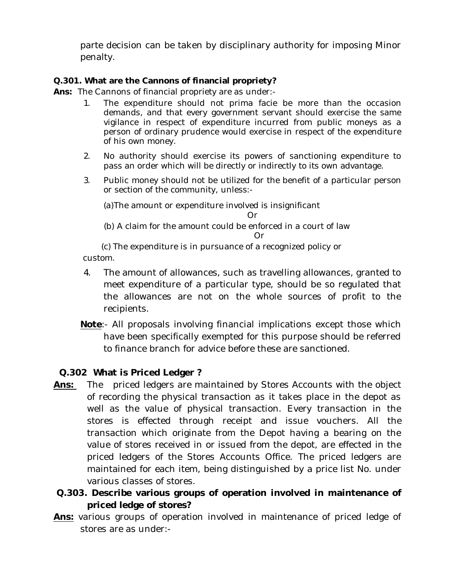parte decision can be taken by disciplinary authority for imposing Minor penalty.

## **Q.301. What are the Cannons of financial propriety?**

**Ans:** The Cannons of financial propriety are as under:-

- 1. The expenditure should not prima facie be more than the occasion demands, and that every government servant should exercise the same vigilance in respect of expenditure incurred from public moneys as a person of ordinary prudence would exercise in respect of the expenditure of his own money.
- 2. No authority should exercise its powers of sanctioning expenditure to pass an order which will be directly or indirectly to its own advantage.
- 3. Public money should not be utilized for the benefit of a particular person or section of the community, unless:-

(a)The amount or expenditure involved is insignificant

Or

(b) A claim for the amount could be enforced in a court of law

Or

(c) The expenditure is in pursuance of a recognized policy or

custom.

- 4. The amount of allowances, such as travelling allowances, granted to meet expenditure of a particular type, should be so regulated that the allowances are not on the whole sources of profit to the recipients.
- **Note**:- All proposals involving financial implications except those which have been specifically exempted for this purpose should be referred to finance branch for advice before these are sanctioned.

## **Q.302 What is Priced Ledger ?**

- **Ans:** The priced ledgers are maintained by Stores Accounts with the object of recording the physical transaction as it takes place in the depot as well as the value of physical transaction. Every transaction in the stores is effected through receipt and issue vouchers. All the transaction which originate from the Depot having a bearing on the value of stores received in or issued from the depot, are effected in the priced ledgers of the Stores Accounts Office. The priced ledgers are maintained for each item, being distinguished by a price list No. under various classes of stores.
- **Q.303. Describe various groups of operation involved in maintenance of priced ledge of stores?**
- **Ans:** various groups of operation involved in maintenance of priced ledge of stores are as under:-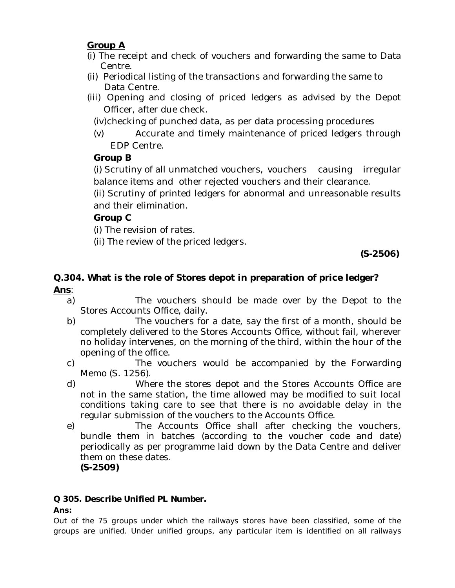# **Group A**

- (i) The receipt and check of vouchers and forwarding the same to Data Centre.
- (ii) Periodical listing of the transactions and forwarding the same to Data Centre.
- (iii) Opening and closing of priced ledgers as advised by the Depot Officer, after due check.

(iv)checking of punched data, as per data processing procedures

(v) Accurate and timely maintenance of priced ledgers through EDP Centre.

# **Group B**

(i) Scrutiny of all unmatched vouchers, vouchers causing irregular balance items and other rejected vouchers and their clearance.

(ii) Scrutiny of printed ledgers for abnormal and unreasonable results and their elimination.

# **Group C**

(i) The revision of rates.

(ii) The review of the priced ledgers.

 **(S-2506)**

## **Q.304. What is the role of Stores depot in preparation of price ledger? Ans**:

- a) The vouchers should be made over by the Depot to the Stores Accounts Office, daily.
- b) The vouchers for a date, say the first of a month, should be completely delivered to the Stores Accounts Office, without fail, wherever no holiday intervenes, on the morning of the third, within the hour of the opening of the office.
- c) The vouchers would be accompanied by the Forwarding Memo (S. 1256).
- d) Where the stores depot and the Stores Accounts Office are not in the same station, the time allowed may be modified to suit local conditions taking care to see that there is no avoidable delay in the regular submission of the vouchers to the Accounts Office.
- e) The Accounts Office shall after checking the vouchers, bundle them in batches (according to the voucher code and date) periodically as per programme laid down by the Data Centre and deliver them on these dates. **(S-2509)**

## **Q 305. Describe Unified PL Number.**

## **Ans:**

Out of the 75 groups under which the railways stores have been classified, some of the groups are unified. Under unified groups, any particular item is identified on all railways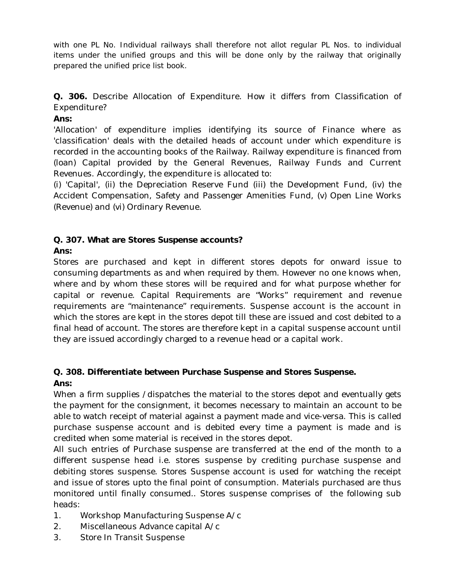with one PL No. Individual railways shall therefore not allot regular PL Nos. to individual items under the unified groups and this will be done only by the railway that originally prepared the unified price list book.

## **Q. 306.** Describe Allocation of Expenditure. How it differs from Classification of Expenditure?

### **Ans:**

'Allocation' of expenditure implies identifying its source of Finance where as 'classification' deals with the detailed heads of account under which expenditure is recorded in the accounting books of the Railway. Railway expenditure is financed from (loan) Capital provided by the General Revenues, Railway Funds and Current Revenues. Accordingly, the expenditure is allocated to:

(i) 'Capital', (ii) the Depreciation Reserve Fund (iii) the Development Fund, (iv) the Accident Compensation, Safety and Passenger Amenities Fund, (v) Open Line Works (Revenue) and (vi) Ordinary Revenue.

## **Q. 307. What are Stores Suspense accounts?**

## **Ans:**

Stores are purchased and kept in different stores depots for onward issue to consuming departments as and when required by them. However no one knows when, where and by whom these stores will be required and for what purpose whether for capital or revenue. Capital Requirements are "Works" requirement and revenue requirements are "maintenance" requirements. Suspense account is the account in which the stores are kept in the stores depot till these are issued and cost debited to a final head of account. The stores are therefore kept in a capital suspense account until they are issued accordingly charged to a revenue head or a capital work.

## **Q. 308. Differentiate between Purchase Suspense and Stores Suspense. Ans:**

When a firm supplies /dispatches the material to the stores depot and eventually gets the payment for the consignment, it becomes necessary to maintain an account to be able to watch receipt of material against a payment made and vice-versa. This is called purchase suspense account and is debited every time a payment is made and is credited when some material is received in the stores depot.

All such entries of Purchase suspense are transferred at the end of the month to a different suspense head i.e. stores suspense by crediting purchase suspense and debiting stores suspense. Stores Suspense account is used for watching the receipt and issue of stores upto the final point of consumption. Materials purchased are thus monitored until finally consumed.. Stores suspense comprises of the following sub heads:

- 1. Workshop Manufacturing Suspense A/c
- 2. Miscellaneous Advance capital A/c
- 3. Store In Transit Suspense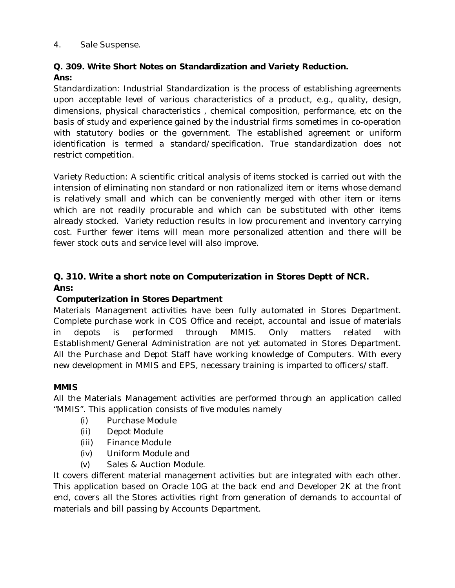### 4. Sale Suspense.

## **Q. 309. Write Short Notes on Standardization and Variety Reduction. Ans:**

Standardization: Industrial Standardization is the process of establishing agreements upon acceptable level of various characteristics of a product, e.g., quality, design, dimensions, physical characteristics , chemical composition, performance, etc on the basis of study and experience gained by the industrial firms sometimes in co-operation with statutory bodies or the government. The established agreement or uniform identification is termed a standard/specification. True standardization does not restrict competition.

Variety Reduction: A scientific critical analysis of items stocked is carried out with the intension of eliminating non standard or non rationalized item or items whose demand is relatively small and which can be conveniently merged with other item or items which are not readily procurable and which can be substituted with other items already stocked. Variety reduction results in low procurement and inventory carrying cost. Further fewer items will mean more personalized attention and there will be fewer stock outs and service level will also improve.

## **Q. 310. Write a short note on Computerization in Stores Deptt of NCR. Ans:**

## **Computerization in Stores Department**

Materials Management activities have been fully automated in Stores Department. Complete purchase work in COS Office and receipt, accountal and issue of materials in depots is performed through MMIS. Only matters related with Establishment/General Administration are not yet automated in Stores Department. All the Purchase and Depot Staff have working knowledge of Computers. With every new development in MMIS and EPS, necessary training is imparted to officers/staff.

## **MMIS**

All the Materials Management activities are performed through an application called "MMIS". This application consists of five modules namely

- (i) Purchase Module
- (ii) Depot Module
- (iii) Finance Module
- (iv) Uniform Module and
- (v) Sales & Auction Module.

It covers different material management activities but are integrated with each other. This application based on Oracle 10G at the back end and Developer 2K at the front end, covers all the Stores activities right from generation of demands to accountal of materials and bill passing by Accounts Department.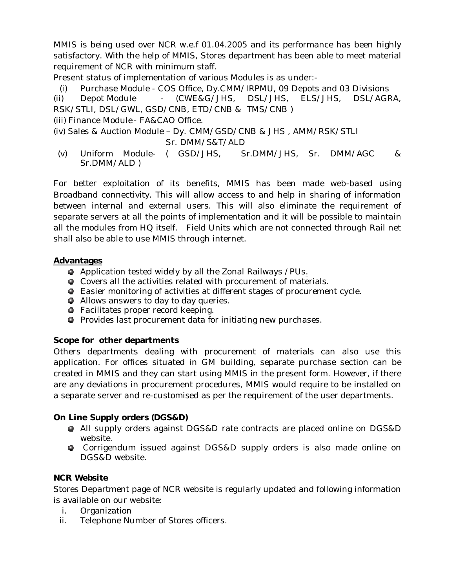MMIS is being used over NCR w.e.f 01.04.2005 and its performance has been highly satisfactory. With the help of MMIS, Stores department has been able to meet material requirement of NCR with minimum staff.

Present status of implementation of various Modules is as under:-

(i) Purchase Module - COS Office, Dy.CMM/IRPMU, 09 Depots and 03 Divisions (ii) Depot Module - (CWE&G/JHS, DSL/JHS, ELS/JHS, DSL/AGRA, RSK/STLI, DSL/GWL, GSD/CNB, ETD/CNB & TMS/CNB )

(iii) Finance Module - FA&CAO Office.

```
(iv) Sales & Auction Module – Dy. CMM/GSD/CNB & JHS , AMM/RSK/STLI 
             Sr. DMM/S&T/ALD
```
(v) Uniform Module- ( GSD/JHS, Sr.DMM/JHS, Sr. DMM/AGC & Sr.DMM/ALD )

For better exploitation of its benefits, MMIS has been made web-based using Broadband connectivity. This will allow access to and help in sharing of information between internal and external users. This will also eliminate the requirement of separate servers at all the points of implementation and it will be possible to maintain all the modules from HQ itself. Field Units which are not connected through Rail net shall also be able to use MMIS through internet.

### **Advantages**

- Application tested widely by all the Zonal Railways /PUs.
- Covers all the activities related with procurement of materials.
- Easier monitoring of activities at different stages of procurement cycle.
- Allows answers to day to day queries.
- **•** Facilitates proper record keeping.
- **Provides last procurement data for initiating new purchases.**

## **Scope for other departments**

Others departments dealing with procurement of materials can also use this application. For offices situated in GM building, separate purchase section can be created in MMIS and they can start using MMIS in the present form. However, if there are any deviations in procurement procedures, MMIS would require to be installed on a separate server and re-customised as per the requirement of the user departments.

## **On Line Supply orders (DGS&D)**

- All supply orders against DGS&D rate contracts are placed online on DGS&D website.
- Corrigendum issued against DGS&D supply orders is also made online on DGS&D website.

## **NCR Website**

Stores Department page of NCR website is regularly updated and following information is available on our website:

- i. Organization
- ii. Telephone Number of Stores officers.